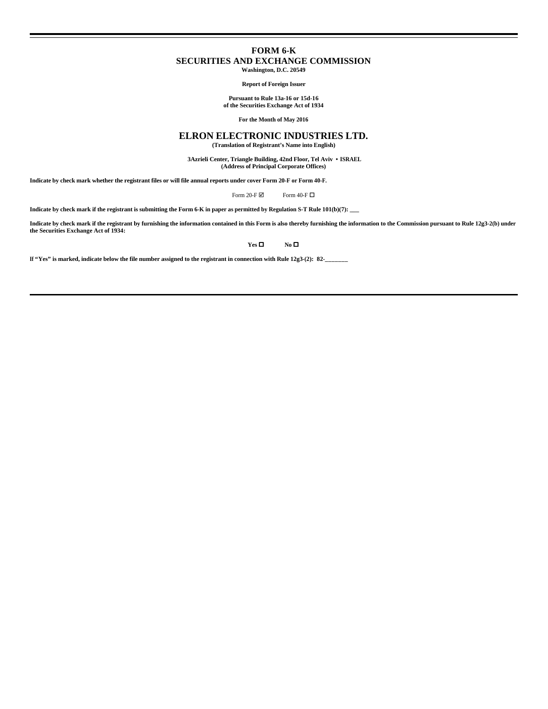# **FORM 6-K SECURITIES AND EXCHANGE COMMISSION Washington, D.C. 20549**

**Report of Foreign Issuer**

**Pursuant to Rule 13a-16 or 15d-16 of the Securities Exchange Act of 1934**

**For the Month of May 2016**

# **ELRON ELECTRONIC INDUSTRIES LTD.**

**(Translation of Registrant's Name into English)**

 **3Azrieli Center, Triangle Building, 42nd Floor, Tel Aviv • ISRAEL (Address of Principal Corporate Offices)**

**Indicate by check mark whether the registrant files or will file annual reports under cover Form 20-F or Form 40-F.**

Form 20-F $\boxtimes$  Form 40-F $\Box$ 

**Indicate by check mark if the registrant is submitting the Form 6-K in paper as permitted by Regulation S-T Rule 101(b)(7): \_\_\_**

**Indicate by check mark if the registrant by furnishing the information contained in this Form is also thereby furnishing the information to the Commission pursuant to Rule 12g3-2(b) under the Securities Exchange Act of 1934:**

 $Yes \Box$  **No**  $\Box$ 

**If "Yes" is marked, indicate below the file number assigned to the registrant in connection with Rule 12g3-(2): 82-\_\_\_\_\_\_\_**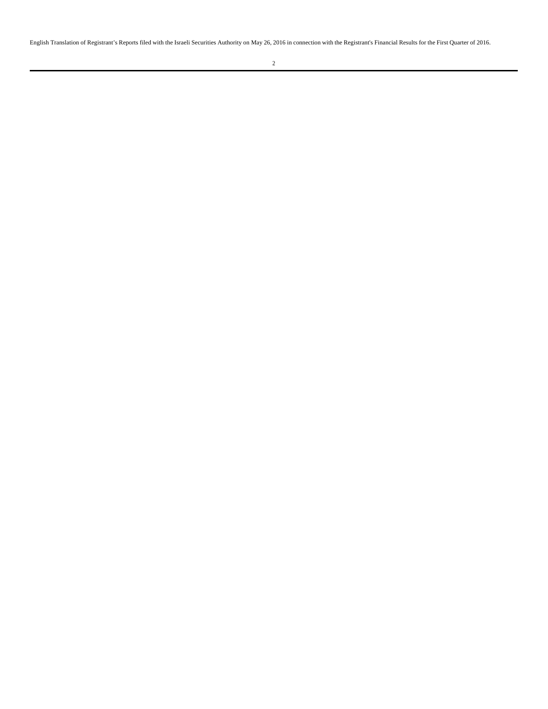English Translation of Registrant's Reports filed with the Israeli Securities Authority on May 26, 2016 in connection with the Registrant's Financial Results for the First Quarter of 2016.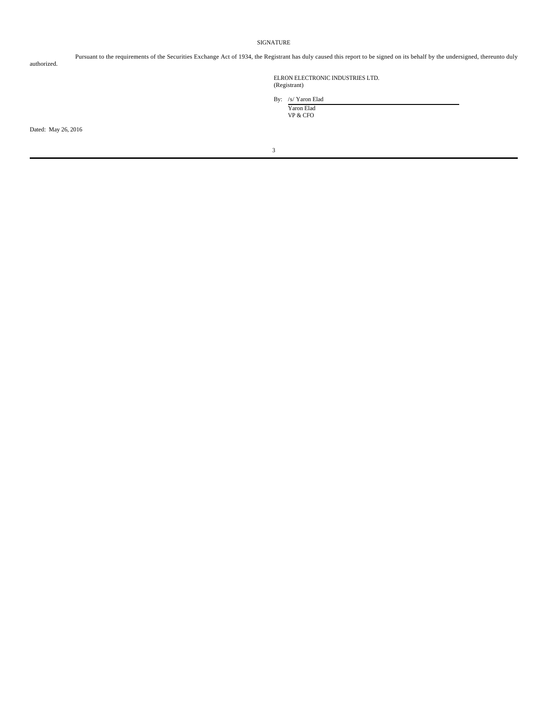## SIGNATURE

authorized.

Pursuant to the requirements of the Securities Exchange Act of 1934, the Registrant has duly caused this report to be signed on its behalf by the undersigned, thereunto duly

ELRON ELECTRONIC INDUSTRIES LTD. (Registrant)

By: /s/ Yaron Elad Yaron Elad

VP & CFO

Dated: May 26, 2016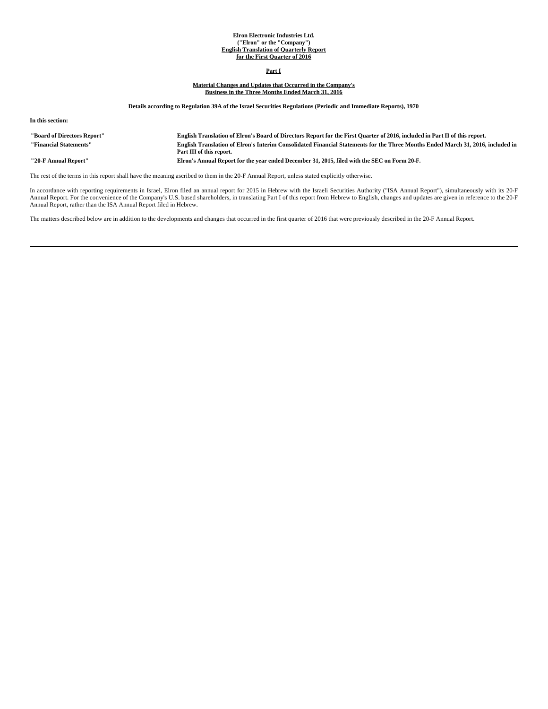#### **Elron Electronic Industries Ltd. ("Elron" or the "Company") English Translation of Quarterly Report for the First Quarter of 2016**

# **Part I**

# **Material Changes and Updates that Occurred in the Company's Business in the Three Months Ended March 31, 2016**

**Details according to Regulation 39A of the Israel Securities Regulations (Periodic and Immediate Reports), 1970**

|  |  | In this section: |
|--|--|------------------|
|--|--|------------------|

| "Board of Directors Report" | English Translation of Elron's Board of Directors Report for the First Quarter of 2016, included in Part II of this report.                                 |
|-----------------------------|-------------------------------------------------------------------------------------------------------------------------------------------------------------|
| "Financial Statements"      | English Translation of Elron's Interim Consolidated Financial Statements for the Three Months Ended March 31, 2016, included in<br>Part III of this report. |
| "20-F Annual Report"        | Elron's Annual Report for the vear ended December 31, 2015, filed with the SEC on Form 20-F.                                                                |

The rest of the terms in this report shall have the meaning ascribed to them in the 20-F Annual Report, unless stated explicitly otherwise.

In accordance with reporting requirements in Israel, Elron filed an annual report for 2015 in Hebrew with the Israeli Securities Authority ("ISA Annual Report"), simultaneously with its 20-F<br>Annual Report. For the convenie Annual Report, rather than the ISA Annual Report filed in Hebrew.

The matters described below are in addition to the developments and changes that occurred in the first quarter of 2016 that were previously described in the 20-F Annual Report.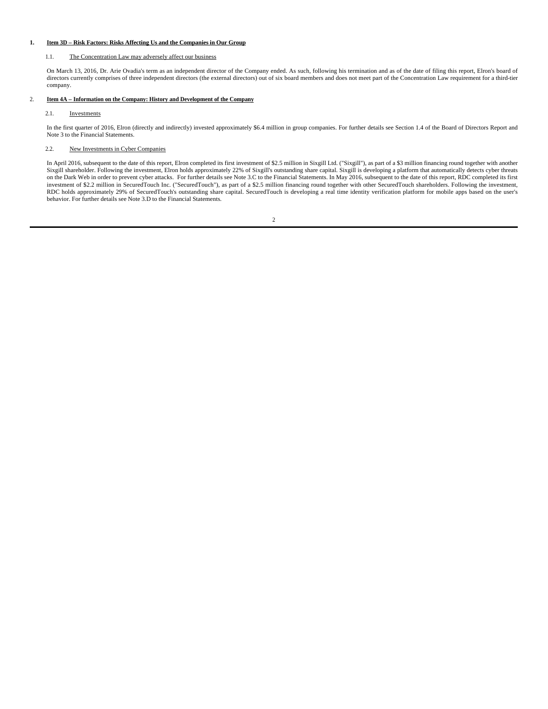## **1. Item 3D – Risk Factors: Risks Affecting Us and the Companies in Our Group**

## 1.1. The Concentration Law may adversely affect our business

On March 13, 2016, Dr. Arie Ovadia's term as an independent director of the Company ended. As such, following his termination and as of the date of filing this report, Elron's board of directors currently comprises of three independent directors (the external directors) out of six board members and does not meet part of the Concentration Law requirement for a third-tier company.

## 2. **Item 4A – Information on the Company: History and Development of the Company**

## 2.1. Investments

In the first quarter of 2016, Elron (directly and indirectly) invested approximately \$6.4 million in group companies. For further details see Section 1.4 of the Board of Directors Report and Note 3 to the Financial Statements.

## 2.2. New Investments in Cyber Companies

In April 2016, subsequent to the date of this report, Elron completed its first investment of \$2.5 million in Sixgill Ltd. ("Sixgill"), as part of a \$3 million financing round together with another Sixgill shareholder. Following the investment, Elron holds approximately 22% of Sixgill's outstanding share capital. Sixgill is developing a platform that automatically detects cyber threats on the Dark Web in order to prevent cyber attacks. For further details see Note 3.C to the Financial Statements. In May 2016, subsequent to the date of this report, RDC completed its first<br>investment of \$2.2 million in Sec RDC holds approximately 29% of SecuredTouch's outstanding share capital. SecuredTouch is developing a real time identity verification platform for mobile apps based on the user's behavior. For further details see Note 3.D to the Financial Statements.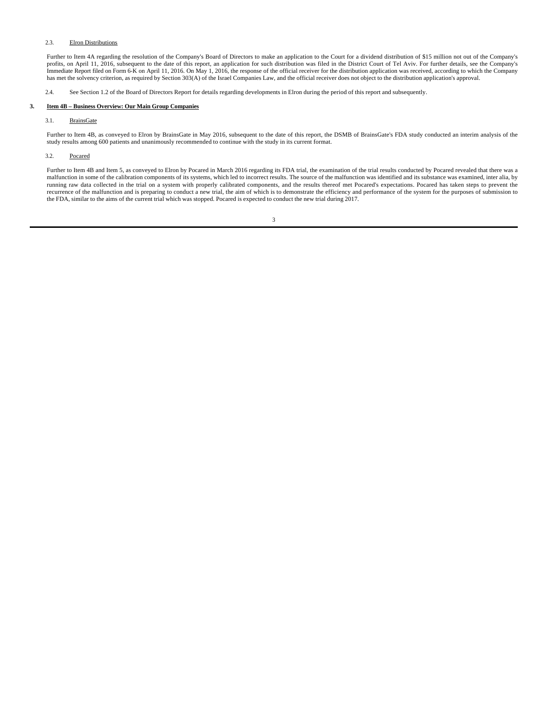## 2.3. Elron Distributions

Further to Item 4A regarding the resolution of the Company's Board of Directors to make an application to the Court for a dividend distribution of \$15 million not out of the Company's profits, on April 11, 2016, subsequent to the date of this report, an application for such distribution was filed in the District Court of Tel Aviv. For further details, see the Company's Immediate Report filed on Form 6-K on April 11, 2016. On May 1, 2016, the response of the official receiver for the distribution application was received, according to which the Company has met the solvency criterion, as required by Section 303(A) of the Israel Companies Law, and the official receiver does not object to the distribution application's approval.

2.4. See Section 1.2 of the Board of Directors Report for details regarding developments in Elron during the period of this report and subsequently.

## **3. Item 4B – Business Overview: Our Main Group Companies**

## 3.1. BrainsGate

Further to Item 4B, as conveyed to Elron by BrainsGate in May 2016, subsequent to the date of this report, the DSMB of BrainsGate's FDA study conducted an interim analysis of the study results among 600 patients and unanimously recommended to continue with the study in its current format.

## 3.2. Pocared

Further to Item 4B and Item 5, as conveyed to Elron by Pocared in March 2016 regarding its FDA trial, the examination of the trial results conducted by Pocared revealed that there was a malfunction in some of the calibration components of its systems, which led to incorrect results. The source of the malfunction was identified and its substance was examined, inter alia, by running raw data collected in the trial on a system with properly calibrated components, and the results thereof met Pocared's expectations. Pocared has taken steps to prevent the recurrence of the malfunction and is preparing to conduct a new trial, the aim of which is to demonstrate the efficiency and performance of the system for the purposes of submission to the FDA, similar to the aims of the current trial which was stopped. Pocared is expected to conduct the new trial during 2017.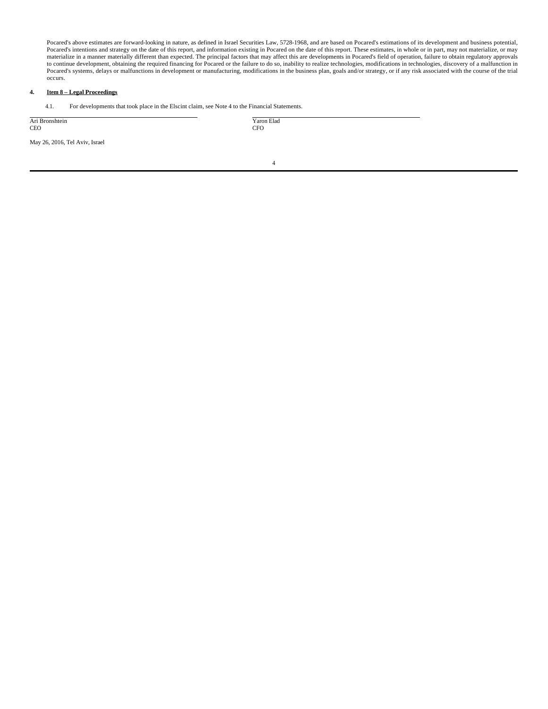Pocared's above estimates are forward-looking in nature, as defined in Israel Securities Law, 5728-1968, and are based on Pocared's estimations of its development and business potential, Pocared's intentions and strategy on the date of this report, and information existing in Pocared on the date of this report. These estimates, in whole or in part, may not materialize, or may materialize in a manner materially different than expected. The principal factors that may affect this are developments in Pocared's field of operation, failure to obtain regulatory approvals to continue development, obtaining the required financing for Pocared or the failure to do so, inability to realize technologies, modifications in technologies, discovery of a malfunction in Pocared's systems, delays or malfunctions in development or manufacturing, modifications in the business plan, goals and/or strategy, or if any risk associated with the course of the trial occurs.

# **4. Item 8 – Legal Proceedings**

4.1. For developments that took place in the Elscint claim, see Note 4 to the Financial Statements.

| Ari Bronshtein<br><b>CEO</b>   | Yaron Elad<br><b>CFO</b> |  |
|--------------------------------|--------------------------|--|
| May 26, 2016, Tel Aviv, Israel |                          |  |
|                                |                          |  |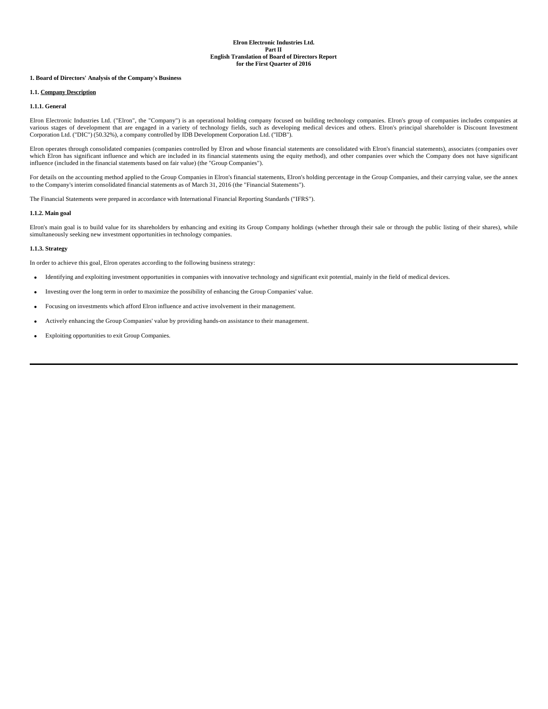## **1. Board of Directors' Analysis of the Company's Business**

## **1.1. Company Description**

## **1.1.1. General**

Elron Electronic Industries Ltd. ("Elron", the "Company") is an operational holding company focused on building technology companies. Elron's group of companies includes companies at various stages of development that are engaged in a variety of technology fields, such as developing medical devices and others. Elron's principal shareholder is Discount Investment Corporation Ltd. ("DIC") (50.32%), a company controlled by IDB Development Corporation Ltd. ("IDB").

Elron operates through consolidated companies (companies controlled by Elron and whose financial statements are consolidated with Elron's financial statements), associates (companies over which Elron has significant influence and which are included in its financial statements using the equity method), and other companies over which the Company does not have significant influence (included in the financial statements based on fair value) (the "Group Companies").

For details on the accounting method applied to the Group Companies in Elron's financial statements, Elron's holding percentage in the Group Companies, and their carrying value, see the annex to the Company's interim consolidated financial statements as of March 31, 2016 (the "Financial Statements").

The Financial Statements were prepared in accordance with International Financial Reporting Standards ("IFRS").

## **1.1.2. Main goal**

Elron's main goal is to build value for its shareholders by enhancing and exiting its Group Company holdings (whether through their sale or through the public listing of their shares), while simultaneously seeking new investment opportunities in technology companies.

## **1.1.3. Strategy**

In order to achieve this goal, Elron operates according to the following business strategy:

- Identifying and exploiting investment opportunities in companies with innovative technology and significant exit potential, mainly in the field of medical devices.
- Investing over the long term in order to maximize the possibility of enhancing the Group Companies' value.
- Focusing on investments which afford Elron influence and active involvement in their management.
- Actively enhancing the Group Companies' value by providing hands-on assistance to their management.
- Exploiting opportunities to exit Group Companies.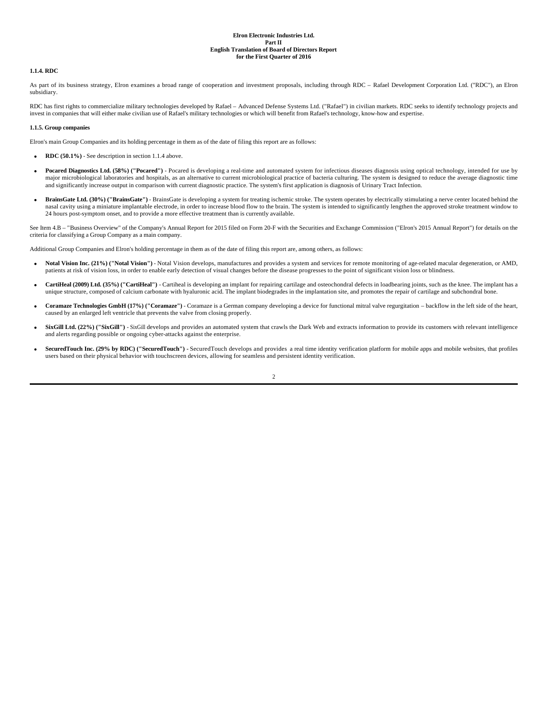## **1.1.4. RDC**

As part of its business strategy, Elron examines a broad range of cooperation and investment proposals, including through RDC – Rafael Development Corporation Ltd. ("RDC"), an Elron subsidiary.

RDC has first rights to commercialize military technologies developed by Rafael – Advanced Defense Systems Ltd. ("Rafael") in civilian markets. RDC seeks to identify technology projects and invest in companies that will either make civilian use of Rafael's military technologies or which will benefit from Rafael's technology, know-how and expertise.

### **1.1.5. Group companies**

Elron's main Group Companies and its holding percentage in them as of the date of filing this report are as follows:

- **RDC (50.1%)** See description in section 1.1.4 above.
- Pocared Diagnostics Ltd. (58%) ("Pocared") Pocared is developing a real-time and automated system for infectious diseases diagnosis using optical technology, intended for use by major microbiological laboratories and hospitals, as an alternative to current microbiological practice of bacteria culturing. The system is designed to reduce the average diagnostic time and significantly increase output in comparison with current diagnostic practice. The system's first application is diagnosis of Urinary Tract Infection.
- **BrainsGate Ltd. (30%) ("BrainsGate")** BrainsGate is developing a system for treating ischemic stroke. The system operates by electrically stimulating a nerve center located behind the nasal cavity using a miniature implantable electrode, in order to increase blood flow to the brain. The system is intended to significantly lengthen the approved stroke treatment window to 24 hours post-symptom onset, and to provide a more effective treatment than is currently available.

See Item 4.B - "Business Overview" of the Company's Annual Report for 2015 filed on Form 20-F with the Securities and Exchange Commission ("Elron's 2015 Annual Report") for details on the criteria for classifying a Group Company as a main company.

Additional Group Companies and Elron's holding percentage in them as of the date of filing this report are, among others, as follows:

- **Notal Vision Inc. (21%) ("Notal Vision")** Notal Vision develops, manufactures and provides a system and services for remote monitoring of age-related macular degeneration, or AMD, patients at risk of vision loss, in order to enable early detection of visual changes before the disease progresses to the point of significant vision loss or blindness.
- **CartiHeal (2009) Ltd. (35%) ("CartiHeal")** Cartiheal is developing an implant for repairing cartilage and osteochondral defects in loadbearing joints, such as the knee. The implant has a unique structure, composed of calcium carbonate with hyaluronic acid. The implant biodegrades in the implantation site, and promotes the repair of cartilage and subchondral bone.
- **Coramaze Technologies GmbH (17%) ("Coramaze")** Coramaze is a German company developing a device for functional mitral valve regurgitation backflow in the left side of the heart, caused by an enlarged left ventricle that prevents the valve from closing properly.
- **SixGill Ltd. (22%) ("SixGill")** SixGill develops and provides an automated system that crawls the Dark Web and extracts information to provide its customers with relevant intelligence and alerts regarding possible or ongoing cyber-attacks against the enterprise.
- **SecuredTouch Inc. (29% by RDC) ("SecuredTouch") -** SecuredTouch develops and provides a real time identity verification platform for mobile apps and mobile websites, that profiles users based on their physical behavior with touchscreen devices, allowing for seamless and persistent identity verification.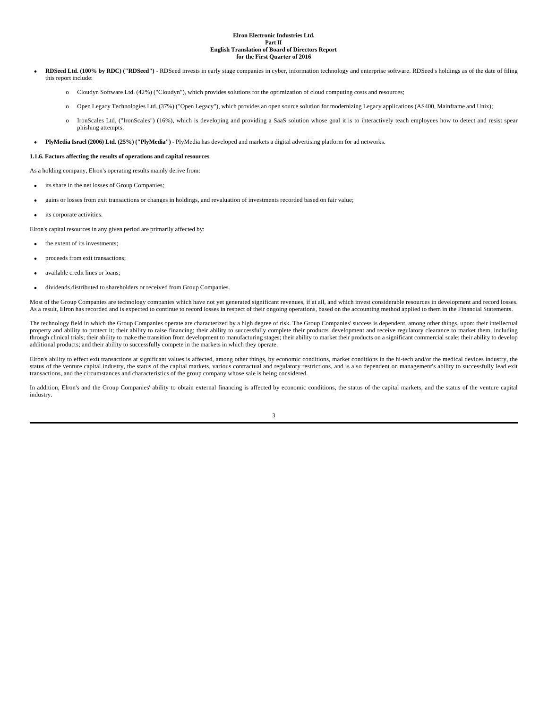- **RDSeed Ltd. (100% by RDC) ("RDSeed")** RDSeed invests in early stage companies in cyber, information technology and enterprise software. RDSeed's holdings as of the date of filing this report include:
	- o Cloudyn Software Ltd. (42%) ("Cloudyn"), which provides solutions for the optimization of cloud computing costs and resources;
	- o Open Legacy Technologies Ltd. (37%) ("Open Legacy"), which provides an open source solution for modernizing Legacy applications (AS400, Mainframe and Unix);
	- o IronScales Ltd. ("IronScales") (16%), which is developing and providing a SaaS solution whose goal it is to interactively teach employees how to detect and resist spear phishing attempts.
- **PlyMedia Israel (2006) Ltd. (25%) ("PlyMedia")**  PlyMedia has developed and markets a digital advertising platform for ad networks.

## **1.1.6. Factors affecting the results of operations and capital resources**

As a holding company, Elron's operating results mainly derive from:

- its share in the net losses of Group Companies:
- gains or losses from exit transactions or changes in holdings, and revaluation of investments recorded based on fair value;
- its corporate activities.

Elron's capital resources in any given period are primarily affected by:

- the extent of its investments;
- proceeds from exit transactions;
- available credit lines or loans;
- dividends distributed to shareholders or received from Group Companies.

Most of the Group Companies are technology companies which have not yet generated significant revenues, if at all, and which invest considerable resources in development and record losses. As a result, Elron has recorded and is expected to continue to record losses in respect of their ongoing operations, based on the accounting method applied to them in the Financial Statements.

The technology field in which the Group Companies operate are characterized by a high degree of risk. The Group Companies' success is dependent, among other things, upon: their intellectual property and ability to protect it; their ability to raise financing; their ability to successfully complete their products' development and receive regulatory clearance to market them, including through clinical trials; their ability to make the transition from development to manufacturing stages; their ability to market their products on a significant commercial scale; their ability to develop additional products; and their ability to successfully compete in the markets in which they operate.

Elron's ability to effect exit transactions at significant values is affected, among other things, by economic conditions, market conditions in the hi-tech and/or the medical devices industry, the status of the venture capital industry, the status of the capital markets, various contractual and regulatory restrictions, and is also dependent on management's ability to successfully lead exit transactions, and the circumstances and characteristics of the group company whose sale is being considered.

In addition, Elron's and the Group Companies' ability to obtain external financing is affected by economic conditions, the status of the capital markets, and the status of the venture capital industry.

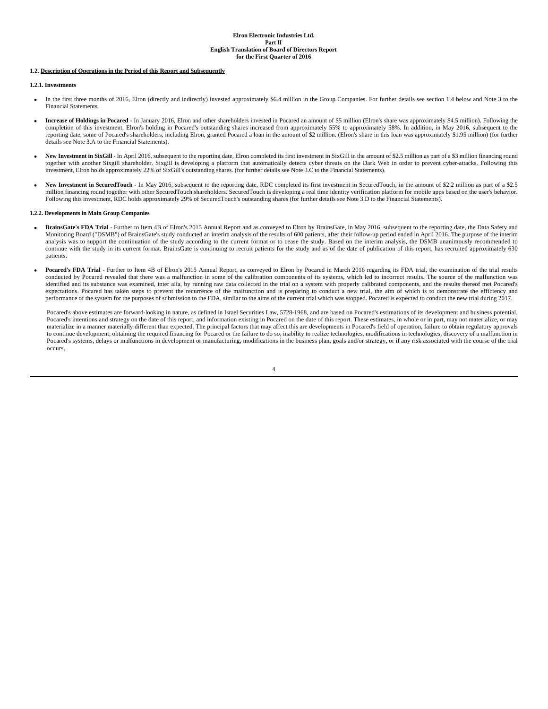## **1.2. Description of Operations in the Period of this Report and Subsequently**

## **1.2.1. Investments**

- In the first three months of 2016, Elron (directly and indirectly) invested approximately \$6.4 million in the Group Companies. For further details see section 1.4 below and Note 3 to the Financial Statements.
- **Increase of Holdings in Pocared** In January 2016, Elron and other shareholders invested in Pocared an amount of \$5 million (Elron's share was approximately \$4.5 million). Following the completion of this investment, Elron's holding in Pocared's outstanding shares increased from approximately 55% to approximately 58%. In addition, in May 2016, subsequent to the reporting date, some of Pocared's shareholders, including Elron, granted Pocared a loan in the amount of \$2 million. (Elron's share in this loan was approximately \$1.95 million) (for further details see Note 3.A to the Financial Statements).
- New Investment in SixGill In April 2016, subsequent to the reporting date, Elron completed its first investment in SixGill in the amount of \$2.5 million as part of a \$3 million financing round together with another Sixgill shareholder. Sixgill is developing a platform that automatically detects cyber threats on the Dark Web in order to prevent cyber-attacks. Following this investment, Elron holds approximately 22% of SixGill's outstanding shares. (for further details see Note 3.C to the Financial Statements).
- New Investment in SecuredTouch In May 2016, subsequent to the reporting date, RDC completed its first investment in SecuredTouch, in the amount of \$2.2 million as part of a \$2.5 million financing round together with other SecuredTouch shareholders. SecuredTouch is developing a real time identity verification platform for mobile apps based on the user's behavior. Following this investment, RDC holds approximately 29% of SecuredTouch's outstanding shares (for further details see Note 3.D to the Financial Statements).

#### **1.2.2. Developments in Main Group Companies**

- **BrainsGate's FDA Trial** Further to Item 4B of Elron's 2015 Annual Report and as conveyed to Elron by BrainsGate, in May 2016, subsequent to the reporting date, the Data Safety and Monitoring Board ("DSMB") of BrainsGate's study conducted an interim analysis of the results of 600 patients, after their follow-up period ended in April 2016. The purpose of the interim analysis was to support the continuation of the study according to the current format or to cease the study. Based on the interim analysis, the DSMB unanimously recommended to continue with the study in its current format. BrainsGate is continuing to recruit patients for the study and as of the date of publication of this report, has recruited approximately 630 patients.
- **Pocared's FDA Trial**  Further to Item 4B of Elron's 2015 Annual Report, as conveyed to Elron by Pocared in March 2016 regarding its FDA trial, the examination of the trial results conducted by Pocared revealed that there was a malfunction in some of the calibration components of its systems, which led to incorrect results. The source of the malfunction was identified and its substance was examined, inter alia, by running raw data collected in the trial on a system with properly calibrated components, and the results thereof met Pocared's expectations. Pocared has taken steps to prevent the recurrence of the malfunction and is preparing to conduct a new trial, the aim of which is to demonstrate the efficiency and performance of the system for the purposes of submission to the FDA, similar to the aims of the current trial which was stopped. Pocared is expected to conduct the new trial during 2017.

Pocared's above estimates are forward-looking in nature, as defined in Israel Securities Law, 5728-1968, and are based on Pocared's estimations of its development and business potential, Pocared's intentions and strategy on the date of this report, and information existing in Pocared on the date of this report. These estimates, in whole or in part, may not materialize, or may materialize in a manner materially different than expected. The principal factors that may affect this are developments in Pocared's field of operation, failure to obtain regulatory approvals to continue development, obtaining the required financing for Pocared or the failure to do so, inability to realize technologies, modifications in technologies, discovery of a malfunction in Pocared's systems, delays or malfunctions in development or manufacturing, modifications in the business plan, goals and/or strategy, or if any risk associated with the course of the trial occurs.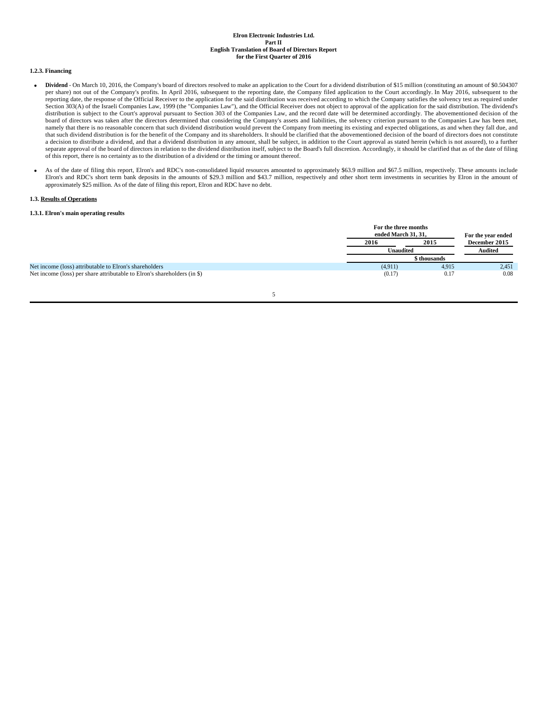## **1.2.3. Financing**

- **Dividend**  On March 10, 2016, the Company's board of directors resolved to make an application to the Court for a dividend distribution of \$15 million (constituting an amount of \$0.504307 per share) not out of the Company's profits. In April 2016, subsequent to the reporting date, the Company filed application to the Court accordingly. In May 2016, subsequent to the reporting date, the response of the Official Receiver to the application for the said distribution was received according to which the Company satisfies the solvency test as required under Section 303(A) of the Israeli Companies Law, 1999 (the "Companies Law"), and the Official Receiver does not object to approval of the application for the said distribution. The dividend's distribution is subject to the Court's approval pursuant to Section 303 of the Companies Law, and the record date will be determined accordingly. The abovementioned decision of the board of directors was taken after the directors determined that considering the Company's assets and liabilities, the solvency criterion pursuant to the Companies Law has been met, namely that there is no reasonable concern that such dividend distribution would prevent the Company from meeting its existing and expected obligations, as and when they fall due, and that such dividend distribution is for the benefit of the Company and its shareholders. It should be clarified that the abovementioned decision of the board of directors does not constitute a decision to distribute a dividend, and that a dividend distribution in any amount, shall be subject, in addition to the Court approval as stated herein (which is not assured), to a further separate approval of the board of directors in relation to the dividend distribution itself, subject to the Board's full discretion. Accordingly, it should be clarified that as of the date of filing of this report, there is no certainty as to the distribution of a dividend or the timing or amount thereof.
- As of the date of filing this report, Elron's and RDC's non-consolidated liquid resources amounted to approximately \$63.9 million and \$67.5 million, respectively. These amounts include Elron's and RDC's short term bank deposits in the amounts of \$29.3 million and \$43.7 million, respectively and other short term investments in securities by Elron in the amount of approximately \$25 million. As of the date of filing this report, Elron and RDC have no debt.

## **1.3. Results of Operations**

## **1.3.1. Elron's main operating results**

|                                                                          |         | For the three months<br>ended March 31, 31,<br>For the year ended<br>2015<br>December 2015<br>2016<br><b>Unaudited</b><br>\$ thousands |       |
|--------------------------------------------------------------------------|---------|----------------------------------------------------------------------------------------------------------------------------------------|-------|
|                                                                          |         |                                                                                                                                        |       |
|                                                                          |         |                                                                                                                                        |       |
|                                                                          |         |                                                                                                                                        |       |
| Net income (loss) attributable to Elron's shareholders                   | (4,911) | 4,915                                                                                                                                  | 2,451 |
| Net income (loss) per share attributable to Elron's shareholders (in \$) | (0.17)  | 0.17                                                                                                                                   | 0.08  |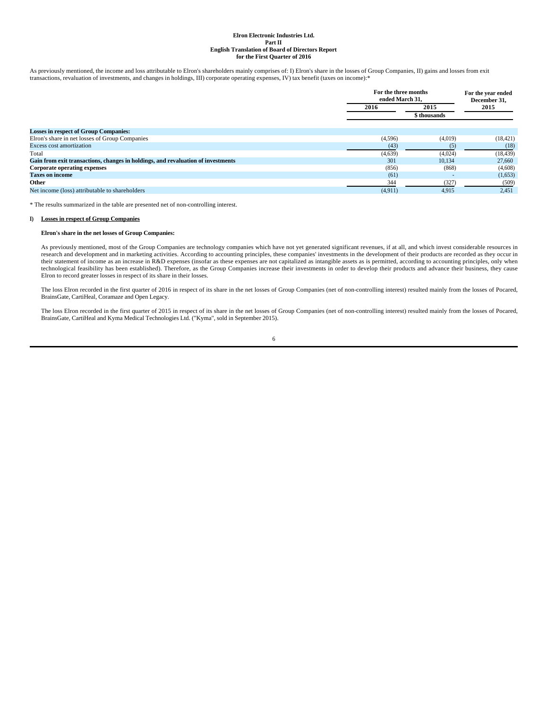As previously mentioned, the income and loss attributable to Elron's shareholders mainly comprises of: I) Elron's share in the losses of Group Companies, II) gains and losses from exit transactions, revaluation of investments, and changes in holdings, III) corporate operating expenses, IV) tax benefit (taxes on income):\*

|                                                                                  |         | For the three months<br>ended March 31. |           |  |
|----------------------------------------------------------------------------------|---------|-----------------------------------------|-----------|--|
|                                                                                  | 2016    | 2015                                    | 2015      |  |
|                                                                                  |         | \$ thousands                            |           |  |
| <b>Losses in respect of Group Companies:</b>                                     |         |                                         |           |  |
| Elron's share in net losses of Group Companies                                   | (4,596) | (4,019)                                 | (18, 421) |  |
| <b>Excess cost amortization</b>                                                  | (43)    | (5)                                     | (18)      |  |
| Total                                                                            | (4,639) | (4,024)                                 | (18, 439) |  |
| Gain from exit transactions, changes in holdings, and revaluation of investments | 301     | 10.134                                  | 27,660    |  |
| Corporate operating expenses                                                     | (856)   | (868)                                   | (4,608)   |  |
| <b>Taxes on income</b>                                                           | (61)    |                                         | (1,653)   |  |
| Other                                                                            | 344     | (327)                                   | (509)     |  |
| Net income (loss) attributable to shareholders                                   | (4,911) | 4,915                                   | 2,451     |  |
|                                                                                  |         |                                         |           |  |

\* The results summarized in the table are presented net of non-controlling interest.

#### **I) Losses in respect of Group Companies**

#### **Elron's share in the net losses of Group Companies:**

As previously mentioned, most of the Group Companies are technology companies which have not yet generated significant revenues, if at all, and which invest considerable resources in research and development and in marketing activities. According to accounting principles, these companies' investments in the development of their products are recorded as they occur in their statement of income as an increase in R&D expenses (insofar as these expenses are not capitalized as intangible assets as is permitted, according to accounting principles, only when technological feasibility has been established). Therefore, as the Group Companies increase their investments in order to develop their products and advance their business, they cause Elron to record greater losses in respect of its share in their losses.

The loss Elron recorded in the first quarter of 2016 in respect of its share in the net losses of Group Companies (net of non-controlling interest) resulted mainly from the losses of Pocared, BrainsGate, CartiHeal, Coramaze and Open Legacy.

The loss Elron recorded in the first quarter of 2015 in respect of its share in the net losses of Group Companies (net of non-controlling interest) resulted mainly from the losses of Pocared, BrainsGate, CartiHeal and Kyma Medical Technologies Ltd. ("Kyma", sold in September 2015).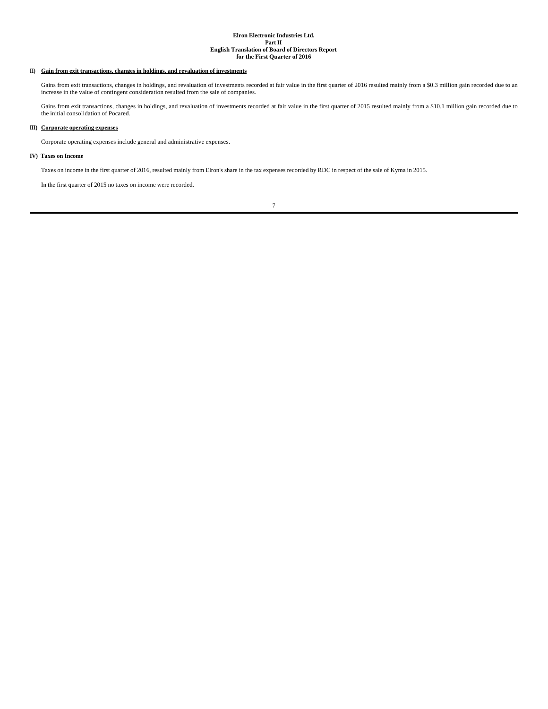## **II) Gain from exit transactions, changes in holdings, and revaluation of investments**

Gains from exit transactions, changes in holdings, and revaluation of investments recorded at fair value in the first quarter of 2016 resulted mainly from a \$0.3 million gain recorded due to an increase in the value of contingent consideration resulted from the sale of companies.

Gains from exit transactions, changes in holdings, and revaluation of investments recorded at fair value in the first quarter of 2015 resulted mainly from a \$10.1 million gain recorded due to the initial consolidation of Pocared.

# **III) Corporate operating expenses**

Corporate operating expenses include general and administrative expenses.

## **IV) Taxes on Income**

Taxes on income in the first quarter of 2016, resulted mainly from Elron's share in the tax expenses recorded by RDC in respect of the sale of Kyma in 2015.

In the first quarter of 2015 no taxes on income were recorded.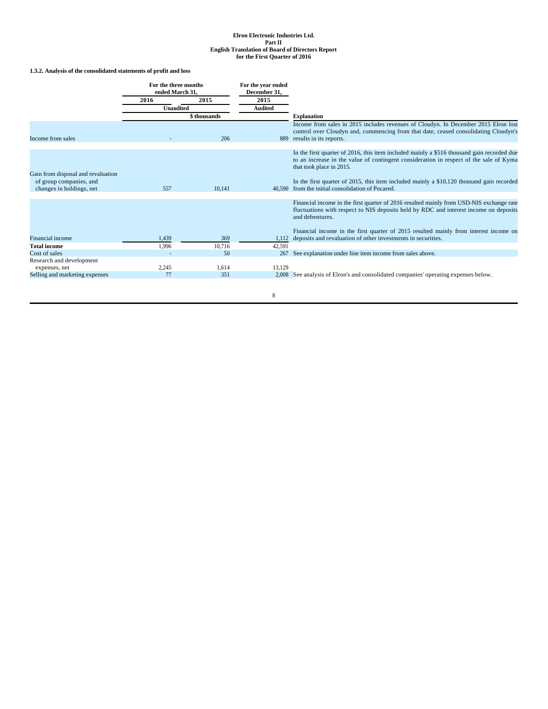# **1.3.2. Analysis of the consolidated statements of profit and loss**

|                                                     | For the three months<br>ended March 31. |              | For the year ended<br>December 31, |                                                                                                                                                                                                                  |  |  |
|-----------------------------------------------------|-----------------------------------------|--------------|------------------------------------|------------------------------------------------------------------------------------------------------------------------------------------------------------------------------------------------------------------|--|--|
|                                                     | 2016                                    | 2015         | 2015                               |                                                                                                                                                                                                                  |  |  |
|                                                     | <b>Unaudited</b>                        |              | <b>Audited</b>                     |                                                                                                                                                                                                                  |  |  |
|                                                     |                                         | \$ thousands |                                    | <b>Explanation</b>                                                                                                                                                                                               |  |  |
| Income from sales                                   |                                         | 206          | 889                                | Income from sales in 2015 includes revenues of Cloudyn. In December 2015 Elron lost<br>control over Cloudyn and, commencing from that date, ceased consolidating Cloudyn's<br>results in its reports.            |  |  |
|                                                     |                                         |              |                                    |                                                                                                                                                                                                                  |  |  |
| Gain from disposal and revaluation                  |                                         |              |                                    | In the first quarter of 2016, this item included mainly a \$516 thousand gain recorded due<br>to an increase in the value of contingent consideration in respect of the sale of Kyma<br>that took place in 2015. |  |  |
| of group companies, and<br>changes in holdings, net | 557                                     | 10.141       | 40.590                             | In the first quarter of 2015, this item included mainly a \$10,120 thousand gain recorded<br>from the initial consolidation of Pocared.                                                                          |  |  |
|                                                     |                                         |              |                                    |                                                                                                                                                                                                                  |  |  |
|                                                     |                                         |              |                                    | Financial income in the first quarter of 2016 resulted mainly from USD-NIS exchange rate<br>fluctuations with respect to NIS deposits held by RDC and interest income on deposits<br>and debentures.             |  |  |
|                                                     |                                         |              |                                    | Financial income in the first quarter of 2015 resulted mainly from interest income on                                                                                                                            |  |  |
| Financial income                                    | 1,439                                   | 369          | 1.112                              | deposits and revaluation of other investments in securities.                                                                                                                                                     |  |  |
| <b>Total income</b>                                 | 1,996                                   | 10,716       | 42,591                             |                                                                                                                                                                                                                  |  |  |
| Cost of sales                                       |                                         | 50           | 267                                | See explanation under line item income from sales above.                                                                                                                                                         |  |  |
| Research and development                            |                                         |              |                                    |                                                                                                                                                                                                                  |  |  |
| expenses, net                                       | 2,245                                   | 1,614        | 13,129                             |                                                                                                                                                                                                                  |  |  |
| Selling and marketing expenses                      | 77                                      | 351          |                                    | 2,008 See analysis of Elron's and consolidated companies' operating expenses below.                                                                                                                              |  |  |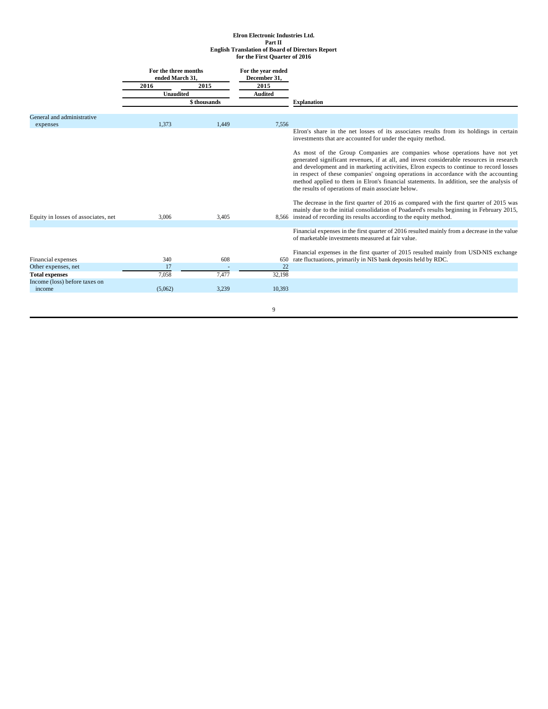|                                     | For the three months<br>ended March 31, |              | For the year ended<br>December 31, |                                                                                                                                                                                                                                                                                                                                                                                                                                                                                                            |
|-------------------------------------|-----------------------------------------|--------------|------------------------------------|------------------------------------------------------------------------------------------------------------------------------------------------------------------------------------------------------------------------------------------------------------------------------------------------------------------------------------------------------------------------------------------------------------------------------------------------------------------------------------------------------------|
|                                     | 2016                                    | 2015         | 2015                               |                                                                                                                                                                                                                                                                                                                                                                                                                                                                                                            |
|                                     | <b>Unaudited</b>                        |              | <b>Audited</b>                     |                                                                                                                                                                                                                                                                                                                                                                                                                                                                                                            |
|                                     |                                         | \$ thousands |                                    | <b>Explanation</b>                                                                                                                                                                                                                                                                                                                                                                                                                                                                                         |
| General and administrative          |                                         |              |                                    |                                                                                                                                                                                                                                                                                                                                                                                                                                                                                                            |
| expenses                            | 1.373                                   | 1.449        | 7.556                              |                                                                                                                                                                                                                                                                                                                                                                                                                                                                                                            |
|                                     |                                         |              |                                    | Elron's share in the net losses of its associates results from its holdings in certain<br>investments that are accounted for under the equity method.                                                                                                                                                                                                                                                                                                                                                      |
|                                     |                                         |              |                                    | As most of the Group Companies are companies whose operations have not yet<br>generated significant revenues, if at all, and invest considerable resources in research<br>and development and in marketing activities, Elron expects to continue to record losses<br>in respect of these companies' ongoing operations in accordance with the accounting<br>method applied to them in Elron's financial statements. In addition, see the analysis of<br>the results of operations of main associate below. |
| Equity in losses of associates, net | 3,006                                   | 3,405        |                                    | The decrease in the first quarter of 2016 as compared with the first quarter of 2015 was<br>mainly due to the initial consolidation of Poadared's results beginning in February 2015,<br>8,566 instead of recording its results according to the equity method.                                                                                                                                                                                                                                            |
|                                     |                                         |              |                                    |                                                                                                                                                                                                                                                                                                                                                                                                                                                                                                            |
|                                     |                                         |              |                                    | Financial expenses in the first quarter of 2016 resulted mainly from a decrease in the value<br>of marketable investments measured at fair value.                                                                                                                                                                                                                                                                                                                                                          |
|                                     |                                         |              |                                    | Financial expenses in the first quarter of 2015 resulted mainly from USD-NIS exchange                                                                                                                                                                                                                                                                                                                                                                                                                      |
| Financial expenses                  | 340                                     | 608          | 650                                | rate fluctuations, primarily in NIS bank deposits held by RDC.                                                                                                                                                                                                                                                                                                                                                                                                                                             |
| Other expenses, net                 | 17                                      |              | 22                                 |                                                                                                                                                                                                                                                                                                                                                                                                                                                                                                            |
| <b>Total expenses</b>               | 7,058                                   | 7.477        | 32,198                             |                                                                                                                                                                                                                                                                                                                                                                                                                                                                                                            |
| Income (loss) before taxes on       |                                         |              |                                    |                                                                                                                                                                                                                                                                                                                                                                                                                                                                                                            |
| income                              | (5,062)                                 | 3,239        | 10,393                             |                                                                                                                                                                                                                                                                                                                                                                                                                                                                                                            |
|                                     |                                         |              |                                    |                                                                                                                                                                                                                                                                                                                                                                                                                                                                                                            |
|                                     |                                         |              | 9                                  |                                                                                                                                                                                                                                                                                                                                                                                                                                                                                                            |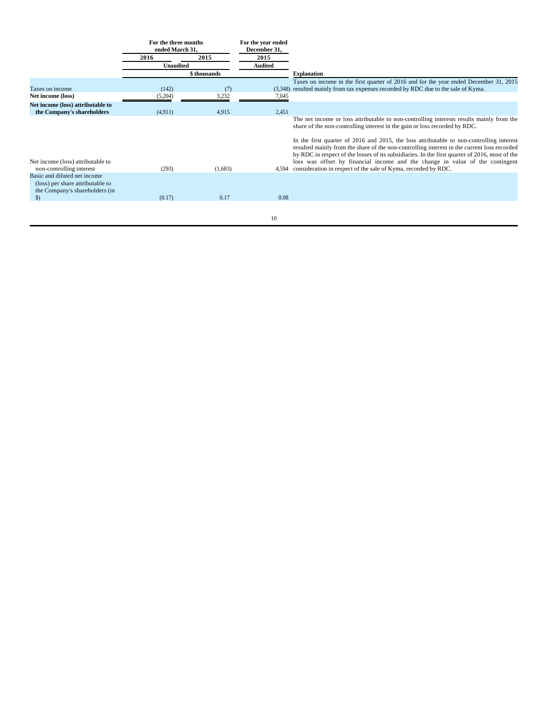|                                                                                                    | For the three months<br>ended March 31. |              | For the year ended<br>December 31, |                                                                                                                                                                                                                                                                                                                                                                            |
|----------------------------------------------------------------------------------------------------|-----------------------------------------|--------------|------------------------------------|----------------------------------------------------------------------------------------------------------------------------------------------------------------------------------------------------------------------------------------------------------------------------------------------------------------------------------------------------------------------------|
|                                                                                                    | 2016                                    | 2015         | 2015                               |                                                                                                                                                                                                                                                                                                                                                                            |
|                                                                                                    | <b>Unaudited</b>                        |              | <b>Audited</b>                     |                                                                                                                                                                                                                                                                                                                                                                            |
|                                                                                                    |                                         | \$ thousands |                                    | <b>Explanation</b>                                                                                                                                                                                                                                                                                                                                                         |
| Taxes on income<br>Net income (loss)                                                               | (142)<br>(5,204)                        | (7)<br>3,232 | (3.348)<br>7,045                   | Taxes on income in the first quarter of 2016 and for the year ended December 31, 2015<br>resulted mainly from tax expenses recorded by RDC due to the sale of Kyma.                                                                                                                                                                                                        |
| Net income (loss) attributable to<br>the Company's shareholders                                    | (4,911)                                 | 4,915        | 2,451                              |                                                                                                                                                                                                                                                                                                                                                                            |
|                                                                                                    |                                         |              |                                    | The net income or loss attributable to non-controlling interests results mainly from the<br>share of the non-controlling interest in the gain or loss recorded by RDC.                                                                                                                                                                                                     |
| Net income (loss) attributable to                                                                  |                                         |              |                                    | In the first quarter of 2016 and 2015, the loss attributable to non-controlling interest<br>resulted mainly from the share of the non-controlling interest in the current loss recorded<br>by RDC in respect of the losses of its subsidiaries. In the first quarter of 2016, most of the<br>loss was offset by financial income and the change in value of the contingent |
| non-controlling interest                                                                           | (293)                                   | (1,683)      | 4,594                              | consideration in respect of the sale of Kyma, recorded by RDC.                                                                                                                                                                                                                                                                                                             |
| Basic and diluted net income<br>(loss) per share attributable to<br>the Company's shareholders (in |                                         |              |                                    |                                                                                                                                                                                                                                                                                                                                                                            |
| $\mathcal{S}$                                                                                      | (0.17)                                  | 0.17         | 0.08                               |                                                                                                                                                                                                                                                                                                                                                                            |
|                                                                                                    |                                         |              |                                    |                                                                                                                                                                                                                                                                                                                                                                            |
|                                                                                                    |                                         |              | 10                                 |                                                                                                                                                                                                                                                                                                                                                                            |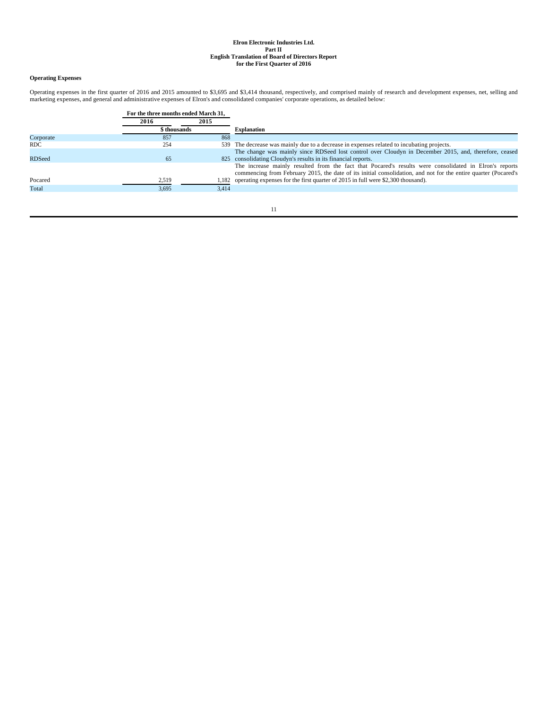# **Operating Expenses**

Operating expenses in the first quarter of 2016 and 2015 amounted to \$3,695 and \$3,414 thousand, respectively, and comprised mainly of research and development expenses, net, selling and<br>marketing expenses, and general and

|               | For the three months ended March 31, |       |                                                                                                                                                                                                                           |
|---------------|--------------------------------------|-------|---------------------------------------------------------------------------------------------------------------------------------------------------------------------------------------------------------------------------|
|               | 2016                                 | 2015  |                                                                                                                                                                                                                           |
|               | \$ thousands                         |       | <b>Explanation</b>                                                                                                                                                                                                        |
| Corporate     | 857                                  | 868   |                                                                                                                                                                                                                           |
| RDC.          | 254                                  |       | 539 The decrease was mainly due to a decrease in expenses related to incubating projects.                                                                                                                                 |
|               |                                      |       | The change was mainly since RDSeed lost control over Cloudyn in December 2015, and, therefore, ceased                                                                                                                     |
| <b>RDSeed</b> | 65                                   |       | 825 consolidating Cloudyn's results in its financial reports.                                                                                                                                                             |
|               |                                      |       | The increase mainly resulted from the fact that Pocared's results were consolidated in Elron's reports<br>commencing from February 2015, the date of its initial consolidation, and not for the entire quarter (Pocared's |
| Pocared       | 2,519                                |       | 1,182 operating expenses for the first quarter of 2015 in full were \$2,300 thousand).                                                                                                                                    |
| Total         | 3,695                                | 3.414 |                                                                                                                                                                                                                           |
|               |                                      |       |                                                                                                                                                                                                                           |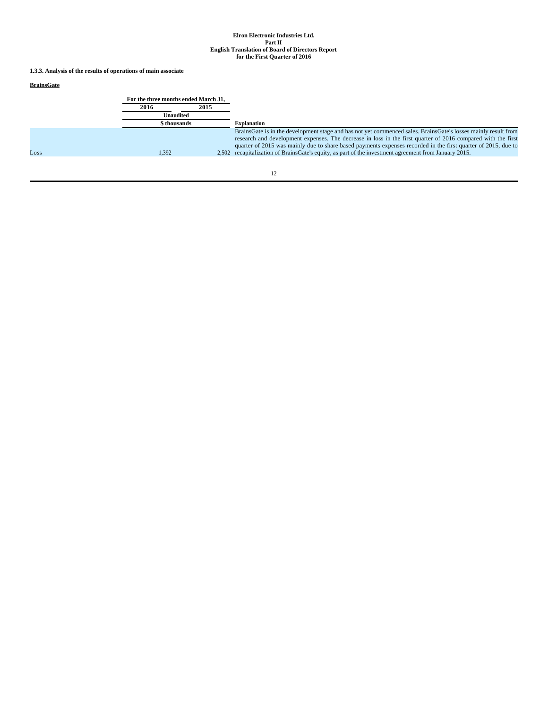**1.3.3. Analysis of the results of operations of main associate**

# **BrainsGate**

|      | For the three months ended March 31. |      |                                                                                                                                                                                                                                                                                                                                                                                                                                                          |
|------|--------------------------------------|------|----------------------------------------------------------------------------------------------------------------------------------------------------------------------------------------------------------------------------------------------------------------------------------------------------------------------------------------------------------------------------------------------------------------------------------------------------------|
|      | 2016                                 | 2015 |                                                                                                                                                                                                                                                                                                                                                                                                                                                          |
|      | Unaudited                            |      |                                                                                                                                                                                                                                                                                                                                                                                                                                                          |
|      | \$ thousands                         |      | <b>Explanation</b>                                                                                                                                                                                                                                                                                                                                                                                                                                       |
| Loss | 1,392                                |      | BrainsGate is in the development stage and has not yet commenced sales. BrainsGate's losses mainly result from<br>research and development expenses. The decrease in loss in the first quarter of 2016 compared with the first<br>quarter of 2015 was mainly due to share based payments expenses recorded in the first quarter of 2015, due to<br>2,502 recapitalization of BrainsGate's equity, as part of the investment agreement from January 2015. |
|      |                                      |      |                                                                                                                                                                                                                                                                                                                                                                                                                                                          |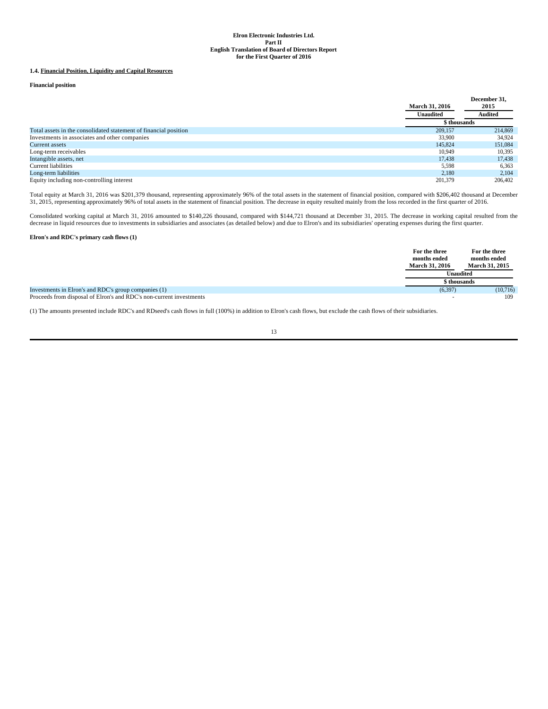## **1.4. Financial Position, Liquidity and Capital Resources**

**Financial position**

|                                                                  | <b>March 31, 2016</b> | December 31.<br>2015 |  |
|------------------------------------------------------------------|-----------------------|----------------------|--|
|                                                                  | <b>Unaudited</b>      | <b>Audited</b>       |  |
|                                                                  | \$ thousands          |                      |  |
| Total assets in the consolidated statement of financial position | 209,157               | 214,869              |  |
| Investments in associates and other companies                    | 33,900                | 34.924               |  |
| Current assets                                                   | 145,824               | 151.084              |  |
| Long-term receivables                                            | 10,949                | 10,395               |  |
| Intangible assets, net                                           | 17.438                | 17,438               |  |
| Current liabilities                                              | 5,598                 | 6,363                |  |
| Long-term liabilities                                            | 2.180                 | 2,104                |  |
| Equity including non-controlling interest                        | 201.379               | 206,402              |  |

Total equity at March 31, 2016 was \$201,379 thousand, representing approximately 96% of the total assets in the statement of financial position, compared with \$206,402 thousand at December<br>31, 2015, representing approximat

Consolidated working capital at March 31, 2016 amounted to \$140,226 thousand, compared with \$144,721 thousand at December 31, 2015. The decrease in working capital resulted from the decrease in liquid resources due to inve

## **Elron's and RDC's primary cash flows (1)**

|                                                                     | For the three<br>months ended<br><b>March 31, 2016</b> | For the three<br>months ended<br><b>March 31, 2015</b> |
|---------------------------------------------------------------------|--------------------------------------------------------|--------------------------------------------------------|
|                                                                     | <b>Unaudited</b>                                       |                                                        |
|                                                                     | \$ thousands                                           |                                                        |
| Investments in Elron's and RDC's group companies (1)                | (6, 397)                                               | (10,716)                                               |
| Proceeds from disposal of Elron's and RDC's non-current investments |                                                        | 109                                                    |

(1) The amounts presented include RDC's and RDseed's cash flows in full (100%) in addition to Elron's cash flows, but exclude the cash flows of their subsidiaries.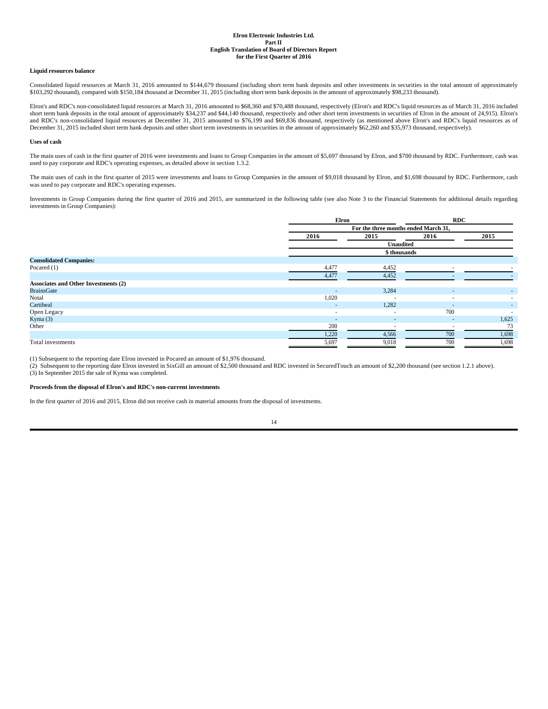#### **Liquid resources balance**

Consolidated liquid resources at March 31, 2016 amounted to \$144,679 thousand (including short term bank deposits and other investments in securities in the total amount of approximately \$103,292 thousand), compared with \$150,184 thousand at December 31, 2015 (including short term bank deposits in the amount of approximately \$98,233 thousand).

Elron's and RDC's non-consolidated liquid resources at March 31, 2016 amounted to \$68,360 and \$70,488 thousand, respectively (Elron's and RDC's liquid resources as of March 31, 2016 included short term bank deposits in the total amount of approximately \$34,237 and \$44,140 thousand, respectively and other short term investments in securities of Elron in the amount of 24,915). Elron's and RDC's non-consolidated liquid resources at December 31, 2015 amounted to \$76,199 and \$69,836 thousand, respectively (as mentioned above Elron's and RDC's liquid resources as of December 31, 2015 included short term bank deposits and other short term investments in securities in the amount of approximately \$62,260 and \$35,973 thousand, respectively).

### **Uses of cash**

The main uses of cash in the first quarter of 2016 were investments and loans to Group Companies in the amount of \$5,697 thousand by Elron, and \$700 thousand by RDC. Furthermore, cash was used to pay corporate and RDC's operating expenses, as detailed above in section 1.3.2.

The main uses of cash in the first quarter of 2015 were investments and loans to Group Companies in the amount of \$9,018 thousand by Elron, and \$1,698 thousand by RDC. Furthermore, cash was used to pay corporate and RDC's operating expenses.

Investments in Group Companies during the first quarter of 2016 and 2015, are summarized in the following table (see also Note 3 to the Financial Statements for additional details regarding investments in Group Companies):

|                                             | Elron                                |                          | <b>RDC</b>     |       |
|---------------------------------------------|--------------------------------------|--------------------------|----------------|-------|
|                                             | For the three months ended March 31, |                          |                |       |
|                                             | 2016                                 | 2015                     | 2016           | 2015  |
|                                             |                                      | Unaudited                |                |       |
|                                             |                                      | \$ thousands             |                |       |
| <b>Consolidated Companies:</b>              |                                      |                          |                |       |
| Pocared $(1)$                               | 4,477                                | 4,452                    |                |       |
|                                             | 4,477                                | 4,452                    |                |       |
| <b>Associates and Other Investments (2)</b> |                                      |                          |                |       |
| <b>BrainsGate</b>                           | $\overline{a}$                       | 3,284                    |                | ٠     |
| Notal                                       | 1,020                                | $\overline{\phantom{a}}$ |                |       |
| Cartiheal                                   | $\overline{\phantom{a}}$             | 1,282                    |                |       |
| Open Legacy                                 | $\overline{\phantom{a}}$             | $\overline{\phantom{a}}$ | 700            |       |
| Kyma $(3)$                                  | $\sim$                               | $\sim$                   | $\overline{a}$ | 1,625 |
| Other                                       | 200                                  |                          |                | 73    |
|                                             | 1,220                                | 4,566                    | 700            | 1,698 |
| Total investments                           | 5,697                                | 9,018                    | 700            | 1,698 |

(1) Subsequent to the reporting date Elron invested in Pocared an amount of \$1,976 thousand.

(2) Subsequent to the reporting date Elron invested in SixGill an amount of \$2,500 thousand and RDC invested in SecuredTouch an amount of \$2,200 thousand (see section 1.2.1 above). (3) In September 2015 the sale of Kyma was completed.

### **Proceeds from the disposal of Elron's and RDC's non-current investments**

In the first quarter of 2016 and 2015, Elron did not receive cash in material amounts from the disposal of investments.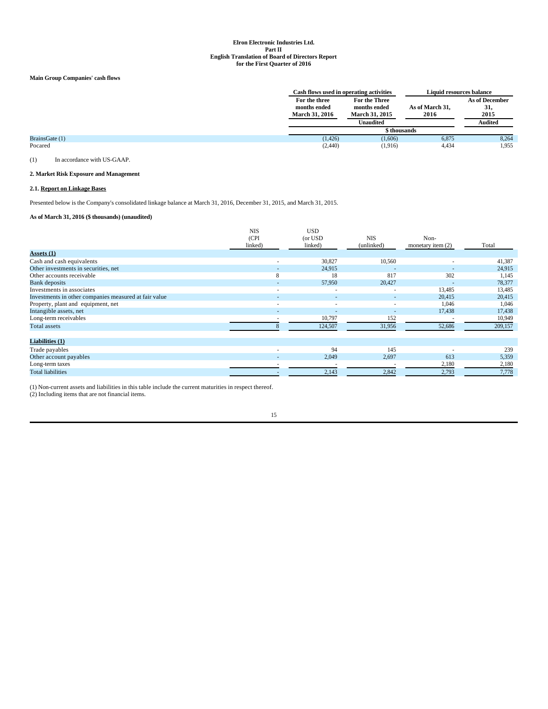## **Main Group Companies' cash flows**

|                |                                                        | Cash flows used in operating activities                             |                         | Liquid resources balance                        |
|----------------|--------------------------------------------------------|---------------------------------------------------------------------|-------------------------|-------------------------------------------------|
|                | For the three<br>months ended<br><b>March 31, 2016</b> | For the Three<br>months ended<br><b>March 31, 2015</b><br>Unaudited | As of March 31,<br>2016 | <b>As of December</b><br>31,<br>2015<br>Audited |
|                |                                                        | \$ thousands                                                        |                         |                                                 |
| BrainsGate (1) | (1, 426)                                               | (1,606)                                                             | 6,875                   | 8,264                                           |
| Pocared        | (2,440)                                                | (1,916)                                                             | 4,434                   | 1,955                                           |

(1) In accordance with US-GAAP.

## **2. Market Risk Exposure and Management**

## **2.1. Report on Linkage Bases**

Presented below is the Company's consolidated linkage balance at March 31, 2016, December 31, 2015, and March 31, 2015.

# **As of March 31, 2016 (\$ thousands) (unaudited)**

|                                                       | <b>NIS</b><br>(CPI)<br>linked) | <b>USD</b><br>(or USD<br>linked) | <b>NIS</b><br>(unlinked) | Non-<br>monetary item $(2)$ | Total   |
|-------------------------------------------------------|--------------------------------|----------------------------------|--------------------------|-----------------------------|---------|
| <b>Assets</b> (1)                                     |                                |                                  |                          |                             |         |
| Cash and cash equivalents                             | $\overline{\phantom{a}}$       | 30,827                           | 10,560                   | $\overline{a}$              | 41,387  |
| Other investments in securities, net                  | $\overline{a}$                 | 24,915                           | $\overline{a}$           |                             | 24,915  |
| Other accounts receivable                             | 8                              | 18                               | 817                      | 302                         | 1,145   |
| <b>Bank</b> deposits                                  |                                | 57,950                           | 20,427                   |                             | 78,377  |
| Investments in associates                             | $\overline{\phantom{a}}$       | $\overline{\phantom{a}}$         | $\overline{\phantom{a}}$ | 13,485                      | 13,485  |
| Investments in other companies measured at fair value | $\overline{\phantom{a}}$       | $\overline{a}$                   | $\sim$                   | 20,415                      | 20,415  |
| Property, plant and equipment, net                    | $\overline{a}$                 | $\overline{\phantom{a}}$         | $\overline{\phantom{a}}$ | 1,046                       | 1,046   |
| Intangible assets, net                                | $\overline{a}$                 | $\overline{\phantom{a}}$         | $\overline{\phantom{a}}$ | 17,438                      | 17,438  |
| Long-term receivables                                 |                                | 10,797                           | 152                      |                             | 10,949  |
| Total assets                                          |                                | 124,507                          | 31,956                   | 52,686                      | 209,157 |
| Liabilities (1)                                       |                                |                                  |                          |                             |         |
| Trade payables                                        |                                | 94                               | 145                      |                             | 239     |
| Other account payables                                | $\overline{a}$                 | 2,049                            | 2,697                    | 613                         | 5,359   |
| Long-term taxes                                       | $\overline{\phantom{a}}$       | $\overline{\phantom{a}}$         |                          | 2,180                       | 2,180   |
| <b>Total liabilities</b>                              |                                | 2,143                            | 2,842                    | 2,793                       | 7,778   |

(1) Non-current assets and liabilities in this table include the current maturities in respect thereof.

(2) Including items that are not financial items.

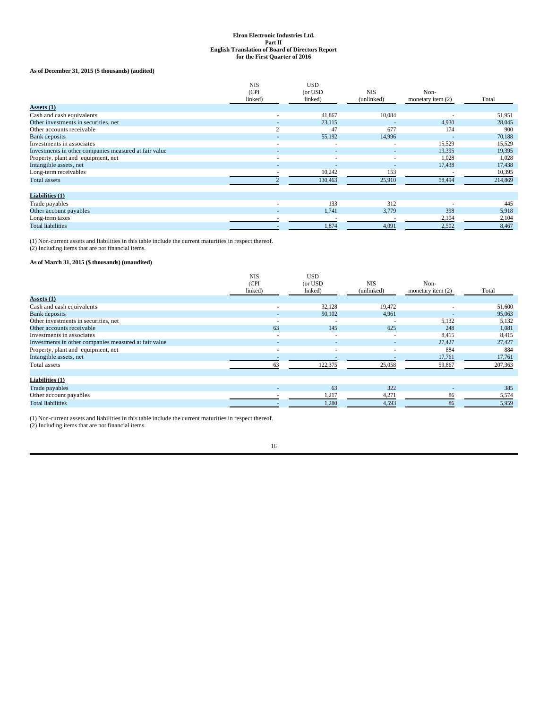# **As of December 31, 2015 (\$ thousands) (audited)**

|                                                       | <b>NIS</b><br>(CPI<br>linked) | <b>USD</b><br>(or USD<br>linked) | <b>NIS</b><br>(unlinked) | Non-<br>monetary item $(2)$ | Total   |
|-------------------------------------------------------|-------------------------------|----------------------------------|--------------------------|-----------------------------|---------|
| Assets (1)                                            |                               |                                  |                          |                             |         |
| Cash and cash equivalents                             | $\overline{\phantom{a}}$      | 41,867                           | 10,084                   |                             | 51,951  |
| Other investments in securities, net                  | ٠                             | 23,115                           | $\overline{a}$           | 4,930                       | 28,045  |
| Other accounts receivable                             | $\overline{c}$                | 47                               | 677                      | 174                         | 900     |
| <b>Bank</b> deposits                                  | $\overline{\phantom{a}}$      | 55,192                           | 14,996                   |                             | 70,188  |
| Investments in associates                             | ۰                             | $\overline{\phantom{a}}$         | $\overline{\phantom{a}}$ | 15,529                      | 15,529  |
| Investments in other companies measured at fair value | $\overline{\phantom{a}}$      | $\sim$                           | $\sim$                   | 19,395                      | 19,395  |
| Property, plant and equipment, net                    | $\overline{\phantom{a}}$      | $\sim$                           | $\overline{\phantom{a}}$ | 1,028                       | 1,028   |
| Intangible assets, net                                | $\overline{\phantom{a}}$      | $\overline{a}$                   | $\overline{a}$           | 17,438                      | 17,438  |
| Long-term receivables                                 |                               | 10,242                           | 153                      |                             | 10,395  |
| Total assets                                          |                               | 130,463                          | 25,910                   | 58,494                      | 214,869 |
| Liabilities (1)                                       |                               |                                  |                          |                             |         |
| Trade payables                                        | $\overline{\phantom{a}}$      | 133                              | 312                      |                             | 445     |
| Other account payables                                | $\overline{\phantom{a}}$      | 1,741                            | 3,779                    | 398                         | 5,918   |
| Long-term taxes                                       |                               |                                  |                          | 2,104                       | 2,104   |
| <b>Total liabilities</b>                              |                               | 1,874                            | 4,091                    | 2,502                       | 8,467   |

(1) Non-current assets and liabilities in this table include the current maturities in respect thereof.

# (2) Including items that are not financial items.

# **As of March 31, 2015 (\$ thousands) (unaudited)**

|                                                       | <b>NIS</b><br>(CPI)<br>linked) | USD<br>(or USD<br>linked) | <b>NIS</b><br>(unlinked) | Non-<br>monetary item $(2)$ | Total   |
|-------------------------------------------------------|--------------------------------|---------------------------|--------------------------|-----------------------------|---------|
| Assets (1)                                            |                                |                           |                          |                             |         |
| Cash and cash equivalents                             | $\overline{\phantom{a}}$       | 32,128                    | 19,472                   |                             | 51,600  |
| <b>Bank</b> deposits                                  | ۰.                             | 90,102                    | 4,961                    |                             | 95,063  |
| Other investments in securities, net                  | $\overline{\phantom{a}}$       | $\overline{\phantom{a}}$  | $\overline{\phantom{a}}$ | 5,132                       | 5,132   |
| Other accounts receivable                             | 63                             | 145                       | 625                      | 248                         | 1,081   |
| Investments in associates                             | $\sim$                         | $\overline{\phantom{a}}$  | $\overline{\phantom{a}}$ | 8,415                       | 8,415   |
| Investments in other companies measured at fair value | $\sim$                         | $\sim$                    | $\sim$                   | 27,427                      | 27,427  |
| Property, plant and equipment, net                    | $\overline{\phantom{a}}$       | $\overline{\phantom{a}}$  | $\overline{\phantom{a}}$ | 884                         | 884     |
| Intangible assets, net                                |                                |                           |                          | 17,761                      | 17,761  |
| Total assets                                          | 63                             | 122,375                   | 25,058                   | 59,867                      | 207,363 |
| Liabilities (1)                                       |                                |                           |                          |                             |         |
| Trade payables                                        | $\overline{\phantom{a}}$       | 63                        | 322                      | $\overline{\phantom{a}}$    | 385     |
| Other account payables                                |                                | 1,217                     | 4,271                    | 86                          | 5,574   |
| <b>Total liabilities</b>                              |                                | 1,280                     | 4,593                    | 86                          | 5,959   |

(1) Non-current assets and liabilities in this table include the current maturities in respect thereof.

(2) Including items that are not financial items.

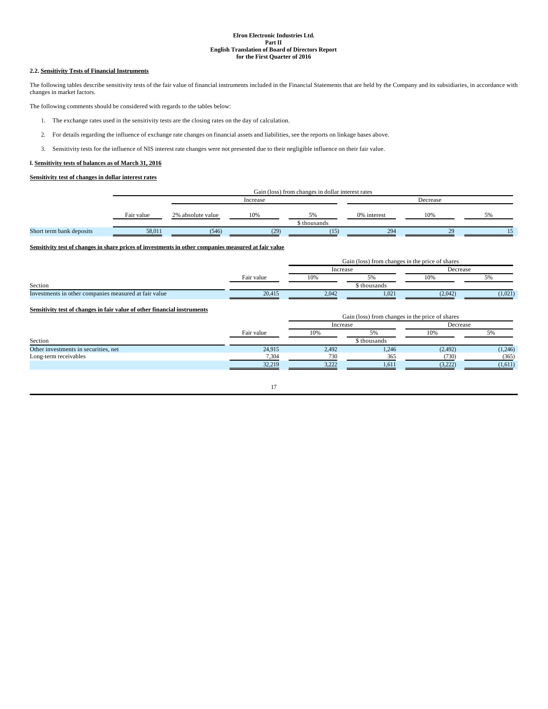## **2.2. Sensitivity Tests of Financial Instruments**

The following tables describe sensitivity tests of the fair value of financial instruments included in the Financial Statements that are held by the Company and its subsidiaries, in accordance with changes in market factors.

The following comments should be considered with regards to the tables below:

- 1. The exchange rates used in the sensitivity tests are the closing rates on the day of calculation.
- 2. For details regarding the influence of exchange rate changes on financial assets and liabilities, see the reports on linkage bases above.
- 3. Sensitivity tests for the influence of NIS interest rate changes were not presented due to their negligible influence on their fair value.

## **I. Sensitivity tests of balances as of March 31, 2016**

# **Sensitivity test of changes in dollar interest rates**

|                          |            | Gain (loss) from changes in dollar interest rates |      |                    |             |     |    |
|--------------------------|------------|---------------------------------------------------|------|--------------------|-------------|-----|----|
|                          |            | Increase                                          |      |                    |             |     |    |
|                          | Fair value | 2% absolute value                                 | 10%  | 5%<br>s̃ thousands | 0% interest | 10% | 5% |
| Short term bank deposits | 58.011     | (546)                                             | (29) | (15)               | 294         | 20  |    |

# **Sensitivity test of changes in share prices of investments in other companies measured at fair value**

|                                                                          |            | Gain (loss) from changes in the price of shares |                                                 |          |         |
|--------------------------------------------------------------------------|------------|-------------------------------------------------|-------------------------------------------------|----------|---------|
|                                                                          |            | Increase                                        |                                                 | Decrease |         |
|                                                                          | Fair value | 10%                                             | 5%                                              | 10%      | 5%      |
| Section                                                                  |            |                                                 | \$ thousands                                    |          |         |
| Investments in other companies measured at fair value                    | 20,415     | 2,042                                           | 1,021                                           | (2,042)  | (1,021) |
| Sensitivity test of changes in fair value of other financial instruments |            |                                                 | Gain (loss) from changes in the price of shares |          |         |
|                                                                          |            | Increase                                        |                                                 | Decrease |         |
|                                                                          | Fair value | 10%                                             | 5%                                              | 10%      | 5%      |
| Section                                                                  |            |                                                 | \$ thousands                                    |          |         |
| Other investments in securities, net                                     | 24,915     | 2,492                                           | 1,246                                           | (2, 492) | (1,246) |
| Long-term receivables                                                    | 7,304      | 730                                             | 365                                             | (730)    | (365)   |
|                                                                          | 32,219     | 3,222                                           | 1,611                                           | (3,222)  | (1,611) |
|                                                                          |            |                                                 |                                                 |          |         |

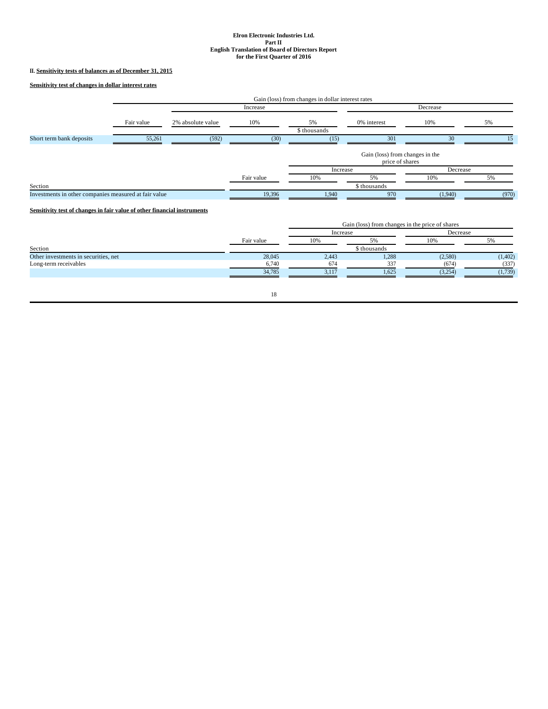# **II. Sensitivity tests of balances as of December 31, 2015**

**Sensitivity test of changes in dollar interest rates**

|                                                       |            | Gain (loss) from changes in dollar interest rates |            |                    |                                                    |          |       |
|-------------------------------------------------------|------------|---------------------------------------------------|------------|--------------------|----------------------------------------------------|----------|-------|
|                                                       |            |                                                   | Increase   |                    |                                                    | Decrease |       |
|                                                       | Fair value | 2% absolute value                                 | 10%        | 5%<br>\$ thousands | 0% interest                                        | 10%      | 5%    |
| Short term bank deposits                              | 55,261     | (592)                                             | (30)       | (15)               | 301                                                | 30       | 15    |
|                                                       |            |                                                   |            |                    | Gain (loss) from changes in the<br>price of shares |          |       |
|                                                       |            |                                                   |            | Increase           |                                                    | Decrease |       |
|                                                       |            |                                                   | Fair value | 10%                | 5%                                                 | 10%      | 5%    |
| Section                                               |            |                                                   |            |                    | \$ thousands                                       |          |       |
| Investments in other companies measured at fair value |            |                                                   | 19,396     | 1,940              | 970                                                | (1,940)  | (970) |

# **Sensitivity test of changes in fair value of other financial instruments**

|                                      |            | Gain (loss) from changes in the price of shares |              |         |          |
|--------------------------------------|------------|-------------------------------------------------|--------------|---------|----------|
|                                      |            |                                                 | Increase     |         | Decrease |
|                                      | Fair value | 10%                                             | 5%           | 10%     | 5%       |
| Section                              |            |                                                 | \$ thousands |         |          |
| Other investments in securities, net | 28,045     | 2,443                                           | 1,288        | (2,580) | (1,402)  |
| Long-term receivables                | 6.740      | 674                                             | 337          | (674)   | (337)    |
|                                      | 34.785     | 3.117                                           | 1.625        | (3,254) | (1,739)  |
|                                      |            |                                                 |              |         |          |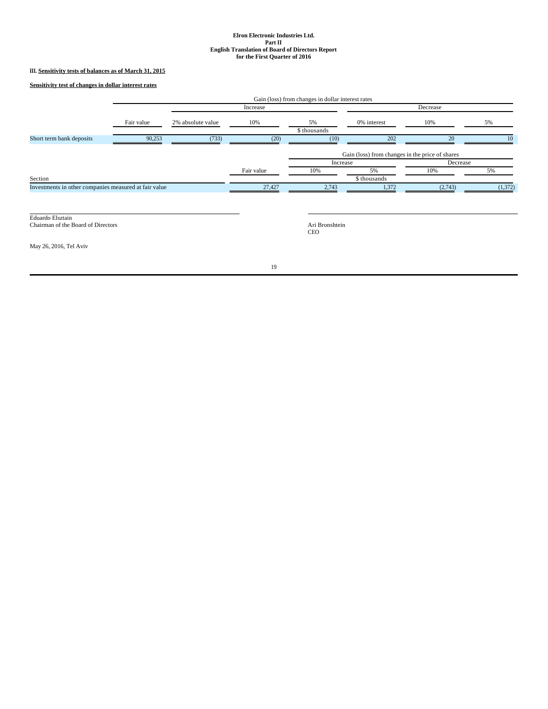# **III. Sensitivity tests of balances as of March 31, 2015**

**Sensitivity test of changes in dollar interest rates**

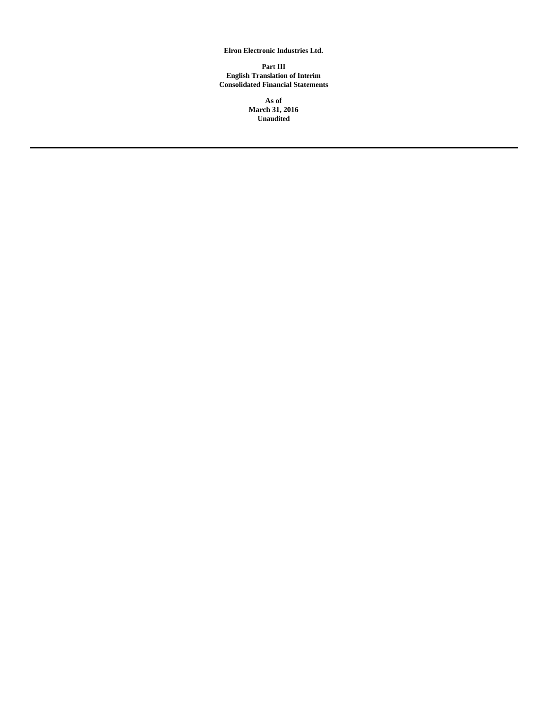**Elron Electronic Industries Ltd.**

**Part III English Translation of Interim Consolidated Financial Statements**

> **As of March 31, 2016 Unaudited**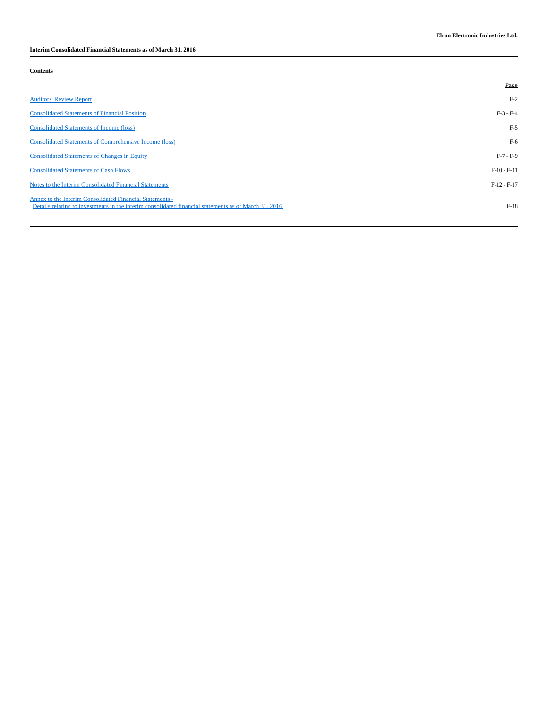**Interim Consolidated Financial Statements as of March 31, 2016** 

| Contents |
|----------|
|----------|

|                                                                                                                                                                   | Page          |
|-------------------------------------------------------------------------------------------------------------------------------------------------------------------|---------------|
| <b>Auditors' Review Report</b>                                                                                                                                    | $F-2$         |
| <b>Consolidated Statements of Financial Position</b>                                                                                                              | $F-3 - F-4$   |
| <b>Consolidated Statements of Income (loss)</b>                                                                                                                   | $F-5$         |
| <b>Consolidated Statements of Comprehensive Income (loss)</b>                                                                                                     | $F-6$         |
| <b>Consolidated Statements of Changes in Equity</b>                                                                                                               | $F-7 - F-9$   |
| <b>Consolidated Statements of Cash Flows</b>                                                                                                                      | $F-10-F-11$   |
| Notes to the Interim Consolidated Financial Statements                                                                                                            | $F-12 - F-17$ |
| Annex to the Interim Consolidated Financial Statements -<br>Details relating to investments in the interim consolidated financial statements as of March 31, 2016 | $F-18$        |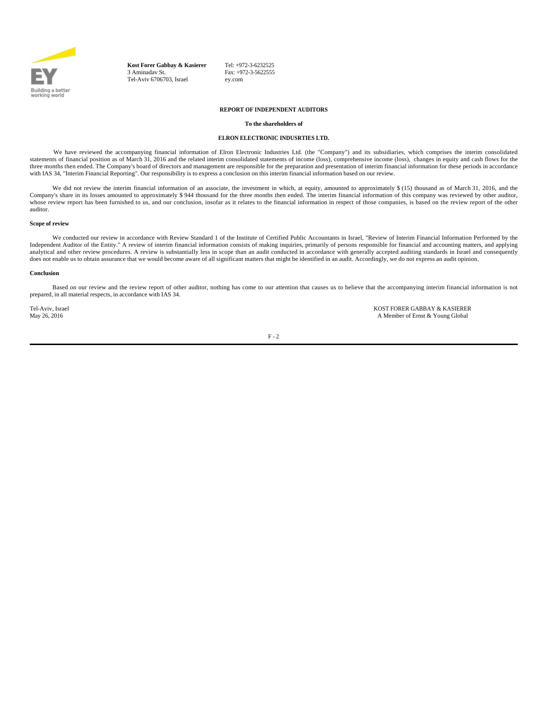

**Kost Forer Gabbay & Kasierer** 3 Aminadav St. Tel-Aviv 6706703, Israel

Tel: +972-3-6232525  $Fax: +972-3-5622555$ ey.com

# **REPORT OF INDEPENDENT AUDITORS**

## **To the shareholders of**

## **ELRON ELECTRONIC INDUSRTIES LTD.**

We have reviewed the accompanying financial information of Elron Electronic Industries Ltd. (the "Company") and its subsidiaries, which comprises the interim consolidated statements of financial position as of March 31, 2016 and the related interim consolidated statements of income (loss), comprehensive income (loss), changes in equity and cash flows for the three months then ended. The Company's board of directors and management are responsible for the preparation and presentation of interim financial information for these periods in accordance with IAS 34, "Interim Financial Reporting". Our responsibility is to express a conclusion on this interim financial information based on our review.

We did not review the interim financial information of an associate, the investment in which, at equity, amounted to approximately \$ (15) thousand as of March 31, 2016, and the Company's share in its losses amounted to approximately \$ 944 thousand for the three months then ended. The interim financial information of this company was reviewed by other auditor, whose review report has been furnished to us, and our conclusion, insofar as it relates to the financial information in respect of those companies, is based on the review report of the other auditor.

## **Scope of review**

We conducted our review in accordance with Review Standard 1 of the Institute of Certified Public Accountants in Israel, "Review of Interim Financial Information Performed by the Independent Auditor of the Entity." A review of interim financial information consists of making inquiries, primarily of persons responsible for financial and accounting matters, and applying analytical and other review procedures. A review is substantially less in scope than an audit conducted in accordance with generally accepted auditing standards in Israel and consequently does not enable us to obtain assurance that we would become aware of all significant matters that might be identified in an audit. Accordingly, we do not express an audit opinion.

#### **Conclusion**

Based on our review and the review report of other auditor, nothing has come to our attention that causes us to believe that the accompanying interim financial information is not prepared, in all material respects, in accordance with IAS 34.

Tel-Aviv, Israel **KOST FORER GABBAY & KASIERER**<br>May 26, 2016 **May 26, 2016** and the May 26, 2016 A Member of Ernst & Young Global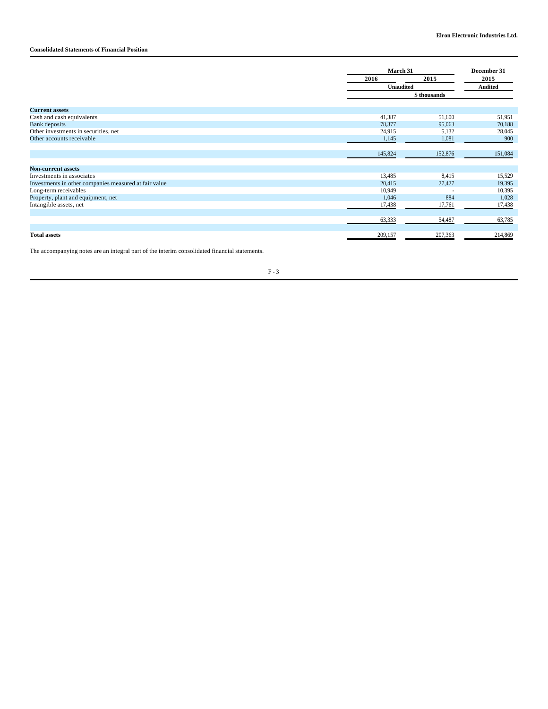# **Consolidated Statements of Financial Position**

|                                                       |         | March 31     |                |
|-------------------------------------------------------|---------|--------------|----------------|
|                                                       | 2016    | 2015         | 2015           |
|                                                       |         | Unaudited    | <b>Audited</b> |
|                                                       |         | \$ thousands |                |
| <b>Current assets</b>                                 |         |              |                |
| Cash and cash equivalents                             | 41,387  | 51,600       | 51,951         |
| Bank deposits                                         | 78,377  | 95,063       | 70,188         |
| Other investments in securities, net                  | 24,915  | 5,132        | 28,045         |
| Other accounts receivable                             | 1,145   | 1,081        | 900            |
|                                                       | 145,824 | 152,876      | 151,084        |
| <b>Non-current assets</b>                             |         |              |                |
| Investments in associates                             | 13,485  | 8,415        | 15,529         |
| Investments in other companies measured at fair value | 20,415  | 27,427       | 19,395         |
| Long-term receivables                                 | 10,949  |              | 10,395         |
| Property, plant and equipment, net                    | 1,046   | 884          | 1,028          |
| Intangible assets, net                                | 17,438  | 17,761       | 17,438         |
|                                                       | 63,333  | 54,487       | 63,785         |
|                                                       |         |              |                |
| <b>Total assets</b>                                   | 209,157 | 207,363      | 214,869        |

The accompanying notes are an integral part of the interim consolidated financial statements.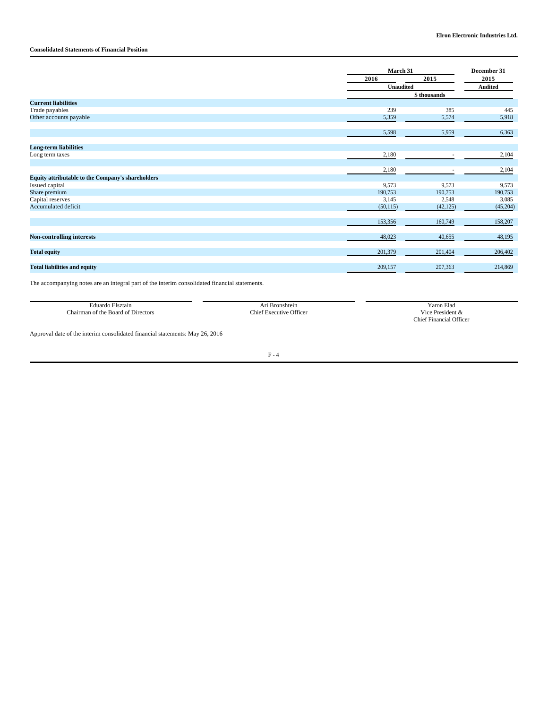# **Consolidated Statements of Financial Position**

|                                                   |           | March 31                 |          |
|---------------------------------------------------|-----------|--------------------------|----------|
|                                                   | 2016      | 2015<br><b>Unaudited</b> |          |
|                                                   |           |                          |          |
|                                                   |           | \$ thousands             |          |
| <b>Current liabilities</b>                        |           |                          |          |
| Trade payables                                    | 239       | 385                      | 445      |
| Other accounts payable                            | 5,359     | 5,574                    | 5,918    |
|                                                   | 5,598     | 5,959                    | 6,363    |
| <b>Long-term liabilities</b>                      |           |                          |          |
| Long term taxes                                   | 2,180     | ٠                        | 2,104    |
|                                                   | 2,180     | $\overline{\phantom{a}}$ | 2,104    |
| Equity attributable to the Company's shareholders |           |                          |          |
| Issued capital                                    | 9,573     | 9,573                    | 9,573    |
| Share premium                                     | 190,753   | 190,753                  | 190,753  |
| Capital reserves                                  | 3,145     | 2,548                    | 3,085    |
| Accumulated deficit                               | (50, 115) | (42, 125)                | (45,204) |
|                                                   | 153,356   | 160,749                  | 158,207  |
| <b>Non-controlling interests</b>                  | 48,023    | 40,655                   | 48,195   |
| <b>Total equity</b>                               | 201,379   | 201,404                  | 206,402  |
| <b>Total liabilities and equity</b>               | 209,157   | 207,363                  | 214,869  |

The accompanying notes are an integral part of the interim consolidated financial statements.

| Eduardo Elsztain                   | Bronshtein              | <sup>7</sup> aron Elad              |
|------------------------------------|-------------------------|-------------------------------------|
| Chairman of the Board of Directors | Chief Executive Officer | Vice.<br>e President .<br>: XX<br>. |
|                                    |                         | <b>Financial Officer</b><br>Thief.  |

Approval date of the interim consolidated financial statements: May 26, 2016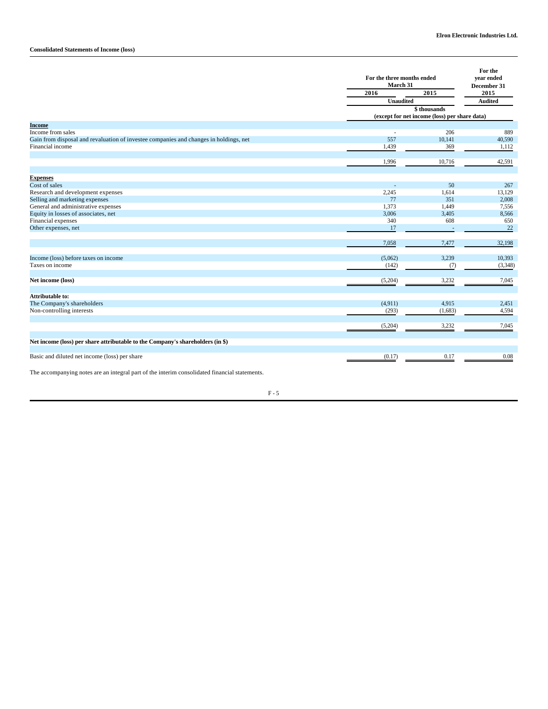# **Consolidated Statements of Income (loss)**

|                                                                                       |                          | For the three months ended<br>March 31                        |                |  |
|---------------------------------------------------------------------------------------|--------------------------|---------------------------------------------------------------|----------------|--|
|                                                                                       | 2016<br><b>Unaudited</b> | 2015                                                          | 2015           |  |
|                                                                                       |                          |                                                               | <b>Audited</b> |  |
|                                                                                       |                          | \$ thousands<br>(except for net income (loss) per share data) |                |  |
| <b>Income</b>                                                                         |                          |                                                               |                |  |
| Income from sales                                                                     | ÷.                       | 206                                                           | 889            |  |
| Gain from disposal and revaluation of investee companies and changes in holdings, net | 557                      | 10,141                                                        | 40,590         |  |
| Financial income                                                                      | 1,439                    | 369                                                           | 1,112          |  |
|                                                                                       |                          |                                                               |                |  |
|                                                                                       | 1,996                    | 10,716                                                        | 42,591         |  |
| <b>Expenses</b>                                                                       |                          |                                                               |                |  |
| Cost of sales                                                                         |                          | 50                                                            | 267            |  |
| Research and development expenses                                                     | 2,245                    | 1,614                                                         | 13,129         |  |
| Selling and marketing expenses                                                        | 77                       | 351                                                           | 2,008          |  |
| General and administrative expenses                                                   | 1,373                    | 1,449                                                         | 7,556          |  |
| Equity in losses of associates, net                                                   | 3,006                    | 3,405                                                         | 8,566          |  |
| Financial expenses                                                                    | 340                      | 608                                                           | 650            |  |
| Other expenses, net                                                                   | 17                       |                                                               | 22             |  |
|                                                                                       | 7,058                    | 7,477                                                         | 32,198         |  |
|                                                                                       |                          |                                                               |                |  |
| Income (loss) before taxes on income<br>Taxes on income                               | (5,062)                  | 3,239                                                         | 10,393         |  |
|                                                                                       | (142)                    | (7)                                                           | (3,348)        |  |
| Net income (loss)                                                                     | (5,204)                  | 3,232                                                         | 7,045          |  |
| <b>Attributable to:</b>                                                               |                          |                                                               |                |  |
| The Company's shareholders                                                            | (4,911)                  | 4,915                                                         | 2,451          |  |
| Non-controlling interests                                                             | (293)                    | (1,683)                                                       | 4,594          |  |
|                                                                                       | (5,204)                  | 3,232                                                         | 7,045          |  |
|                                                                                       |                          |                                                               |                |  |
| Net income (loss) per share attributable to the Company's shareholders (in \$)        |                          |                                                               |                |  |
| Basic and diluted net income (loss) per share                                         | (0.17)                   | 0.17                                                          | 0.08           |  |
|                                                                                       |                          |                                                               |                |  |

The accompanying notes are an integral part of the interim consolidated financial statements.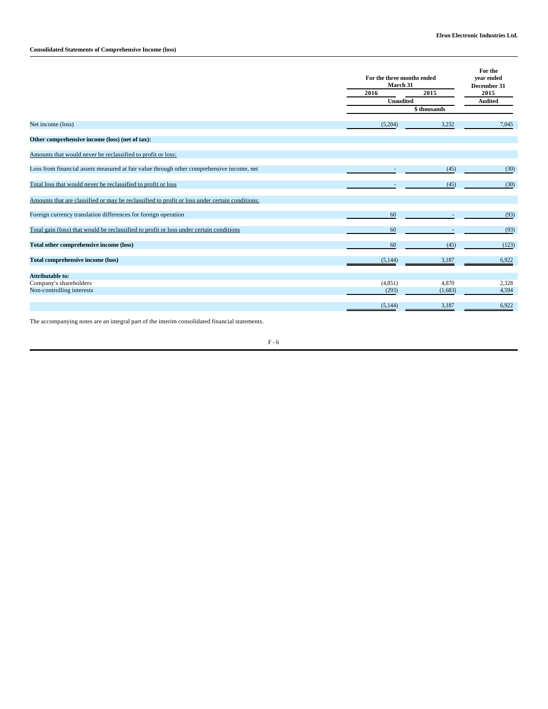# **Consolidated Statements of Comprehensive Income (loss)**

|                                                                                                |          | For the three months ended<br>March 31 |                     |  |  |
|------------------------------------------------------------------------------------------------|----------|----------------------------------------|---------------------|--|--|
|                                                                                                | 2016     | 2015                                   | December 31<br>2015 |  |  |
|                                                                                                |          | <b>Unaudited</b>                       |                     |  |  |
|                                                                                                |          | \$ thousands                           |                     |  |  |
| Net income (loss)                                                                              | (5,204)  | 3,232                                  | 7,045               |  |  |
| Other comprehensive income (loss) (net of tax):                                                |          |                                        |                     |  |  |
| Amounts that would never be reclassified to profit or loss:                                    |          |                                        |                     |  |  |
| Loss from financial assets measured at fair value through other comprehensive income, net      |          | (45)                                   | (30)                |  |  |
| Total loss that would never be reclassified to profit or loss                                  |          | (45)                                   | (30)                |  |  |
| Amounts that are classified or may be reclassified to profit or loss under certain conditions: |          |                                        |                     |  |  |
| Foreign currency translation differences for foreign operation                                 | 60       |                                        | (93)                |  |  |
| Total gain (loss) that would be reclassified to profit or loss under certain conditions        | 60       |                                        | (93)                |  |  |
| Total other comprehensive income (loss)                                                        | 60       | (45)                                   | (123)               |  |  |
| <b>Total comprehensive income (loss)</b>                                                       | (5, 144) | 3,187                                  | 6,922               |  |  |
| <b>Attributable to:</b>                                                                        |          |                                        |                     |  |  |
| Company's shareholders                                                                         | (4, 851) | 4,870                                  | 2,328               |  |  |
| Non-controlling interests                                                                      | (293)    | (1,683)                                | 4,594               |  |  |
|                                                                                                | (5,144)  | 3.187                                  | 6.922               |  |  |

The accompanying notes are an integral part of the interim consolidated financial statements.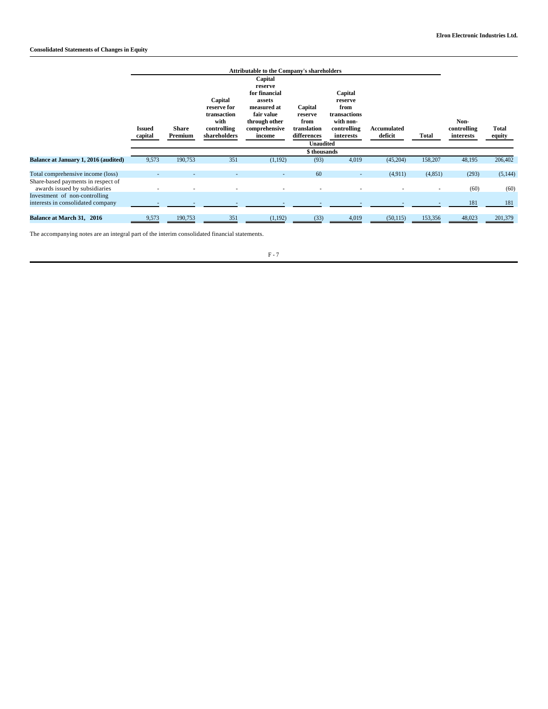|                                                                                                          | <b>Issued</b><br>capital | <b>Attributable to the Company's shareholders</b><br>Capital<br>reserve<br>for financial<br>Capital<br>Capital<br>assets<br>reserve<br>Capital<br>reserve for<br>measured at<br>from<br>transaction<br>fair value<br>transactions<br>reserve<br>with<br>with non-<br>through other<br>from<br><b>Share</b><br>controlling<br>comprehensive<br>translation<br>controlling<br>Accumulated<br><b>Total</b><br>Premium<br>shareholders<br>differences<br>deficit<br>income<br>interests<br><b>Unaudited</b> |     |         |              |       |           | Non-<br>controlling<br>interests | <b>Total</b><br>equity |                  |
|----------------------------------------------------------------------------------------------------------|--------------------------|---------------------------------------------------------------------------------------------------------------------------------------------------------------------------------------------------------------------------------------------------------------------------------------------------------------------------------------------------------------------------------------------------------------------------------------------------------------------------------------------------------|-----|---------|--------------|-------|-----------|----------------------------------|------------------------|------------------|
|                                                                                                          |                          |                                                                                                                                                                                                                                                                                                                                                                                                                                                                                                         |     |         | \$ thousands |       |           |                                  |                        |                  |
| <b>Balance at January 1, 2016 (audited)</b>                                                              | 9,573                    | 190,753                                                                                                                                                                                                                                                                                                                                                                                                                                                                                                 | 351 | (1,192) | (93)         | 4,019 | (45,204)  | 158,207                          | 48,195                 | 206,402          |
| Total comprehensive income (loss)<br>Share-based payments in respect of<br>awards issued by subsidiaries |                          |                                                                                                                                                                                                                                                                                                                                                                                                                                                                                                         |     |         | 60           |       | (4,911)   | (4,851)                          | (293)<br>(60)          | (5, 144)<br>(60) |
| Investment of non-controlling<br>interests in consolidated company                                       |                          |                                                                                                                                                                                                                                                                                                                                                                                                                                                                                                         |     |         |              |       |           |                                  | 181                    | 181              |
| Balance at March 31, 2016                                                                                | 9,573                    | 190,753                                                                                                                                                                                                                                                                                                                                                                                                                                                                                                 | 351 | (1,192) | (33)         | 4,019 | (50, 115) | 153,356                          | 48,023                 | 201,379          |

The accompanying notes are an integral part of the interim consolidated financial statements.

## $\,$  F -  $7$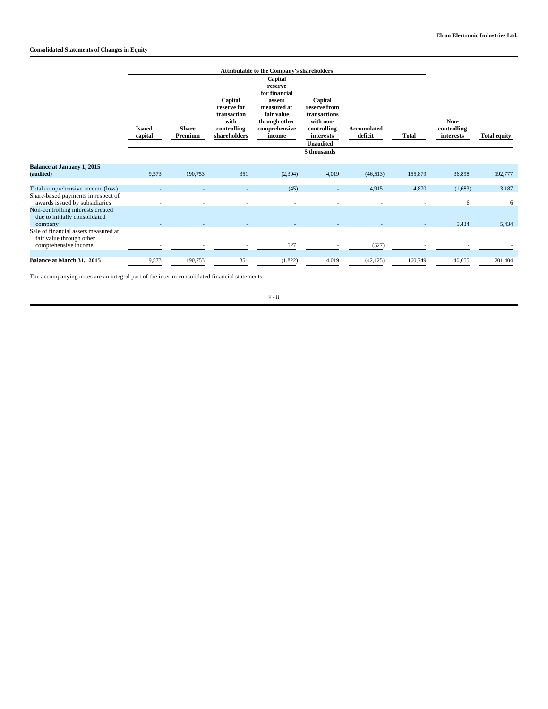|                                                                                          | <b>Attributable to the Company's shareholders</b> |                         |                                                                              |                                                                                                                        |                                                                                                                      |                        |              |                                  |                     |
|------------------------------------------------------------------------------------------|---------------------------------------------------|-------------------------|------------------------------------------------------------------------------|------------------------------------------------------------------------------------------------------------------------|----------------------------------------------------------------------------------------------------------------------|------------------------|--------------|----------------------------------|---------------------|
|                                                                                          | <b>Issued</b><br>capital                          | <b>Share</b><br>Premium | Capital<br>reserve for<br>transaction<br>with<br>controlling<br>shareholders | Capital<br>reserve<br>for financial<br>assets<br>measured at<br>fair value<br>through other<br>comprehensive<br>income | Capital<br>reserve from<br>transactions<br>with non-<br>controlling<br>interests<br><b>Unaudited</b><br>\$ thousands | Accumulated<br>deficit | <b>Total</b> | Non-<br>controlling<br>interests | <b>Total equity</b> |
|                                                                                          |                                                   |                         |                                                                              |                                                                                                                        |                                                                                                                      |                        |              |                                  |                     |
| <b>Balance at January 1, 2015</b><br>(audited)                                           | 9.573                                             | 190,753                 | 351                                                                          | (2,304)                                                                                                                | 4,019                                                                                                                | (46,513)               | 155,879      | 36,898                           | 192,777             |
| Total comprehensive income (loss)                                                        |                                                   |                         |                                                                              | (45)                                                                                                                   | ٠                                                                                                                    | 4,915                  | 4,870        | (1,683)                          | 3,187               |
| Share-based payments in respect of<br>awards issued by subsidiaries                      |                                                   |                         |                                                                              |                                                                                                                        |                                                                                                                      |                        |              | 6                                | 6                   |
| Non-controlling interests created<br>due to initially consolidated<br>company            |                                                   |                         |                                                                              |                                                                                                                        |                                                                                                                      |                        |              | 5,434                            | 5,434               |
| Sale of financial assets measured at<br>fair value through other<br>comprehensive income |                                                   |                         |                                                                              | 527                                                                                                                    |                                                                                                                      | (527)                  |              |                                  |                     |
| Balance at March 31, 2015                                                                | 9,573                                             | 190,753                 | 351                                                                          | (1,822)                                                                                                                | 4,019                                                                                                                | (42, 125)              | 160,749      | 40,655                           | 201,404             |

The accompanying notes are an integral part of the interim consolidated financial statements.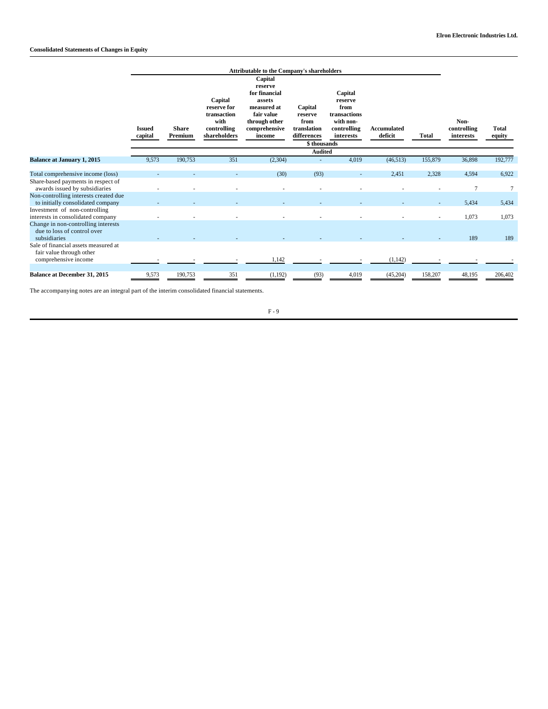|                                                                                          |                          |                         |                                                                              | Attributable to the Company's shareholders                                                                             |                                                                         |                                                                                     |                        |              |                                  |                        |
|------------------------------------------------------------------------------------------|--------------------------|-------------------------|------------------------------------------------------------------------------|------------------------------------------------------------------------------------------------------------------------|-------------------------------------------------------------------------|-------------------------------------------------------------------------------------|------------------------|--------------|----------------------------------|------------------------|
|                                                                                          | <b>Issued</b><br>capital | <b>Share</b><br>Premium | Capital<br>reserve for<br>transaction<br>with<br>controlling<br>shareholders | Capital<br>reserve<br>for financial<br>assets<br>measured at<br>fair value<br>through other<br>comprehensive<br>income | Capital<br>reserve<br>from<br>translation<br>differences<br>\$thousands | Capital<br>reserve<br>from<br>transactions<br>with non-<br>controlling<br>interests | Accumulated<br>deficit | <b>Total</b> | Non-<br>controlling<br>interests | <b>Total</b><br>equity |
|                                                                                          |                          |                         |                                                                              |                                                                                                                        | <b>Audited</b>                                                          |                                                                                     |                        |              |                                  |                        |
| <b>Balance at January 1, 2015</b>                                                        | 9,573                    | 190,753                 | 351                                                                          | (2,304)                                                                                                                |                                                                         | 4,019                                                                               | (46, 513)              | 155,879      | 36,898                           | 192,777                |
| Total comprehensive income (loss)                                                        |                          |                         |                                                                              | (30)                                                                                                                   | (93)                                                                    |                                                                                     | 2,451                  | 2,328        | 4,594                            | 6,922                  |
| Share-based payments in respect of<br>awards issued by subsidiaries                      |                          |                         |                                                                              |                                                                                                                        |                                                                         |                                                                                     |                        |              | $\overline{7}$                   | 7                      |
| Non-controlling interests created due<br>to initially consolidated company               |                          |                         |                                                                              |                                                                                                                        |                                                                         |                                                                                     |                        |              | 5,434                            | 5,434                  |
| Investment of non-controlling<br>interests in consolidated company                       |                          |                         |                                                                              |                                                                                                                        |                                                                         |                                                                                     |                        |              | 1,073                            | 1.073                  |
| Change in non-controlling interests<br>due to loss of control over<br>subsidiaries       |                          |                         |                                                                              |                                                                                                                        |                                                                         |                                                                                     |                        |              | 189                              | 189                    |
| Sale of financial assets measured at<br>fair value through other<br>comprehensive income |                          |                         |                                                                              | 1,142                                                                                                                  |                                                                         |                                                                                     | (1, 142)               |              |                                  |                        |
| <b>Balance at December 31, 2015</b>                                                      | 9,573                    | 190,753                 | 351                                                                          | (1,192)                                                                                                                | (93)                                                                    | 4,019                                                                               | (45,204)               | 158,207      | 48,195                           | 206,402                |

The accompanying notes are an integral part of the interim consolidated financial statements.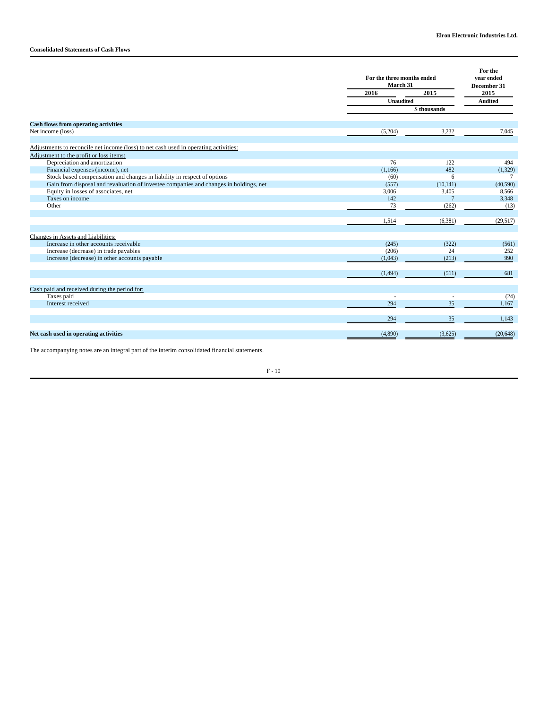|                                                                                       |                  | For the three months ended<br>March 31 |                |  |
|---------------------------------------------------------------------------------------|------------------|----------------------------------------|----------------|--|
|                                                                                       | 2016             | 2015                                   | 2015           |  |
|                                                                                       | <b>Unaudited</b> |                                        | <b>Audited</b> |  |
|                                                                                       |                  | \$ thousands                           |                |  |
| <b>Cash flows from operating activities</b>                                           |                  |                                        |                |  |
| Net income (loss)                                                                     | (5,204)          | 3,232                                  | 7,045          |  |
|                                                                                       |                  |                                        |                |  |
| Adjustments to reconcile net income (loss) to net cash used in operating activities:  |                  |                                        |                |  |
| Adjustment to the profit or loss items:                                               |                  |                                        |                |  |
| Depreciation and amortization                                                         | 76               | 122                                    | 494            |  |
| Financial expenses (income), net                                                      | (1,166)          | 482                                    | (1,329)        |  |
| Stock based compensation and changes in liability in respect of options               | (60)             | 6                                      | 7              |  |
| Gain from disposal and revaluation of investee companies and changes in holdings, net | (557)            | (10, 141)                              | (40,590)       |  |
| Equity in losses of associates, net                                                   | 3,006            | 3,405                                  | 8,566          |  |
| Taxes on income                                                                       | 142              | $\overline{7}$                         | 3,348          |  |
| Other                                                                                 | 73               | (262)                                  | (13)           |  |
|                                                                                       |                  |                                        |                |  |
|                                                                                       | 1,514            | (6,381)                                | (29,517)       |  |
| Changes in Assets and Liabilities:                                                    |                  |                                        |                |  |
| Increase in other accounts receivable                                                 | (245)            | (322)                                  | (561)          |  |
| Increase (decrease) in trade payables                                                 | (206)            | 24                                     | 252            |  |
| Increase (decrease) in other accounts payable                                         | (1,043)          | (213)                                  | 990            |  |
|                                                                                       |                  |                                        |                |  |
|                                                                                       | (1, 494)         | (511)                                  | 681            |  |
| Cash paid and received during the period for:                                         |                  |                                        |                |  |
| Taxes paid                                                                            |                  |                                        | (24)           |  |
| Interest received                                                                     | 294              | 35                                     | 1,167          |  |
|                                                                                       |                  |                                        |                |  |
|                                                                                       | 294              | 35                                     | 1,143          |  |
| Net cash used in operating activities                                                 | (4,890)          | (3,625)                                | (20, 648)      |  |
|                                                                                       |                  |                                        |                |  |

The accompanying notes are an integral part of the interim consolidated financial statements.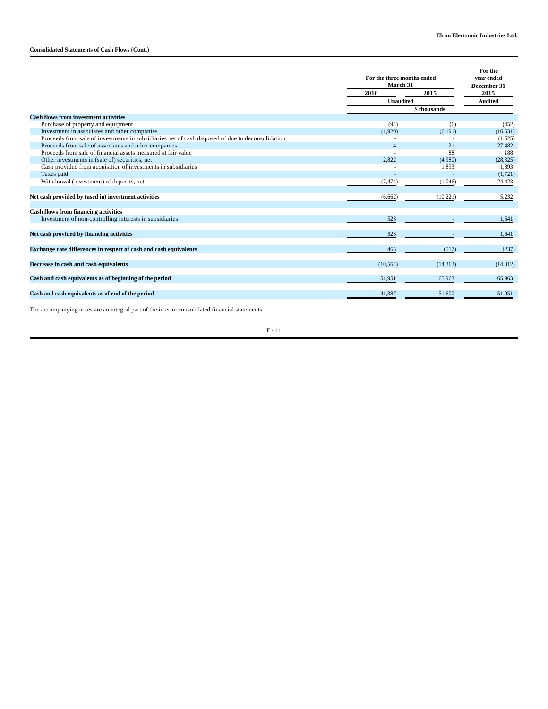# **Consolidated Statements of Cash Flows (Cont.)**

|                                                                                                  | For the three months ended<br>March 31 |           | For the<br>vear ended<br>December 31 |  |
|--------------------------------------------------------------------------------------------------|----------------------------------------|-----------|--------------------------------------|--|
|                                                                                                  | 2016                                   | 2015      | 2015                                 |  |
|                                                                                                  | <b>Unaudited</b>                       |           | <b>Audited</b>                       |  |
|                                                                                                  | \$ thousands                           |           |                                      |  |
| <b>Cash flows from investment activities</b>                                                     |                                        |           |                                      |  |
| Purchase of property and equipment                                                               | (94)                                   | (6)       | (452)                                |  |
| Investment in associates and other companies                                                     | (1,920)                                | (6,191)   | (16,631)                             |  |
| Proceeds from sale of investments in subsidiaries net of cash disposed of due to deconsolidation |                                        |           | (1,625)                              |  |
| Proceeds from sale of associates and other companies                                             | $\overline{4}$                         | 21        | 27,482                               |  |
| Proceeds from sale of financial assets measured at fair value                                    |                                        | 88        | 188                                  |  |
| Other investments in (sale of) securities, net                                                   | 2.822                                  | (4,980)   | (28, 325)                            |  |
| Cash provided from acquisition of investments in subsidiaries                                    |                                        | 1,893     | 1,893                                |  |
| Taxes paid                                                                                       |                                        |           | (1,721)                              |  |
| Withdrawal (investment) of deposits, net                                                         | (7, 474)                               | (1,046)   | 24,423                               |  |
|                                                                                                  |                                        |           |                                      |  |
| Net cash provided by (used in) investment activities                                             | (6,662)                                | (10,221)  | 5,232                                |  |
|                                                                                                  |                                        |           |                                      |  |
| <b>Cash flows from financing activities</b>                                                      |                                        |           |                                      |  |
| Investment of non-controlling interests in subsidiaries                                          | 523                                    |           | 1,641                                |  |
|                                                                                                  |                                        |           |                                      |  |
| Net cash provided by financing activities                                                        | 523                                    |           | 1,641                                |  |
|                                                                                                  |                                        |           |                                      |  |
| Exchange rate differences in respect of cash and cash equivalents                                | 465                                    | (517)     | (237)                                |  |
|                                                                                                  |                                        |           |                                      |  |
| Decrease in cash and cash equivalents                                                            | (10, 564)                              | (14, 363) | (14,012)                             |  |
|                                                                                                  |                                        |           |                                      |  |
| Cash and cash equivalents as of beginning of the period                                          | 51,951                                 | 65,963    | 65,963                               |  |
|                                                                                                  |                                        |           |                                      |  |
| Cash and cash equivalents as of end of the period                                                | 41.387                                 | 51,600    | 51.951                               |  |
|                                                                                                  |                                        |           |                                      |  |

The accompanying notes are an integral part of the interim consolidated financial statements.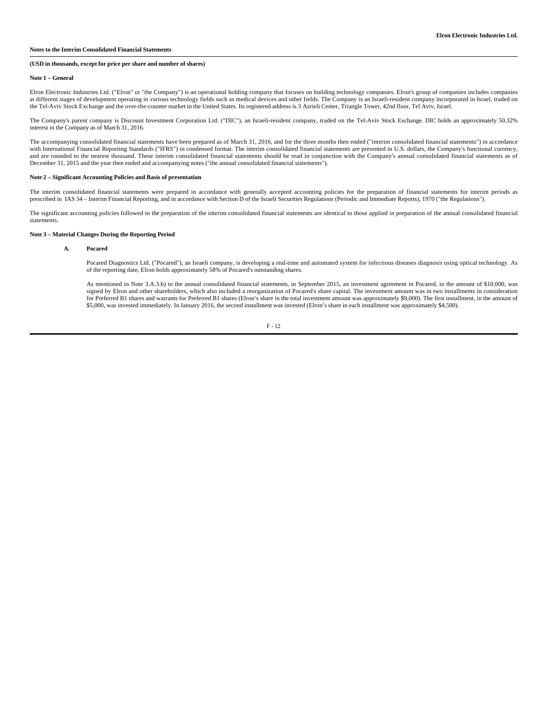### **Notes to the Interim Consolidated Financial Statements**

#### **(USD in thousands, except for price per share and number of shares)**

#### **Note 1 – General**

Elron Electronic Industries Ltd. ("Elron" or "the Company") is an operational holding company that focuses on building technology companies. Elron's group of companies includes companies at different stages of development operating in various technology fields such as medical devices and other fields. The Company is an Israeli-resident company incorporated in Israel, traded on the Tel-Aviv Stock Exchange and the over-the-counter market in the United States. Its registered address is 3 Azrieli Center, Triangle Tower, 42nd floor, Tel Aviv, Israel.

The Company's parent company is Discount Investment Corporation Ltd. ("DIC"), an Israeli-resident company, traded on the Tel-Aviv Stock Exchange. DIC holds an approximately 50.32% interest in the Company as of March 31, 2016.

The accompanying consolidated financial statements have been prepared as of March 31, 2016, and for the three months then ended ("interim consolidated financial statements") in accordance with International Financial Reporting Standards ("IFRS") in condensed format. The interim consolidated financial statements are presented in U.S. dollars, the Company's functional currency, and are rounded to the nearest thousand. These interim consolidated financial statements should be read in conjunction with the Company's annual consolidated financial statements as of December 31, 2015 and the year then ended and accompanying notes ("the annual consolidated financial statements").

## **Note 2 – Significant Accounting Policies and Basis of presentation**

The interim consolidated financial statements were prepared in accordance with generally accepted accounting policies for the preparation of financial statements for interim periods as prescribed in IAS 34 – Interim Financial Reporting, and in accordance with Section D of the Israeli Securities Regulations (Periodic and Immediate Reports), 1970 ("the Regulations").

The significant accounting policies followed in the preparation of the interim consolidated financial statements are identical to those applied in preparation of the annual consolidated financial statements.

#### **Note 3 – Material Changes During the Reporting Period**

#### **A. Pocared**

Pocared Diagnostics Ltd. ("Pocared"), an Israeli company, is developing a real-time and automated system for infectious diseases diagnosis using optical technology. As of the reporting date, Elron holds approximately 58% of Pocared's outstanding shares.

As mentioned in Note 3.A.3.b) to the annual consolidated financial statements, in September 2015, an investment agreement in Pocared, in the amount of \$10,000, was signed by Elron and other shareholders, which also included a reorganization of Pocared's share capital. The investment amount was in two installments in consideration for Preferred B1 shares and warrants for Preferred B1 shares (Elron's share in the total investment amount was approximately \$9,000). The first installment, in the amount of<br>\$5,000, was invested immediately. In January 201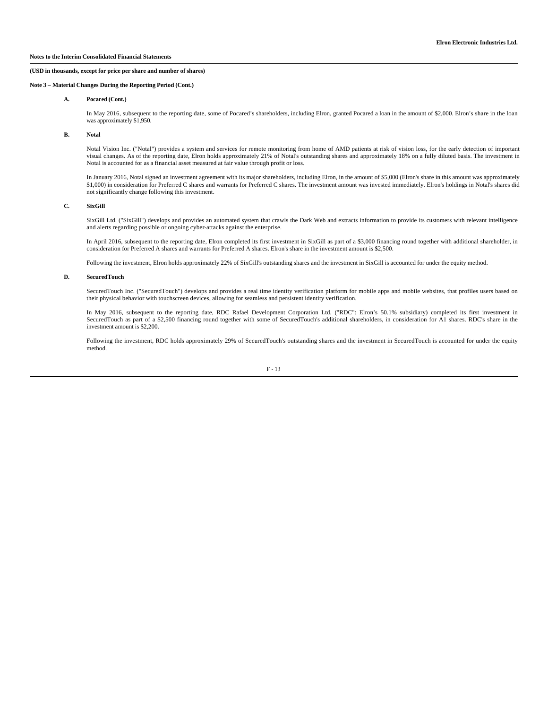## **(USD in thousands, except for price per share and number of shares)**

## **Note 3 – Material Changes During the Reporting Period (Cont.)**

### **A. Pocared (Cont.)**

In May 2016, subsequent to the reporting date, some of Pocared's shareholders, including Elron, granted Pocared a loan in the amount of \$2,000. Elron's share in the loan was approximately \$1,950.

#### **B. Notal**

Notal Vision Inc. ("Notal") provides a system and services for remote monitoring from home of AMD patients at risk of vision loss, for the early detection of important visual changes. As of the reporting date, Elron holds approximately 21% of Notal's outstanding shares and approximately 18% on a fully diluted basis. The investment in Notal is accounted for as a financial asset measured at fair value through profit or loss.

In January 2016, Notal signed an investment agreement with its major shareholders, including Elron, in the amount of \$5,000 (Elron's share in this amount was approximately \$1,000) in consideration for Preferred C shares and warrants for Preferred C shares. The investment amount was invested immediately. Elron's holdings in Notal's shares did not significantly change following this investment.

### **C. SixGill**

SixGill Ltd. ("SixGill") develops and provides an automated system that crawls the Dark Web and extracts information to provide its customers with relevant intelligence and alerts regarding possible or ongoing cyber-attacks against the enterprise.

In April 2016, subsequent to the reporting date, Elron completed its first investment in SixGill as part of a \$3,000 financing round together with additional shareholder, in<br>consideration for Preferred A shares and warrant

Following the investment, Elron holds approximately 22% of SixGill's outstanding shares and the investment in SixGill is accounted for under the equity method.

### **D. SecuredTouch**

SecuredTouch Inc. ("SecuredTouch") develops and provides a real time identity verification platform for mobile apps and mobile websites, that profiles users based on their physical behavior with touchscreen devices, allowing for seamless and persistent identity verification.

In May 2016, subsequent to the reporting date, RDC Rafael Development Corporation Ltd. ("RDC": Elron's 50.1% subsidiary) completed its first investment in SecuredTouch as part of a \$2,500 financing round together with some of SecuredTouch's additional shareholders, in consideration for A1 shares. RDC's share in the investment amount is \$2,200.

Following the investment, RDC holds approximately 29% of SecuredTouch's outstanding shares and the investment in SecuredTouch is accounted for under the equity method.

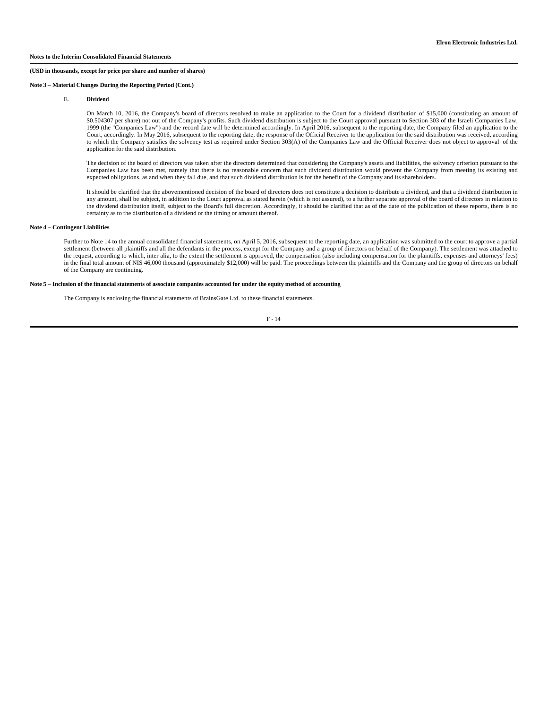#### **(USD in thousands, except for price per share and number of shares)**

### **Note 3 – Material Changes During the Reporting Period (Cont.)**

### **E. Dividend**

On March 10, 2016, the Company's board of directors resolved to make an application to the Court for a dividend distribution of \$15,000 (constituting an amount of \$0.504307 per share) not out of the Company's profits. Such dividend distribution is subject to the Court approval pursuant to Section 303 of the Israeli Companies Law, 1999 (the "Companies Law") and the record date will be determined accordingly. In April 2016, subsequent to the reporting date, the Company filed an application to the Court, accordingly. In May 2016, subsequent to the reporting date, the response of the Official Receiver to the application for the said distribution was received, according to which the Company satisfies the solvency test as required under Section 303(A) of the Companies Law and the Official Receiver does not object to approval of the application for the said distribution.

The decision of the board of directors was taken after the directors determined that considering the Company's assets and liabilities, the solvency criterion pursuant to the Companies Law has been met, namely that there is no reasonable concern that such dividend distribution would prevent the Company from meeting its existing and expected obligations, as and when they fall due, and that such dividend distribution is for the benefit of the Company and its shareholders.

It should be clarified that the abovementioned decision of the board of directors does not constitute a decision to distribute a dividend, and that a dividend distribution in any amount, shall be subject, in addition to the Court approval as stated herein (which is not assured), to a further separate approval of the board of directors in relation to the dividend distribution itself, subject to the Board's full discretion. Accordingly, it should be clarified that as of the date of the publication of these reports, there is no certainty as to the distribution of a dividend or the timing or amount thereof.

#### **Note 4 – Contingent Liabilities**

Further to Note 14 to the annual consolidated financial statements, on April 5, 2016, subsequent to the reporting date, an application was submitted to the court to approve a partial settlement (between all plaintiffs and all the defendants in the process, except for the Company and a group of directors on behalf of the Company). The settlement was attached to the request, according to which, inter alia, to the extent the settlement is approved, the compensation (also including compensation for the plaintiffs, expenses and attorneys' fees) in the final total amount of NIS 46,000 thousand (approximately \$12,000) will be paid. The proceedings between the plaintiffs and the Company and the group of directors on behalf of the Company are continuing.

#### **Note 5 – Inclusion of the financial statements of associate companies accounted for under the equity method of accounting**

The Company is enclosing the financial statements of BrainsGate Ltd. to these financial statements.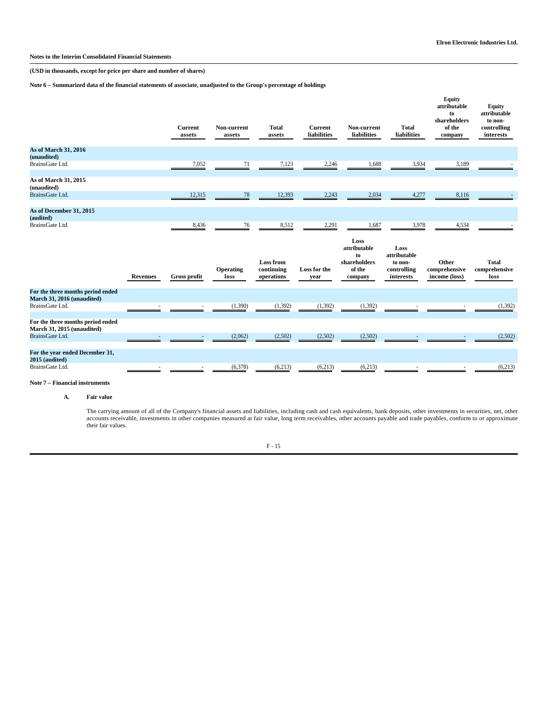**Notes to the Interim Consolidated Financial Statements** 

**(USD in thousands, except for price per share and number of shares)**

**Note 6 – Summarized data of the financial statements of associate, unadjusted to the Group's percentage of holdings**

|                                                                      |                 | <b>Current</b><br>assets | Non-current<br>assets    | <b>Total</b><br>assets                       | <b>Current</b><br>liabilities | Non-current<br>liabilities                                      | <b>Total</b><br><b>liabilities</b>                          | Equity<br>attributable<br>to<br>shareholders<br>of the<br>company | <b>Equity</b><br>attributable<br>to non-<br>controlling<br>interests |
|----------------------------------------------------------------------|-----------------|--------------------------|--------------------------|----------------------------------------------|-------------------------------|-----------------------------------------------------------------|-------------------------------------------------------------|-------------------------------------------------------------------|----------------------------------------------------------------------|
| As of March 31, 2016<br>(unaudited)                                  |                 |                          |                          |                                              |                               |                                                                 |                                                             |                                                                   |                                                                      |
| BrainsGate Ltd.                                                      |                 | 7,052                    | 71                       | 7,123                                        | 2,246                         | 1,688                                                           | 3,934                                                       | 3,189                                                             |                                                                      |
| As of March 31, 2015<br>(unaudited)<br>BrainsGate Ltd.               |                 | 12,315                   | $78\,$                   | 12,393                                       | 2,243                         | 2,034                                                           | 4,277                                                       | 8,116                                                             |                                                                      |
|                                                                      |                 |                          |                          |                                              |                               |                                                                 |                                                             |                                                                   |                                                                      |
| As of December 31, 2015<br>(audited)                                 |                 |                          |                          |                                              |                               |                                                                 |                                                             |                                                                   |                                                                      |
| BrainsGate Ltd.                                                      |                 | 8,436                    | 76                       | 8,512                                        | 2,291                         | 1,687                                                           | 3,978                                                       | 4,534                                                             |                                                                      |
|                                                                      | <b>Revenues</b> | <b>Gross profit</b>      | <b>Operating</b><br>loss | <b>Loss from</b><br>continuing<br>operations | Loss for the<br>year          | Loss<br>attributable<br>to<br>shareholders<br>of the<br>company | Loss<br>attributable<br>to non-<br>controlling<br>interests | Other<br>comprehensive<br>income (loss)                           | <b>Total</b><br>comprehensive<br>loss                                |
| For the three months period ended<br>March 31, 2016 (unaudited)      |                 |                          |                          |                                              |                               |                                                                 |                                                             |                                                                   |                                                                      |
| BrainsGate Ltd.                                                      |                 |                          | (1,390)                  | (1, 392)                                     | (1, 392)                      | (1, 392)                                                        |                                                             |                                                                   | (1, 392)                                                             |
| For the three months period ended<br>March 31, 2015 (unaudited)      |                 |                          |                          |                                              |                               |                                                                 |                                                             |                                                                   |                                                                      |
| BrainsGate Ltd.                                                      |                 |                          |                          |                                              |                               |                                                                 |                                                             |                                                                   |                                                                      |
|                                                                      |                 |                          | (2,062)                  | (2,502)                                      | (2,502)                       | (2,502)                                                         |                                                             |                                                                   | (2,502)                                                              |
| For the year ended December 31,<br>2015 (audited)<br>BrainsGate Ltd. |                 |                          | (6,378)                  | (6,213)                                      | (6,213)                       | (6,213)                                                         |                                                             |                                                                   | (6,213)                                                              |

## **Note 7 – Financial instruments**

**A. Fair value**

The carrying amount of all of the Company's financial assets and liabilities, including cash and cash equivalents, bank deposits, other investments in securities, net, other<br>accounts receivable, investments in other compan their fair values.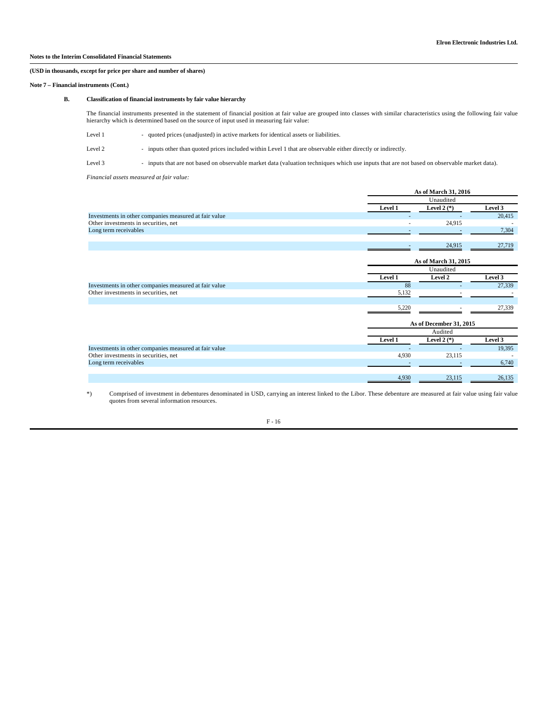## **(USD in thousands, except for price per share and number of shares)**

### **Note 7 – Financial instruments (Cont.)**

### **B. Classification of financial instruments by fair value hierarchy**

The financial instruments presented in the statement of financial position at fair value are grouped into classes with similar characteristics using the following fair value hierarchy which is determined based on the source of input used in measuring fair value:

| Level 1 |  |  |  |  | quoted prices (unadiusted) in active markets for identical assets or liabilities. |
|---------|--|--|--|--|-----------------------------------------------------------------------------------|
|---------|--|--|--|--|-----------------------------------------------------------------------------------|

Level 2 - inputs other than quoted prices included within Level 1 that are observable either directly or indirectly.

Level 3 - inputs that are not based on observable market data (valuation techniques which use inputs that are not based on observable market data).

### *Financial assets measured at fair value:*

|                                                       |                | As of March 31, 2016 |         |  |  |
|-------------------------------------------------------|----------------|----------------------|---------|--|--|
|                                                       |                | Unaudited            |         |  |  |
|                                                       | <b>Level 1</b> | Level $2(*)$         | Level 3 |  |  |
| Investments in other companies measured at fair value |                |                      | 20,415  |  |  |
| Other investments in securities, net                  |                | 24.915               |         |  |  |
| Long term receivables                                 |                |                      | 7.304   |  |  |
|                                                       |                |                      |         |  |  |
|                                                       |                | 24.915               | 27.719  |  |  |

|                                                       |                | <b>As of March 31, 2015</b> |         |  |
|-------------------------------------------------------|----------------|-----------------------------|---------|--|
|                                                       |                | Unaudited                   |         |  |
|                                                       | <b>Level 1</b> | Level 2                     | Level 3 |  |
| Investments in other companies measured at fair value | 88             |                             | 27,339  |  |
| Other investments in securities, net                  | 5.132          |                             |         |  |
|                                                       |                |                             |         |  |
|                                                       | 5.220          |                             | 27.339  |  |

|                                                       |         | As of December 31, 2015 |         |  |
|-------------------------------------------------------|---------|-------------------------|---------|--|
|                                                       |         | Audited                 |         |  |
|                                                       | Level 1 | Level $2(*)$            | Level 3 |  |
| Investments in other companies measured at fair value |         |                         | 19,395  |  |
| Other investments in securities, net                  | 4.930   | 23.115                  |         |  |
| Long term receivables                                 |         |                         | 6.740   |  |
|                                                       |         |                         |         |  |
|                                                       | 4.930   | 23.115                  | 26.135  |  |

 \*) Comprised of investment in debentures denominated in USD, carrying an interest linked to the Libor. These debenture are measured at fair value using fair value quotes from several information resources.

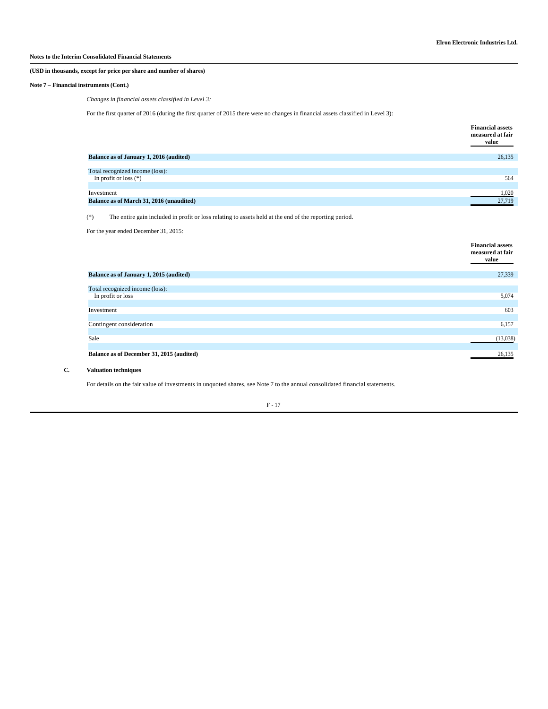### **(USD in thousands, except for price per share and number of shares)**

### **Note 7 – Financial instruments (Cont.)**

## *Changes in financial assets classified in Level 3:*

For the first quarter of 2016 (during the first quarter of 2015 there were no changes in financial assets classified in Level 3):

|                                          | <b>Financial assets</b><br>measured at fair<br>value |
|------------------------------------------|------------------------------------------------------|
| Balance as of January 1, 2016 (audited)  | 26,135                                               |
| Total recognized income (loss):          |                                                      |
| In profit or loss $(*)$                  | 564                                                  |
| Investment                               | 1,020                                                |
| Balance as of March 31, 2016 (unaudited) | 27,719                                               |

(\*) The entire gain included in profit or loss relating to assets held at the end of the reporting period.

For the year ended December 31, 2015:

|                                           | <b>Financial assets</b><br>measured at fair<br>value |
|-------------------------------------------|------------------------------------------------------|
| Balance as of January 1, 2015 (audited)   | 27,339                                               |
|                                           |                                                      |
| Total recognized income (loss):           |                                                      |
| In profit or loss                         | 5,074                                                |
|                                           |                                                      |
| Investment                                | 603                                                  |
|                                           |                                                      |
| Contingent consideration                  | 6,157                                                |
|                                           |                                                      |
| Sale                                      | (13,038)                                             |
|                                           |                                                      |
| Balance as of December 31, 2015 (audited) | 26,135                                               |
|                                           |                                                      |

# **C. Valuation techniques**

For details on the fair value of investments in unquoted shares, see Note 7 to the annual consolidated financial statements.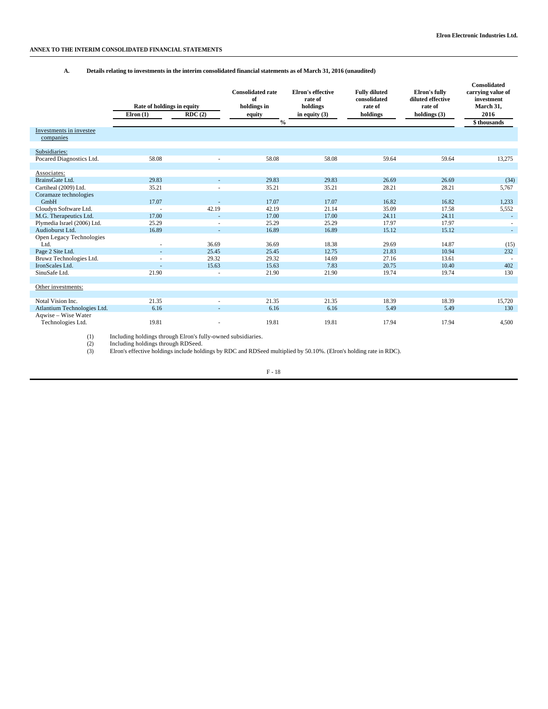## **ANNEX TO THE INTERIM CONSOLIDATED FINANCIAL STATEMENTS**

## **A. Details relating to investments in the interim consolidated financial statements as of March 31, 2016 (unaudited)**

|                                            | Rate of holdings in equity<br>Elron $(1)$ | RDC(2)         | <b>Consolidated rate</b><br>of<br>holdings in<br>equity | Elron's effective<br>rate of<br>holdings<br>in equity $(3)$ | <b>Fully diluted</b><br>consolidated<br>rate of<br>holdings | Elron's fully<br>diluted effective<br>rate of<br>holdings $(3)$ | Consolidated<br>carrying value of<br>investment<br>March 31,<br>2016 |
|--------------------------------------------|-------------------------------------------|----------------|---------------------------------------------------------|-------------------------------------------------------------|-------------------------------------------------------------|-----------------------------------------------------------------|----------------------------------------------------------------------|
|                                            |                                           |                | $\frac{0}{0}$                                           |                                                             |                                                             |                                                                 | \$thousands                                                          |
| Investments in investee                    |                                           |                |                                                         |                                                             |                                                             |                                                                 |                                                                      |
| companies                                  |                                           |                |                                                         |                                                             |                                                             |                                                                 |                                                                      |
| Subsidiaries:                              |                                           |                |                                                         |                                                             |                                                             |                                                                 |                                                                      |
| Pocared Diagnostics Ltd.                   | 58.08                                     |                | 58.08                                                   | 58.08                                                       | 59.64                                                       | 59.64                                                           | 13,275                                                               |
|                                            |                                           |                |                                                         |                                                             |                                                             |                                                                 |                                                                      |
| Associates:                                |                                           |                |                                                         |                                                             |                                                             |                                                                 |                                                                      |
| BrainsGate Ltd.                            | 29.83                                     |                | 29.83                                                   | 29.83                                                       | 26.69                                                       | 26.69                                                           | (34)                                                                 |
| Cartiheal (2009) Ltd.                      | 35.21                                     |                | 35.21                                                   | 35.21                                                       | 28.21                                                       | 28.21                                                           | 5,767                                                                |
| Coramaze technologies                      |                                           |                |                                                         |                                                             |                                                             |                                                                 |                                                                      |
| GmbH                                       | 17.07                                     |                | 17.07                                                   | 17.07                                                       | 16.82                                                       | 16.82                                                           | 1,233                                                                |
| Cloudyn Software Ltd.                      |                                           | 42.19          | 42.19                                                   | 21.14                                                       | 35.09                                                       | 17.58                                                           | 5,552                                                                |
| M.G. Therapeutics Ltd.                     | 17.00                                     | ٠              | 17.00                                                   | 17.00                                                       | 24.11                                                       | 24.11                                                           | $\sim$                                                               |
| Plymedia Israel (2006) Ltd.                | 25.29                                     |                | 25.29                                                   | 25.29                                                       | 17.97                                                       | 17.97                                                           |                                                                      |
| Audioburst Ltd.                            | 16.89                                     | ٠              | 16.89                                                   | 16.89                                                       | 15.12                                                       | 15.12                                                           | $\sim$                                                               |
| Open Legacy Technologies                   |                                           |                |                                                         |                                                             |                                                             |                                                                 |                                                                      |
| Ltd.                                       |                                           | 36.69          | 36.69                                                   | 18.38                                                       | 29.69                                                       | 14.87                                                           | (15)                                                                 |
| Page 2 Site Ltd.                           |                                           | 25.45          | 25.45                                                   | 12.75                                                       | 21.83                                                       | 10.94                                                           | 232                                                                  |
| Bruwz Technologies Ltd.<br>IronScales Ltd. |                                           | 29.32<br>15.63 | 29.32                                                   | 14.69                                                       | 27.16                                                       | 13.61                                                           |                                                                      |
| SinuSafe Ltd.                              | 21.90                                     |                | 15.63<br>21.90                                          | 7.83<br>21.90                                               | 20.75<br>19.74                                              | 10.40<br>19.74                                                  | 402<br>130                                                           |
|                                            |                                           | ٠              |                                                         |                                                             |                                                             |                                                                 |                                                                      |
| Other investments:                         |                                           |                |                                                         |                                                             |                                                             |                                                                 |                                                                      |
|                                            |                                           |                |                                                         |                                                             |                                                             |                                                                 |                                                                      |
| Notal Vision Inc.                          | 21.35                                     | ÷              | 21.35                                                   | 21.35                                                       | 18.39                                                       | 18.39                                                           | 15,720                                                               |
| Atlantium Technologies Ltd.                | 6.16                                      | ٠              | 6.16                                                    | 6.16                                                        | 5.49                                                        | 5.49                                                            | 130                                                                  |
| Aqwise - Wise Water                        |                                           |                |                                                         |                                                             |                                                             |                                                                 |                                                                      |
| Technologies Ltd.                          | 19.81                                     | ٠              | 19.81                                                   | 19.81                                                       | 17.94                                                       | 17.94                                                           | 4,500                                                                |

(1) Including holdings through Elron's fully-owned subsidiaries. (2) Including holdings through RDSeed. (3) Elron's effective holdings include holdings by RDC and RDSeed multiplied by 50.10%. (Elron's holding rate in RDC).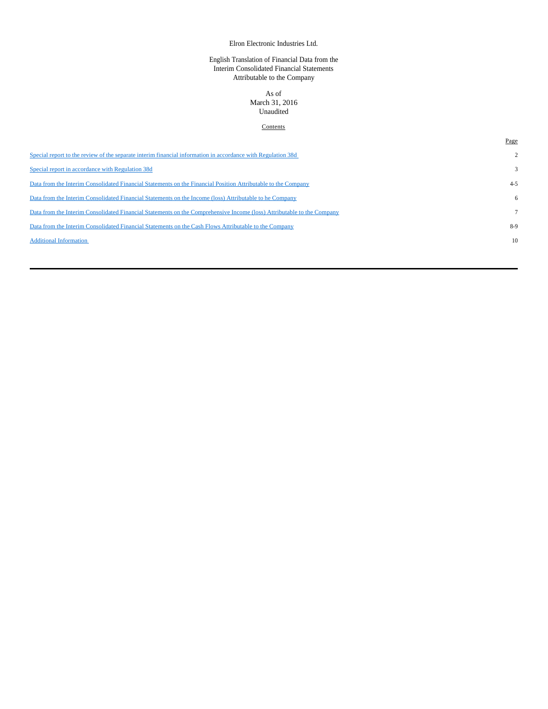# Elron Electronic Industries Ltd.

# English Translation of Financial Data from the Interim Consolidated Financial Statements Attributable to the Company

# As of

# March 31, 2016 Unaudited

# **Contents**

Page

| Special report to the review of the separate interim financial information in accordance with Regulation 38d           |              |
|------------------------------------------------------------------------------------------------------------------------|--------------|
| Special report in accordance with Regulation 38d                                                                       | $\mathbf{3}$ |
| Data from the Interim Consolidated Financial Statements on the Financial Position Attributable to the Company          | $4 - 5$      |
| Data from the Interim Consolidated Financial Statements on the Income (loss) Attributable to he Company                | 6            |
| Data from the Interim Consolidated Financial Statements on the Comprehensive Income (loss) Attributable to the Company |              |
| Data from the Interim Consolidated Financial Statements on the Cash Flows Attributable to the Company                  | 8-9          |
| <b>Additional Information</b>                                                                                          | 10           |
|                                                                                                                        |              |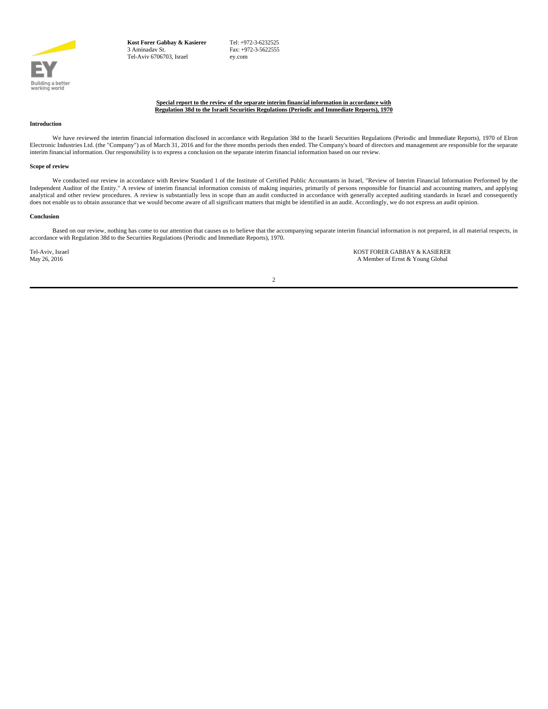

**Kost Forer Gabbay & Kasierer** 3 Aminadav St. Tel-Aviv 6706703, Israel

 Tel: +972-3-6232525 Fax: +972-3-5622555 ey.com

### **Special report to the review of the separate interim financial information in accordance with Regulation 38d to the Israeli Securities Regulations (Periodic and Immediate Reports), 1970**

#### **Introduction**

We have reviewed the interim financial information disclosed in accordance with Regulation 38d to the Israeli Securities Regulations (Periodic and Immediate Reports), 1970 of Elron Electronic Industries Ltd. (the "Company" interim financial information. Our responsibility is to express a conclusion on the separate interim financial information based on our review.

#### **Scope of review**

We conducted our review in accordance with Review Standard 1 of the Institute of Certified Public Accountants in Israel, "Review of Interim Financial Information Performed by the Independent Auditor of the Entity." A review of interim financial information consists of making inquiries, primarily of persons responsible for financial and accounting matters, and applying analytical and other review procedures. A review is substantially less in scope than an audit conducted in accordance with generally accepted auditing standards in Israel and consequently does not enable us to obtain assurance that we would become aware of all significant matters that might be identified in an audit. Accordingly, we do not express an audit opinion.

## **Conclusion**

Based on our review, nothing has come to our attention that causes us to believe that the accompanying separate interim financial information is not prepared, in all material respects, in accordance with Regulation 38d to the Securities Regulations (Periodic and Immediate Reports), 1970.

Tel-Aviv, Israel **KOST FORER GABBAY & KASIERER**<br>May 26, 2016 **Marshall A Member of Ernst & Young Global** A Member of Ernst & Young Global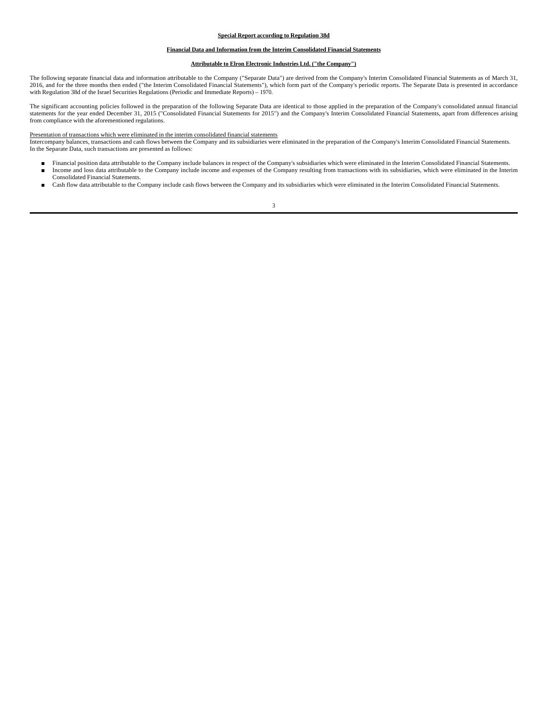### **Special Report according to Regulation 38d**

### **Financial Data and Information from the Interim Consolidated Financial Statements**

### **Attributable to Elron Electronic Industries Ltd. ("the Company")**

The following separate financial data and information attributable to the Company ("Separate Data") are derived from the Company's Interim Consolidated Financial Statements as of March 31, 2016, and for the three months then ended ("the Interim Consolidated Financial Statements"), which form part of the Company's periodic reports. The Separate Data is presented in accordance with Regulation 38d of the Israel Securities Regulations (Periodic and Immediate Reports) – 1970.

The significant accounting policies followed in the preparation of the following Separate Data are identical to those applied in the preparation of the Company's consolidated annual financial statements for the year ended December 31, 2015 ("Consolidated Financial Statements for 2015") and the Company's Interim Consolidated Financial Statements, apart from differences arising from compliance with the aforementioned regulations.

#### Presentation of transactions which were eliminated in the interim consolidated financial statements

Intercompany balances, transactions and cash flows between the Company and its subsidiaries were eliminated in the preparation of the Company's Interim Consolidated Financial Statements. In the Separate Data, such transactions are presented as follows:

- Financial position data attributable to the Company include balances in respect of the Company's subsidiaries which were eliminated in the Interim Consolidated Financial Statements.<br>■ Income and loss data attributable t Income and loss data attributable to the Company include income and expenses of the Company resulting from transactions with its subsidiaries, which were eliminated in the Interim
- Consolidated Financial Statements. Cash flow data attributable to the Company include cash flows between the Company and its subsidiaries which were eliminated in the Interim Consolidated Financial Statements.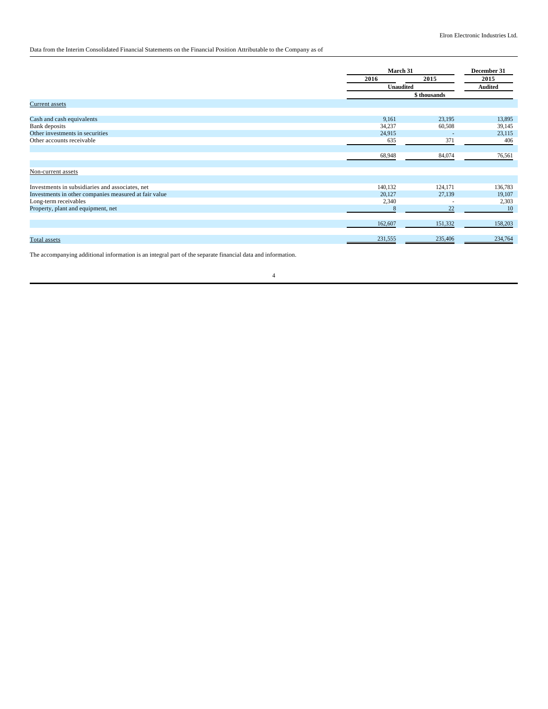# Data from the Interim Consolidated Financial Statements on the Financial Position Attributable to the Company as of

|                                                       |                  | March 31                 |                |
|-------------------------------------------------------|------------------|--------------------------|----------------|
|                                                       | 2016             | 2015                     | 2015           |
|                                                       | <b>Unaudited</b> |                          | <b>Audited</b> |
|                                                       |                  | \$ thousands             |                |
| <b>Current</b> assets                                 |                  |                          |                |
|                                                       |                  |                          |                |
| Cash and cash equivalents                             | 9,161            | 23,195                   | 13,895         |
| Bank deposits                                         | 34,237           | 60,508                   | 39,145         |
| Other investments in securities                       | 24,915           | $\overline{\phantom{a}}$ | 23,115         |
| Other accounts receivable                             | 635              | 371                      | 406            |
|                                                       |                  |                          |                |
|                                                       | 68,948           | 84,074                   | 76,561         |
| Non-current assets                                    |                  |                          |                |
|                                                       |                  |                          |                |
| Investments in subsidiaries and associates, net       | 140,132          | 124,171                  | 136,783        |
| Investments in other companies measured at fair value | 20,127           | 27,139                   | 19,107         |
| Long-term receivables                                 | 2,340            | ٠                        | 2,303          |
| Property, plant and equipment, net                    | 8                | 22                       | 10             |
|                                                       |                  |                          |                |
|                                                       | 162,607          | 151,332                  | 158,203        |
|                                                       |                  |                          |                |
| <b>Total</b> assets                                   | 231,555          | 235,406                  | 234,764        |

The accompanying additional information is an integral part of the separate financial data and information.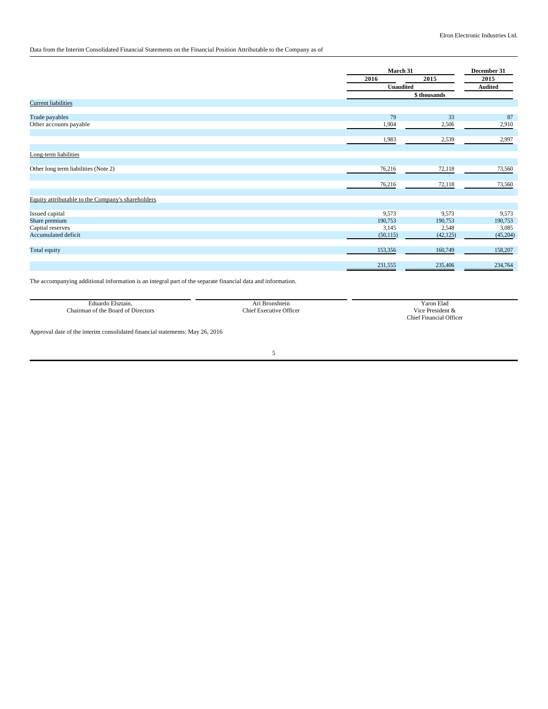# Data from the Interim Consolidated Financial Statements on the Financial Position Attributable to the Company as of

|                                                   |           | March 31         |          |  |
|---------------------------------------------------|-----------|------------------|----------|--|
|                                                   | 2016      | 2015             | 2015     |  |
|                                                   |           | <b>Unaudited</b> |          |  |
|                                                   |           | \$thousands      |          |  |
| <b>Current liabilities</b>                        |           |                  |          |  |
|                                                   |           |                  |          |  |
| Trade payables                                    | 79        | 33               | 87       |  |
| Other accounts payable                            | 1,904     | 2,506            | 2,910    |  |
|                                                   | 1,983     | 2,539            | 2,997    |  |
|                                                   |           |                  |          |  |
| Long-term liabilities                             |           |                  |          |  |
| Other long term liabilities (Note 2)              | 76,216    | 72,118           | 73,560   |  |
|                                                   |           | 72,118           |          |  |
|                                                   | 76,216    |                  | 73,560   |  |
| Equity attributable to the Company's shareholders |           |                  |          |  |
| Issued capital                                    | 9,573     | 9,573            | 9,573    |  |
| Share premium                                     | 190,753   | 190,753          | 190,753  |  |
| Capital reserves                                  | 3,145     | 2,548            | 3,085    |  |
| Accumulated deficit                               | (50, 115) | (42, 125)        | (45,204) |  |
| Total equity                                      | 153,356   | 160,749          | 158,207  |  |
|                                                   |           |                  |          |  |
|                                                   | 231,555   | 235,406          | 234,764  |  |
|                                                   |           |                  |          |  |

The accompanying additional information is an integral part of the separate financial data and information.

| Eduardo<br>Elsztain.                     | shtein                                           | 'aron Elad                                                                                                                                                                                                                                                                                                                   |
|------------------------------------------|--------------------------------------------------|------------------------------------------------------------------------------------------------------------------------------------------------------------------------------------------------------------------------------------------------------------------------------------------------------------------------------|
| $\sim$<br>hairman<br>the<br>ectors:<br>വ | 'hv<br><b>)</b> tticer<br>$\sim$ equative $\sim$ | $-1$<br><b>Urgendont</b><br>V 1C6<br>.                                                                                                                                                                                                                                                                                       |
|                                          |                                                  | :hiei<br>$_{\rm ^{1}}$ $_{\rm ^{1}}$ $_{\rm ^{1}}$ $_{\rm ^{1}}$ $_{\rm ^{1}}$ $_{\rm ^{1}}$ $_{\rm ^{1}}$ $_{\rm ^{1}}$ $_{\rm ^{1}}$ $_{\rm ^{1}}$ $_{\rm ^{1}}$ $_{\rm ^{1}}$ $_{\rm ^{1}}$ $_{\rm ^{1}}$ $_{\rm ^{1}}$ $_{\rm ^{1}}$ $_{\rm ^{1}}$ $_{\rm ^{1}}$ $_{\rm ^{1}}$ $_{\rm ^{1}}$ $_{\rm ^{1}}$ $_{\rm ^{1}}$ |

Approval date of the interim consolidated financial statements: May 26, 2016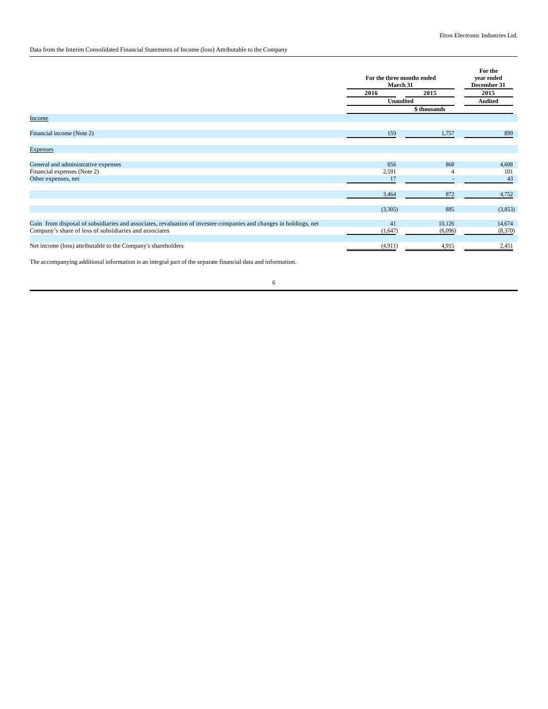# Data from the Interim Consolidated Financial Statements of Income (loss) Attributable to the Company

|                                                                                                                                                                             | For the three months ended<br>March 31 |              | For the<br>year ended<br>December 31 |  |
|-----------------------------------------------------------------------------------------------------------------------------------------------------------------------------|----------------------------------------|--------------|--------------------------------------|--|
|                                                                                                                                                                             | 2016                                   | 2015         | 2015                                 |  |
|                                                                                                                                                                             |                                        | Unaudited    |                                      |  |
|                                                                                                                                                                             |                                        | \$ thousands |                                      |  |
| <b>Income</b>                                                                                                                                                               |                                        |              |                                      |  |
|                                                                                                                                                                             |                                        |              |                                      |  |
| Financial income (Note 2)                                                                                                                                                   | 159                                    | 1,757        | 899                                  |  |
|                                                                                                                                                                             |                                        |              |                                      |  |
| <b>Expenses</b>                                                                                                                                                             |                                        |              |                                      |  |
|                                                                                                                                                                             |                                        |              |                                      |  |
| General and administrative expenses                                                                                                                                         | 856                                    | 868          | 4,608                                |  |
| Financial expenses (Note 2)                                                                                                                                                 | 2,591                                  |              | 101                                  |  |
| Other expenses, net                                                                                                                                                         | 17                                     |              | 43                                   |  |
|                                                                                                                                                                             |                                        |              |                                      |  |
|                                                                                                                                                                             | 3,464                                  | 872          | 4,752                                |  |
|                                                                                                                                                                             |                                        |              |                                      |  |
|                                                                                                                                                                             | (3,305)                                | 885          | (3,853)                              |  |
|                                                                                                                                                                             |                                        |              |                                      |  |
| Gain from disposal of subsidiaries and associates, revaluation of investee companies and changes in holdings, net<br>Company's share of loss of subsidiaries and associates | 41                                     | 10,126       | 14,674                               |  |
|                                                                                                                                                                             | (1,647)                                | (6,096)      | (8,370)                              |  |
| Net income (loss) attributable to the Company's shareholders                                                                                                                | (4,911)                                | 4,915        | 2,451                                |  |
|                                                                                                                                                                             |                                        |              |                                      |  |

The accompanying additional information is an integral part of the separate financial data and information.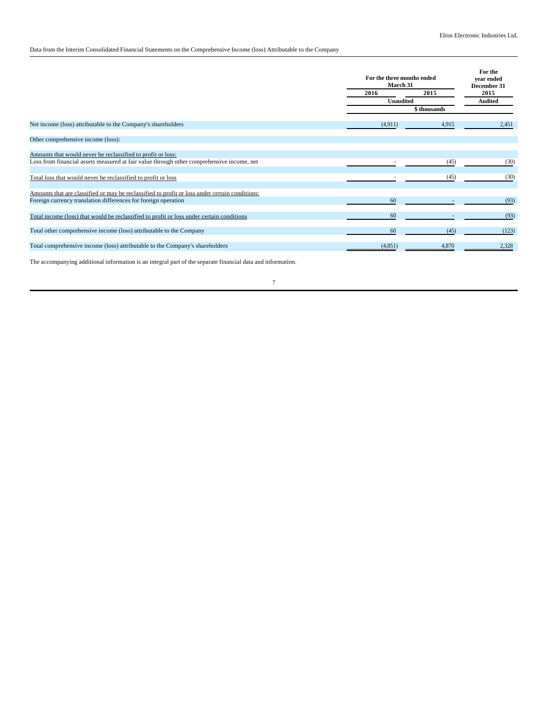# Data from the Interim Consolidated Financial Statements on the Comprehensive Income (loss) Attributable to the Company

|                                                                                                |          | For the three months ended<br>March 31 |                |  |
|------------------------------------------------------------------------------------------------|----------|----------------------------------------|----------------|--|
|                                                                                                | 2016     | 2015                                   | 2015           |  |
|                                                                                                |          | <b>Unaudited</b>                       | <b>Audited</b> |  |
|                                                                                                |          | \$ thousands                           |                |  |
| Net income (loss) attributable to the Company's shareholders                                   | (4,911)  | 4,915                                  | 2,451          |  |
| Other comprehensive income (loss):                                                             |          |                                        |                |  |
| Amounts that would never be reclassified to profit or loss:                                    |          |                                        |                |  |
| Loss from financial assets measured at fair value through other comprehensive income, net      |          | (45)                                   | (30)           |  |
| Total loss that would never be reclassified to profit or loss                                  |          | (45)                                   | (30)           |  |
| Amounts that are classified or may be reclassified to profit or loss under certain conditions: |          |                                        |                |  |
| Foreign currency translation differences for foreign operation                                 | 60       |                                        | (93)           |  |
| Total income (loss) that would be reclassified to profit or loss under certain conditions      | 60       |                                        | (93)           |  |
| Total other comprehensive income (loss) attributable to the Company                            | 60       | (45)                                   | (123)          |  |
| Total comprehensive income (loss) attributable to the Company's shareholders                   | (4, 851) | 4,870                                  | 2,328          |  |

The accompanying additional information is an integral part of the separate financial data and information.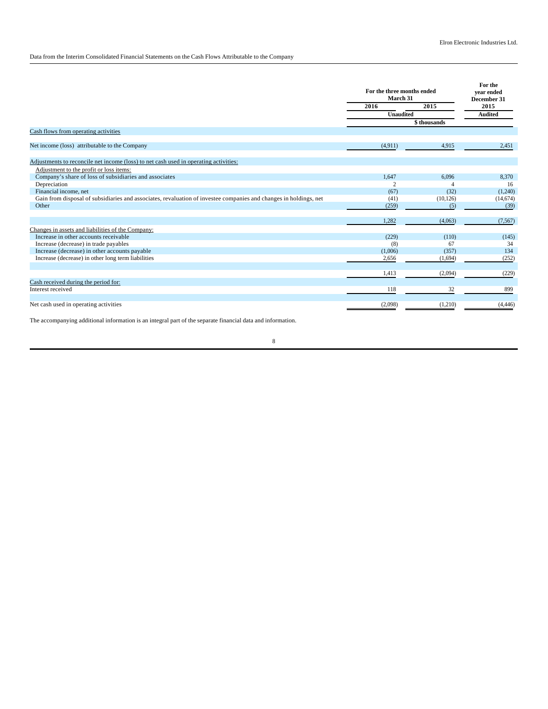Data from the Interim Consolidated Financial Statements on the Cash Flows Attributable to the Company

|                                                                                                                   | For the three months ended<br>March 31<br>2016<br><b>Unaudited</b> | 2015         | For the<br>vear ended<br>December 31<br>2015<br><b>Audited</b> |
|-------------------------------------------------------------------------------------------------------------------|--------------------------------------------------------------------|--------------|----------------------------------------------------------------|
|                                                                                                                   |                                                                    | \$ thousands |                                                                |
| Cash flows from operating activities                                                                              |                                                                    |              |                                                                |
| Net income (loss) attributable to the Company                                                                     | (4,911)                                                            | 4,915        | 2.451                                                          |
| Adjustments to reconcile net income (loss) to net cash used in operating activities:                              |                                                                    |              |                                                                |
| Adjustment to the profit or loss items:                                                                           |                                                                    |              |                                                                |
| Company's share of loss of subsidiaries and associates                                                            | 1.647                                                              | 6.096        | 8,370                                                          |
| Depreciation                                                                                                      | $\overline{c}$                                                     |              | 16                                                             |
| Financial income, net                                                                                             | (67)                                                               | (32)         | (1,240)                                                        |
| Gain from disposal of subsidiaries and associates, revaluation of investee companies and changes in holdings, net | (41)                                                               | (10, 126)    | (14,674)                                                       |
| Other                                                                                                             | (259)                                                              | (5)          | (39)                                                           |
|                                                                                                                   | 1,282                                                              | (4,063)      | (7, 567)                                                       |
| Changes in assets and liabilities of the Company:                                                                 |                                                                    |              |                                                                |
| Increase in other accounts receivable                                                                             | (229)                                                              | (110)        | (145)                                                          |
| Increase (decrease) in trade payables                                                                             | (8)                                                                | 67           | 34                                                             |
| Increase (decrease) in other accounts payable                                                                     | (1,006)                                                            | (357)        | 134                                                            |
| Increase (decrease) in other long term liabilities                                                                | 2,656                                                              | (1,694)      | (252)                                                          |
|                                                                                                                   | 1.413                                                              | (2,094)      | (229)                                                          |
| Cash received during the period for:                                                                              |                                                                    |              |                                                                |
| Interest received                                                                                                 | 118                                                                | 32           | 899                                                            |
| Net cash used in operating activities                                                                             | (2,098)                                                            | (1,210)      | (4, 446)                                                       |

The accompanying additional information is an integral part of the separate financial data and information.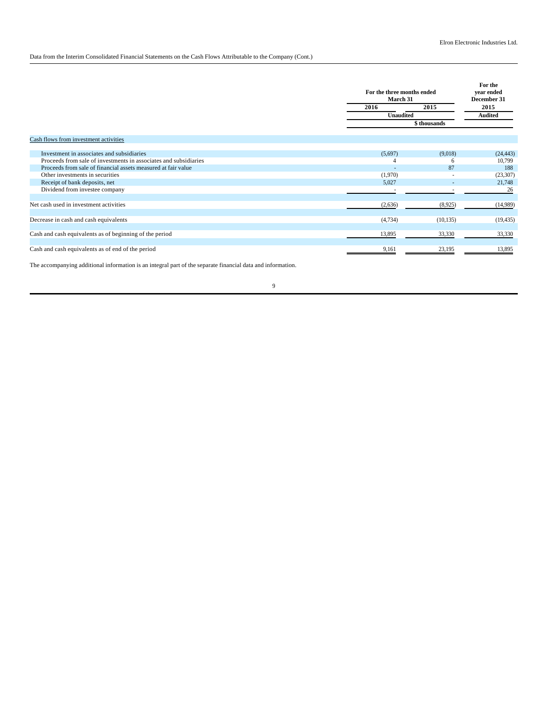## Data from the Interim Consolidated Financial Statements on the Cash Flows Attributable to the Company (Cont.)

|                                                                  |         | For the three months ended<br>March 31 |                        |  |  |  |
|------------------------------------------------------------------|---------|----------------------------------------|------------------------|--|--|--|
|                                                                  | 2016    | 2015                                   | 2015<br><b>Audited</b> |  |  |  |
|                                                                  |         | <b>Unaudited</b>                       |                        |  |  |  |
|                                                                  |         | \$ thousands                           |                        |  |  |  |
| Cash flows from investment activities                            |         |                                        |                        |  |  |  |
|                                                                  |         |                                        |                        |  |  |  |
| Investment in associates and subsidiaries                        | (5,697) | (9,018)                                | (24, 443)              |  |  |  |
| Proceeds from sale of investments in associates and subsidiaries |         | 6                                      | 10,799                 |  |  |  |
| Proceeds from sale of financial assets measured at fair value    |         | 87                                     | 188                    |  |  |  |
| Other investments in securities                                  | (1,970) |                                        | (23,307)               |  |  |  |
| Receipt of bank deposits, net                                    | 5,027   |                                        | 21,748                 |  |  |  |
| Dividend from investee company                                   |         |                                        | 26                     |  |  |  |
|                                                                  |         |                                        |                        |  |  |  |
| Net cash used in investment activities                           | (2,636) | (8,925)                                | (14,989)               |  |  |  |
|                                                                  |         |                                        |                        |  |  |  |
| Decrease in cash and cash equivalents                            | (4,734) | (10, 135)                              | (19, 435)              |  |  |  |
|                                                                  |         |                                        |                        |  |  |  |
| Cash and cash equivalents as of beginning of the period          | 13,895  | 33,330                                 | 33,330                 |  |  |  |
| Cash and cash equivalents as of end of the period                | 9,161   | 23,195                                 | 13,895                 |  |  |  |
|                                                                  |         |                                        |                        |  |  |  |

The accompanying additional information is an integral part of the separate financial data and information.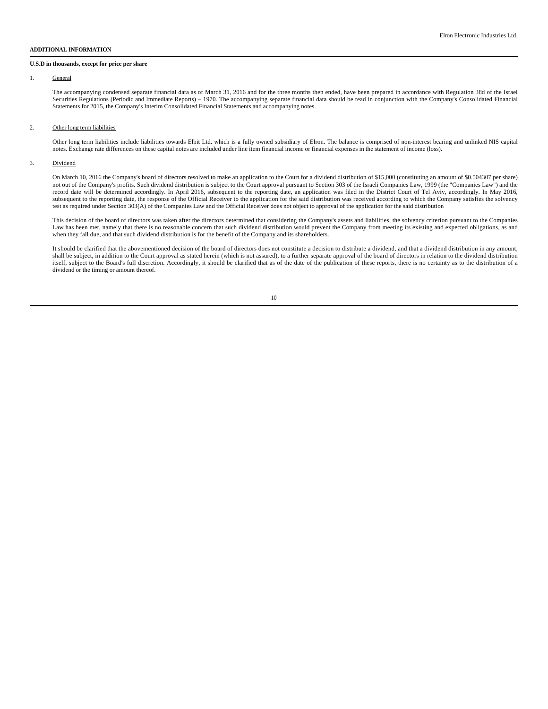### **ADDITIONAL INFORMATION**

#### **U.S.D in thousands, except for price per share**

#### 1. General

The accompanying condensed separate financial data as of March 31, 2016 and for the three months then ended, have been prepared in accordance with Regulation 38d of the Israel Securities Regulations (Periodic and Immediate Reports) – 1970. The accompanying separate financial data should be read in conjunction with the Company's Consolidated Financial Statements for 2015, the Company's Interim Consolidated Financial Statements and accompanying notes.

#### 2. Other long term liabilities

Other long term liabilities include liabilities towards Elbit Ltd. which is a fully owned subsidiary of Elron. The balance is comprised of non-interest bearing and unlinked NIS capital notes. Exchange rate differences on these capital notes are included under line item financial income or financial expenses in the statement of income (loss).

### 3. Dividend

On March 10, 2016 the Company's board of directors resolved to make an application to the Court for a dividend distribution of \$15,000 (constituting an amount of \$0.504307 per share) not out of the Company's profits. Such dividend distribution is subject to the Court approval pursuant to Section 303 of the Israeli Companies Law, 1999 (the "Companies Law") and the record date will be determined accordingly. In April 2016, subsequent to the reporting date, an application was filed in the District Court of Tel Aviv, accordingly. In May 2016, subsequent to the reporting date, the response of the Official Receiver to the application for the said distribution was received according to which the Company satisfies the solvency test as required under Section 303(A) of the Companies Law and the Official Receiver does not object to approval of the application for the said distribution

This decision of the board of directors was taken after the directors determined that considering the Company's assets and liabilities, the solvency criterion pursuant to the Companies Law has been met, namely that there is no reasonable concern that such dividend distribution would prevent the Company from meeting its existing and expected obligations, as and when they fall due, and that such dividend distribution is for the benefit of the Company and its shareholders.

It should be clarified that the abovementioned decision of the board of directors does not constitute a decision to distribute a dividend, and that a dividend distribution in any amount, shall be subject, in addition to the Court approval as stated herein (which is not assured), to a further separate approval of the board of directors in relation to the dividend distribution itself, subject to the Board's full discretion. Accordingly, it should be clarified that as of the date of the publication of these reports, there is no certainty as to the distribution of a dividend or the timing or amount thereof.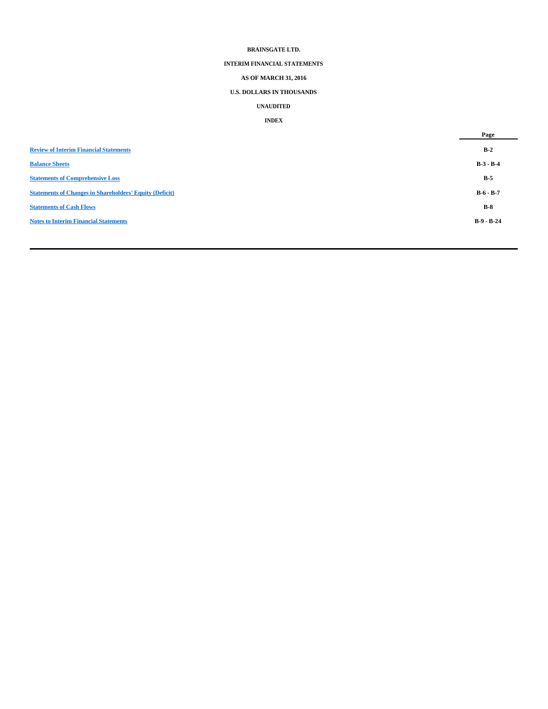## **BRAINSGATE LTD.**

# **INTERIM FINANCIAL STATEMENTS**

# **AS OF MARCH 31, 2016**

# **U.S. DOLLARS IN THOUSANDS**

## **UNAUDITED**

## **INDEX**

|                                                                | Page         |
|----------------------------------------------------------------|--------------|
| <b>Review of Interim Financial Statements</b>                  | $B-2$        |
| <b>Balance Sheets</b>                                          | $B-3 - B-4$  |
| <b>Statements of Comprehensive Loss</b>                        | $B-5$        |
| <b>Statements of Changes in Shareholders' Equity (Deficit)</b> | $B-6 - B-7$  |
| <b>Statements of Cash Flows</b>                                | $B-8$        |
| <b>Notes to Interim Financial Statements</b>                   | $B-9 - B-24$ |
|                                                                |              |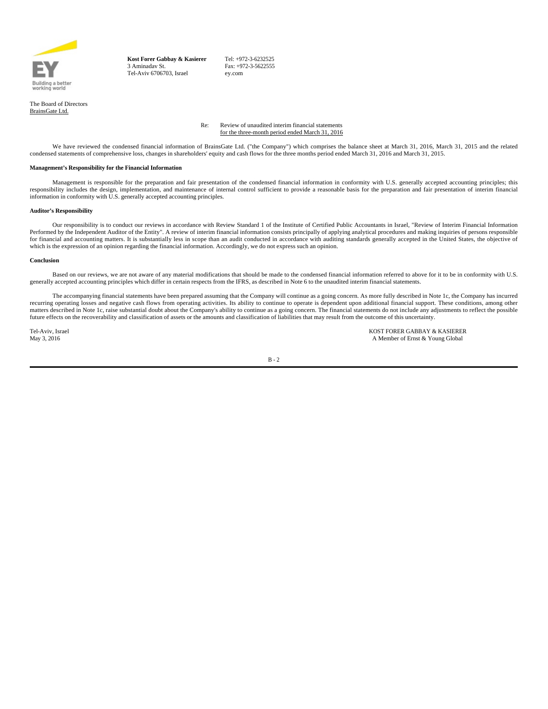

**Kost Forer Gabbay & Kasierer** 3 Aminadav St. Tel-Aviv 6706703, Israel

Tel: +972-3-6232525 Fax: +972-3-5622555 ey.com

The Board of Directors BrainsGate Ltd.

> Re: Review of unaudited interim financial statements for the three-month period ended March 31, 2016

We have reviewed the condensed financial information of BrainsGate Ltd. ("the Company") which comprises the balance sheet at March 31, 2016, March 31, 2015 and the related condensed statements of comprehensive loss, changes in shareholders' equity and cash flows for the three months period ended March 31, 2016 and March 31, 2015.

### **Management's Responsibility for the Financial Information**

Management is responsible for the preparation and fair presentation of the condensed financial information in conformity with U.S. generally accepted accounting principles; this responsibility includes the design, implementation, and maintenance of internal control sufficient to provide a reasonable basis for the preparation and fair presentation of interim financial information in conformity with  $\check{U}.S.$  generally accepted accounting principles.

### **Auditor's Responsibility**

Our responsibility is to conduct our reviews in accordance with Review Standard 1 of the Institute of Certified Public Accountants in Israel, "Review of Interim Financial Information Performed by the Independent Auditor of the Entity". A review of interim financial information consists principally of applying analytical procedures and making inquiries of persons responsible for financial and accounting matters. It is substantially less in scope than an audit conducted in accordance with auditing standards generally accepted in the United States, the objective of which is the expression of an opinion regarding the financial information. Accordingly, we do not express such an opinion.

#### **Conclusion**

Based on our reviews, we are not aware of any material modifications that should be made to the condensed financial information referred to above for it to be in conformity with U.S. generally accepted accounting principles which differ in certain respects from the IFRS, as described in Note 6 to the unaudited interim financial statements.

The accompanying financial statements have been prepared assuming that the Company will continue as a going concern. As more fully described in Note 1c, the Company has incurred recurring operating losses and negative cash flows from operating activities. Its ability to continue to operate is dependent upon additional financial support. These conditions, among other<br>matters described in Note 1c, r future effects on the recoverability and classification of assets or the amounts and classification of liabilities that may result from the outcome of this uncertainty.

Tel-Aviv, Israel KOST FORER GABBAY & KASIERER May 3, 2016 A Member of Ernst & Young Global

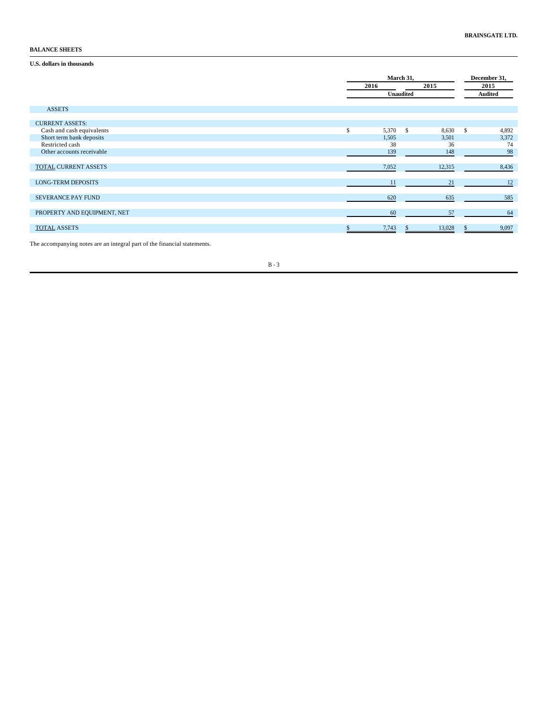## **BALANCE SHEETS**

## **U.S. dollars in thousands**

|                             | March 31,<br>2015<br>2016 |              |        |                | December 31,<br>2015 |  |  |
|-----------------------------|---------------------------|--------------|--------|----------------|----------------------|--|--|
|                             | Unaudited                 |              |        | <b>Audited</b> |                      |  |  |
| <b>ASSETS</b>               |                           |              |        |                |                      |  |  |
| <b>CURRENT ASSETS:</b>      |                           |              |        |                |                      |  |  |
| Cash and cash equivalents   | \$<br>5,370               | $\mathbf{s}$ | 8,630  | $\mathbf S$    | 4,892                |  |  |
| Short term bank deposits    | 1,505                     |              | 3,501  |                | 3,372                |  |  |
| Restricted cash             | 38                        |              | 36     |                | 74                   |  |  |
| Other accounts receivable   | 139                       |              | 148    |                | 98                   |  |  |
| <b>TOTAL CURRENT ASSETS</b> | 7,052                     |              | 12,315 |                | 8,436                |  |  |
| <b>LONG-TERM DEPOSITS</b>   | 11                        |              | 21     |                | 12                   |  |  |
| SEVERANCE PAY FUND          | 620                       |              | 635    |                | 585                  |  |  |
| PROPERTY AND EQUIPMENT, NET | 60                        |              | 57     |                | 64                   |  |  |
| <b>TOTAL ASSETS</b>         | 7,743                     |              | 13,028 |                | 9,097                |  |  |

The accompanying notes are an integral part of the financial statements.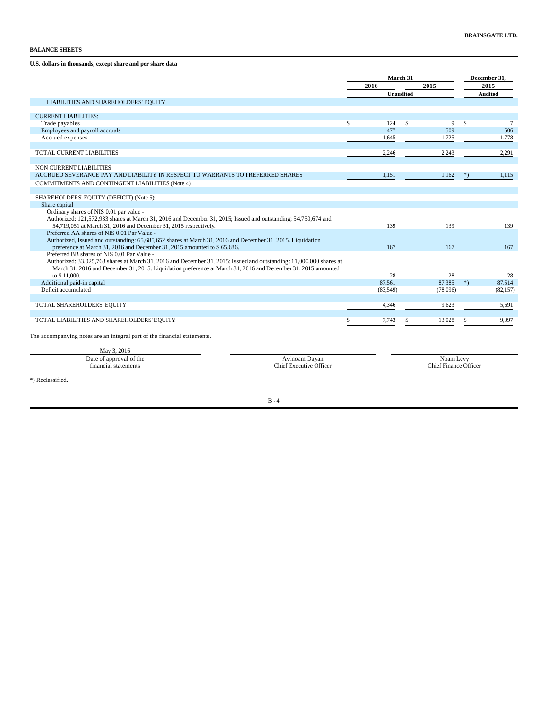**U.S. dollars in thousands, except share and per share data**

| 2015<br>2015<br>2016<br><b>Unaudited</b><br><b>Audited</b><br>LIABILITIES AND SHAREHOLDERS' EQUITY<br><b>CURRENT LIABILITIES:</b><br>\$<br>$\mathbb{S}$<br>124<br>$\mathbf{\hat{S}}$<br>9<br>$\tau$<br>Trade payables<br>477<br>Employees and payroll accruals<br>509<br>506<br>Accrued expenses<br>1.725<br>1,778<br>1.645<br>TOTAL CURRENT LIABILITIES<br>2,243<br>2,291<br>2,246<br>NON CURRENT LIABILITIES<br>ACCRUED SEVERANCE PAY AND LIABILITY IN RESPECT TO WARRANTS TO PREFERRED SHARES<br>1,151<br>1,162<br>$*)$<br>1,115<br>COMMITMENTS AND CONTINGENT LIABILITIES (Note 4)<br>SHAREHOLDERS' EQUITY (DEFICIT) (Note 5):<br>Share capital<br>Ordinary shares of NIS 0.01 par value -<br>Authorized: 121,572,933 shares at March 31, 2016 and December 31, 2015; Issued and outstanding: 54,750,674 and<br>54,719,051 at March 31, 2016 and December 31, 2015 respectively.<br>139<br>139<br>139<br>Preferred AA shares of NIS 0.01 Par Value -<br>Authorized, Issued and outstanding: 65,685,652 shares at March 31, 2016 and December 31, 2015. Liquidation<br>preference at March 31, 2016 and December 31, 2015 amounted to \$65,686.<br>167<br>167<br>167<br>Preferred BB shares of NIS 0.01 Par Value -<br>Authorized: 33,025,763 shares at March 31, 2016 and December 31, 2015; Issued and outstanding: 11,000,000 shares at<br>March 31, 2016 and December 31, 2015. Liquidation preference at March 31, 2016 and December 31, 2015 amounted<br>to \$11,000.<br>28<br>28<br>28<br>$*)$<br>87,385<br>87,514<br>Additional paid-in capital<br>87,561<br>Deficit accumulated<br>(83,549)<br>(78,096)<br>(82, 157)<br>TOTAL SHAREHOLDERS' EQUITY<br>4,346<br>9,623<br>5,691 |  | March 31 |  |  |  | December 31, |  |  |
|-------------------------------------------------------------------------------------------------------------------------------------------------------------------------------------------------------------------------------------------------------------------------------------------------------------------------------------------------------------------------------------------------------------------------------------------------------------------------------------------------------------------------------------------------------------------------------------------------------------------------------------------------------------------------------------------------------------------------------------------------------------------------------------------------------------------------------------------------------------------------------------------------------------------------------------------------------------------------------------------------------------------------------------------------------------------------------------------------------------------------------------------------------------------------------------------------------------------------------------------------------------------------------------------------------------------------------------------------------------------------------------------------------------------------------------------------------------------------------------------------------------------------------------------------------------------------------------------------------------------------------------------------------------------------------------------|--|----------|--|--|--|--------------|--|--|
|                                                                                                                                                                                                                                                                                                                                                                                                                                                                                                                                                                                                                                                                                                                                                                                                                                                                                                                                                                                                                                                                                                                                                                                                                                                                                                                                                                                                                                                                                                                                                                                                                                                                                           |  |          |  |  |  |              |  |  |
|                                                                                                                                                                                                                                                                                                                                                                                                                                                                                                                                                                                                                                                                                                                                                                                                                                                                                                                                                                                                                                                                                                                                                                                                                                                                                                                                                                                                                                                                                                                                                                                                                                                                                           |  |          |  |  |  |              |  |  |
|                                                                                                                                                                                                                                                                                                                                                                                                                                                                                                                                                                                                                                                                                                                                                                                                                                                                                                                                                                                                                                                                                                                                                                                                                                                                                                                                                                                                                                                                                                                                                                                                                                                                                           |  |          |  |  |  |              |  |  |
|                                                                                                                                                                                                                                                                                                                                                                                                                                                                                                                                                                                                                                                                                                                                                                                                                                                                                                                                                                                                                                                                                                                                                                                                                                                                                                                                                                                                                                                                                                                                                                                                                                                                                           |  |          |  |  |  |              |  |  |
|                                                                                                                                                                                                                                                                                                                                                                                                                                                                                                                                                                                                                                                                                                                                                                                                                                                                                                                                                                                                                                                                                                                                                                                                                                                                                                                                                                                                                                                                                                                                                                                                                                                                                           |  |          |  |  |  |              |  |  |
|                                                                                                                                                                                                                                                                                                                                                                                                                                                                                                                                                                                                                                                                                                                                                                                                                                                                                                                                                                                                                                                                                                                                                                                                                                                                                                                                                                                                                                                                                                                                                                                                                                                                                           |  |          |  |  |  |              |  |  |
|                                                                                                                                                                                                                                                                                                                                                                                                                                                                                                                                                                                                                                                                                                                                                                                                                                                                                                                                                                                                                                                                                                                                                                                                                                                                                                                                                                                                                                                                                                                                                                                                                                                                                           |  |          |  |  |  |              |  |  |
|                                                                                                                                                                                                                                                                                                                                                                                                                                                                                                                                                                                                                                                                                                                                                                                                                                                                                                                                                                                                                                                                                                                                                                                                                                                                                                                                                                                                                                                                                                                                                                                                                                                                                           |  |          |  |  |  |              |  |  |
|                                                                                                                                                                                                                                                                                                                                                                                                                                                                                                                                                                                                                                                                                                                                                                                                                                                                                                                                                                                                                                                                                                                                                                                                                                                                                                                                                                                                                                                                                                                                                                                                                                                                                           |  |          |  |  |  |              |  |  |
|                                                                                                                                                                                                                                                                                                                                                                                                                                                                                                                                                                                                                                                                                                                                                                                                                                                                                                                                                                                                                                                                                                                                                                                                                                                                                                                                                                                                                                                                                                                                                                                                                                                                                           |  |          |  |  |  |              |  |  |
|                                                                                                                                                                                                                                                                                                                                                                                                                                                                                                                                                                                                                                                                                                                                                                                                                                                                                                                                                                                                                                                                                                                                                                                                                                                                                                                                                                                                                                                                                                                                                                                                                                                                                           |  |          |  |  |  |              |  |  |
|                                                                                                                                                                                                                                                                                                                                                                                                                                                                                                                                                                                                                                                                                                                                                                                                                                                                                                                                                                                                                                                                                                                                                                                                                                                                                                                                                                                                                                                                                                                                                                                                                                                                                           |  |          |  |  |  |              |  |  |
|                                                                                                                                                                                                                                                                                                                                                                                                                                                                                                                                                                                                                                                                                                                                                                                                                                                                                                                                                                                                                                                                                                                                                                                                                                                                                                                                                                                                                                                                                                                                                                                                                                                                                           |  |          |  |  |  |              |  |  |
|                                                                                                                                                                                                                                                                                                                                                                                                                                                                                                                                                                                                                                                                                                                                                                                                                                                                                                                                                                                                                                                                                                                                                                                                                                                                                                                                                                                                                                                                                                                                                                                                                                                                                           |  |          |  |  |  |              |  |  |
|                                                                                                                                                                                                                                                                                                                                                                                                                                                                                                                                                                                                                                                                                                                                                                                                                                                                                                                                                                                                                                                                                                                                                                                                                                                                                                                                                                                                                                                                                                                                                                                                                                                                                           |  |          |  |  |  |              |  |  |
|                                                                                                                                                                                                                                                                                                                                                                                                                                                                                                                                                                                                                                                                                                                                                                                                                                                                                                                                                                                                                                                                                                                                                                                                                                                                                                                                                                                                                                                                                                                                                                                                                                                                                           |  |          |  |  |  |              |  |  |
|                                                                                                                                                                                                                                                                                                                                                                                                                                                                                                                                                                                                                                                                                                                                                                                                                                                                                                                                                                                                                                                                                                                                                                                                                                                                                                                                                                                                                                                                                                                                                                                                                                                                                           |  |          |  |  |  |              |  |  |
|                                                                                                                                                                                                                                                                                                                                                                                                                                                                                                                                                                                                                                                                                                                                                                                                                                                                                                                                                                                                                                                                                                                                                                                                                                                                                                                                                                                                                                                                                                                                                                                                                                                                                           |  |          |  |  |  |              |  |  |
|                                                                                                                                                                                                                                                                                                                                                                                                                                                                                                                                                                                                                                                                                                                                                                                                                                                                                                                                                                                                                                                                                                                                                                                                                                                                                                                                                                                                                                                                                                                                                                                                                                                                                           |  |          |  |  |  |              |  |  |
|                                                                                                                                                                                                                                                                                                                                                                                                                                                                                                                                                                                                                                                                                                                                                                                                                                                                                                                                                                                                                                                                                                                                                                                                                                                                                                                                                                                                                                                                                                                                                                                                                                                                                           |  |          |  |  |  |              |  |  |
|                                                                                                                                                                                                                                                                                                                                                                                                                                                                                                                                                                                                                                                                                                                                                                                                                                                                                                                                                                                                                                                                                                                                                                                                                                                                                                                                                                                                                                                                                                                                                                                                                                                                                           |  |          |  |  |  |              |  |  |
|                                                                                                                                                                                                                                                                                                                                                                                                                                                                                                                                                                                                                                                                                                                                                                                                                                                                                                                                                                                                                                                                                                                                                                                                                                                                                                                                                                                                                                                                                                                                                                                                                                                                                           |  |          |  |  |  |              |  |  |
|                                                                                                                                                                                                                                                                                                                                                                                                                                                                                                                                                                                                                                                                                                                                                                                                                                                                                                                                                                                                                                                                                                                                                                                                                                                                                                                                                                                                                                                                                                                                                                                                                                                                                           |  |          |  |  |  |              |  |  |
|                                                                                                                                                                                                                                                                                                                                                                                                                                                                                                                                                                                                                                                                                                                                                                                                                                                                                                                                                                                                                                                                                                                                                                                                                                                                                                                                                                                                                                                                                                                                                                                                                                                                                           |  |          |  |  |  |              |  |  |
|                                                                                                                                                                                                                                                                                                                                                                                                                                                                                                                                                                                                                                                                                                                                                                                                                                                                                                                                                                                                                                                                                                                                                                                                                                                                                                                                                                                                                                                                                                                                                                                                                                                                                           |  |          |  |  |  |              |  |  |
|                                                                                                                                                                                                                                                                                                                                                                                                                                                                                                                                                                                                                                                                                                                                                                                                                                                                                                                                                                                                                                                                                                                                                                                                                                                                                                                                                                                                                                                                                                                                                                                                                                                                                           |  |          |  |  |  |              |  |  |
|                                                                                                                                                                                                                                                                                                                                                                                                                                                                                                                                                                                                                                                                                                                                                                                                                                                                                                                                                                                                                                                                                                                                                                                                                                                                                                                                                                                                                                                                                                                                                                                                                                                                                           |  |          |  |  |  |              |  |  |
|                                                                                                                                                                                                                                                                                                                                                                                                                                                                                                                                                                                                                                                                                                                                                                                                                                                                                                                                                                                                                                                                                                                                                                                                                                                                                                                                                                                                                                                                                                                                                                                                                                                                                           |  |          |  |  |  |              |  |  |
|                                                                                                                                                                                                                                                                                                                                                                                                                                                                                                                                                                                                                                                                                                                                                                                                                                                                                                                                                                                                                                                                                                                                                                                                                                                                                                                                                                                                                                                                                                                                                                                                                                                                                           |  |          |  |  |  |              |  |  |
| 13,028<br><b>TOTAL LIABILITIES AND SHAREHOLDERS' EQUITY</b><br>7,743<br>9,097                                                                                                                                                                                                                                                                                                                                                                                                                                                                                                                                                                                                                                                                                                                                                                                                                                                                                                                                                                                                                                                                                                                                                                                                                                                                                                                                                                                                                                                                                                                                                                                                             |  |          |  |  |  |              |  |  |
|                                                                                                                                                                                                                                                                                                                                                                                                                                                                                                                                                                                                                                                                                                                                                                                                                                                                                                                                                                                                                                                                                                                                                                                                                                                                                                                                                                                                                                                                                                                                                                                                                                                                                           |  |          |  |  |  |              |  |  |

The accompanying notes are an integral part of the financial statements.

May 3, 2016

| Date<br>approval of the<br>. | Avinoam Davan           | Noam Levv                                       |
|------------------------------|-------------------------|-------------------------------------------------|
| statements<br>tinancial      | Chief Executive Officer | $\sim$ 100 $\pm$<br>Chief<br>Officer<br>Finance |
|                              |                         |                                                 |

\*) Reclassified.

 $\mathcal{L}$ ٠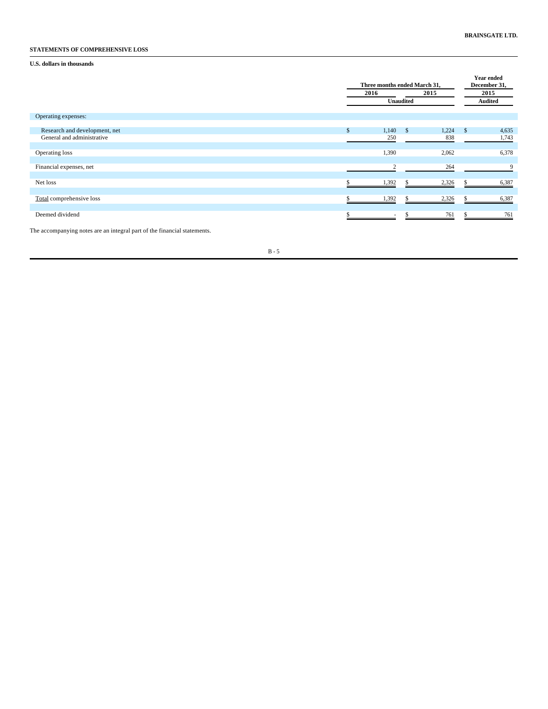# **STATEMENTS OF COMPREHENSIVE LOSS**

# **U.S. dollars in thousands**

|                                                             | Three months ended March 31,<br>2015<br>2016<br>Unaudited |              |            |              |                    |                |
|-------------------------------------------------------------|-----------------------------------------------------------|--------------|------------|--------------|--------------------|----------------|
| Operating expenses:                                         |                                                           |              |            |              |                    |                |
| Research and development, net<br>General and administrative | \$.                                                       | 1,140<br>250 | $^{\circ}$ | 1,224<br>838 | $\mathbf{\hat{S}}$ | 4,635<br>1,743 |
| Operating loss                                              |                                                           | 1,390        |            | 2,062        |                    | 6,378          |
| Financial expenses, net                                     |                                                           | 2            |            | 264          |                    | 9              |
| Net loss                                                    |                                                           | 1,392        |            | 2,326        | S                  | 6,387          |
| Total comprehensive loss                                    |                                                           | 1,392        | \$         | 2,326        | \$                 | 6,387          |
| Deemed dividend                                             |                                                           | $\sim$       | \$         | 761          | \$                 | 761            |

The accompanying notes are an integral part of the financial statements.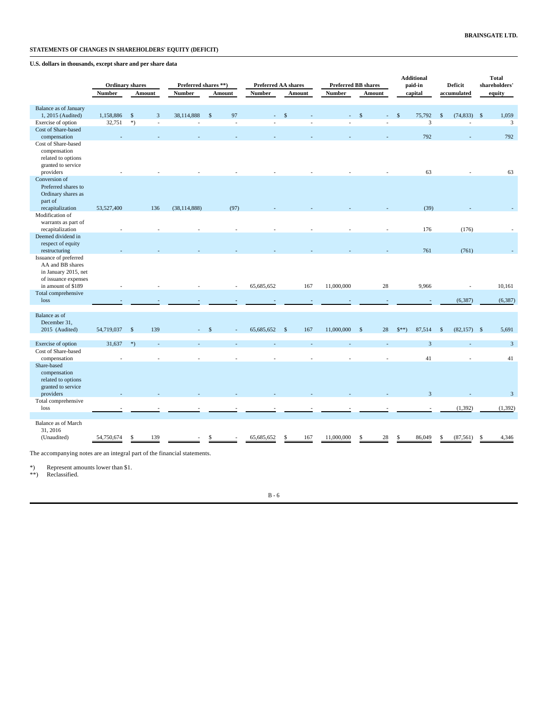# **STATEMENTS OF CHANGES IN SHAREHOLDERS' EQUITY (DEFICIT)**

# **U.S. dollars in thousands, except share and per share data**

|                                                                                                                 |               |                        |     |                      |                          |                            |               |        |                            |                     |               | <b>Additional</b>       |                    |                |        | <b>Total</b>   |  |
|-----------------------------------------------------------------------------------------------------------------|---------------|------------------------|-----|----------------------|--------------------------|----------------------------|---------------|--------|----------------------------|---------------------|---------------|-------------------------|--------------------|----------------|--------|----------------|--|
|                                                                                                                 |               | <b>Ordinary shares</b> |     | Preferred shares **) |                          | <b>Preferred AA shares</b> |               |        | <b>Preferred BB shares</b> |                     |               | paid-in                 |                    | <b>Deficit</b> |        | shareholders'  |  |
|                                                                                                                 | <b>Number</b> | Amount                 |     | <b>Number</b>        | Amount                   | <b>Number</b>              |               | Amount | <b>Number</b><br>Amount    |                     | capital       |                         | accumulated        |                | equity |                |  |
| Balance as of January                                                                                           |               |                        |     |                      |                          |                            |               |        |                            |                     |               |                         |                    |                |        |                |  |
| 1, 2015 (Audited)                                                                                               | 1,158,886     | $\sqrt{5}$             | 3   | 38,114,888           | 97<br>$\mathbf{\hat{s}}$ |                            | $\mathcal{S}$ |        |                            | -\$                 | $\mathcal{S}$ | 75,792                  | $\mathbf{\hat{s}}$ | $(74,833)$ \$  |        | 1,059          |  |
| Exercise of option                                                                                              | 32,751        | $*)$                   |     |                      | $\overline{\phantom{a}}$ |                            |               |        |                            |                     |               | $\overline{3}$          |                    |                |        | 3              |  |
| Cost of Share-based                                                                                             |               |                        |     |                      |                          |                            |               |        |                            |                     |               |                         |                    |                |        |                |  |
| compensation                                                                                                    |               |                        |     |                      |                          |                            |               |        |                            |                     |               | 792                     |                    |                |        | 792            |  |
| Cost of Share-based<br>compensation<br>related to options<br>granted to service<br>providers                    |               |                        |     |                      |                          |                            |               |        |                            |                     |               | 63                      |                    |                |        | 63             |  |
| Conversion of                                                                                                   |               |                        |     |                      |                          |                            |               |        |                            |                     |               |                         |                    |                |        |                |  |
| Preferred shares to<br>Ordinary shares as<br>part of<br>recapitalization                                        | 53,527,400    |                        | 136 | (38, 114, 888)       | (97)                     |                            |               |        |                            |                     |               | (39)                    |                    |                |        |                |  |
| Modification of                                                                                                 |               |                        |     |                      |                          |                            |               |        |                            |                     |               |                         |                    |                |        |                |  |
| warrants as part of                                                                                             |               |                        |     |                      |                          |                            |               |        |                            |                     |               |                         |                    |                |        |                |  |
| recapitalization                                                                                                |               |                        |     |                      |                          |                            |               |        |                            |                     |               | 176                     |                    | (176)          |        |                |  |
| Deemed dividend in<br>respect of equity                                                                         |               |                        |     |                      |                          |                            |               |        |                            |                     |               |                         |                    |                |        |                |  |
| restructuring                                                                                                   |               |                        |     |                      |                          |                            |               |        |                            |                     |               | 761                     |                    | (761)          |        |                |  |
| Issuance of preferred<br>AA and BB shares<br>in January 2015, net<br>of issuance expenses<br>in amount of \$189 |               |                        |     |                      |                          | 65,685,652                 |               | 167    | 11,000,000                 | 28                  |               | 9,966                   |                    |                |        | 10,161         |  |
| Total comprehensive                                                                                             |               |                        |     |                      |                          |                            |               |        |                            |                     |               |                         |                    |                |        |                |  |
| loss                                                                                                            |               |                        |     |                      |                          |                            |               |        |                            |                     |               |                         |                    | (6, 387)       |        | (6, 387)       |  |
|                                                                                                                 |               |                        |     |                      |                          |                            |               |        |                            |                     |               |                         |                    |                |        |                |  |
| Balance as of<br>December 31,                                                                                   |               |                        |     |                      |                          |                            |               |        |                            |                     |               |                         |                    |                |        |                |  |
| 2015 (Audited)                                                                                                  | 54,719,037    | $\mathcal{S}$          | 139 |                      |                          | 65,685,652                 | $\mathcal{S}$ | 167    | 11,000,000                 | 28<br>$\mathcal{S}$ | $$**$$        | 87,514                  | \$                 | $(82,157)$ \$  |        | 5,691          |  |
| Exercise of option                                                                                              | 31,637        | $*)$                   |     |                      |                          |                            |               |        |                            |                     |               | $\overline{\mathbf{3}}$ |                    |                |        | $\mathbf{3}$   |  |
| Cost of Share-based                                                                                             |               |                        |     |                      |                          |                            |               |        |                            |                     |               |                         |                    |                |        |                |  |
| compensation                                                                                                    |               |                        |     |                      |                          |                            |               |        |                            |                     |               | 41                      |                    |                |        | 41             |  |
| Share-based<br>compensation<br>related to options<br>granted to service<br>providers                            |               |                        |     |                      |                          |                            |               |        |                            |                     |               | $\overline{\mathbf{3}}$ |                    |                |        | $\overline{3}$ |  |
| Total comprehensive                                                                                             |               |                        |     |                      |                          |                            |               |        |                            |                     |               |                         |                    |                |        |                |  |
| loss                                                                                                            |               |                        |     |                      |                          |                            |               |        |                            |                     |               |                         |                    | (1, 392)       |        | (1, 392)       |  |
| Balance as of March<br>31, 2016<br>(Unaudited)                                                                  | 54,750,674    |                        | 139 |                      |                          | 65,685,652                 |               | 167    | 11,000,000                 | 28                  |               | 86,049                  |                    | (87, 561)      |        | 4,346          |  |

The accompanying notes are an integral part of the financial statements.

\*) Represent amounts lower than \$1. \*\*) Reclassified.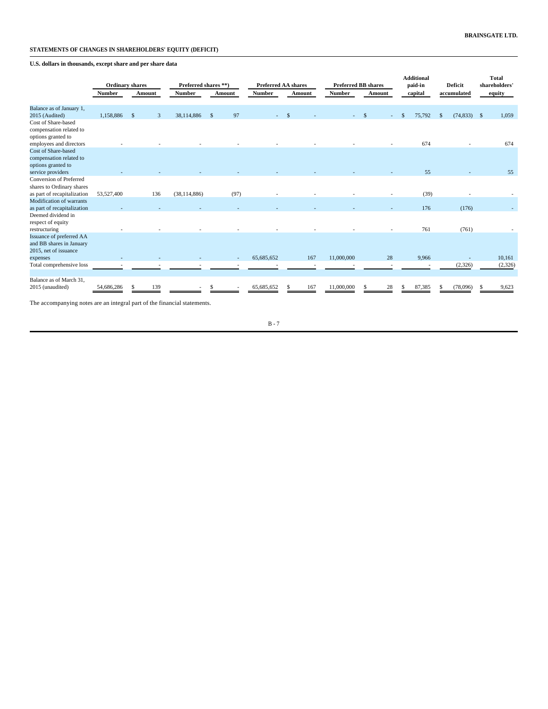# **STATEMENTS OF CHANGES IN SHAREHOLDERS' EQUITY (DEFICIT)**

# **U.S. dollars in thousands, except share and per share data**

|                                                                               | <b>Ordinary shares</b><br><b>Number</b> | <b>Amount</b>      | Preferred shares **)<br><b>Number</b> | Amount             | <b>Preferred AA shares</b><br><b>Number</b> | Amount             | <b>Preferred BB shares</b><br><b>Number</b> | Amount | <b>Additional</b><br>paid-in<br>capital | <b>Deficit</b><br>accumulated | <b>Total</b><br>shareholders'<br>equity |
|-------------------------------------------------------------------------------|-----------------------------------------|--------------------|---------------------------------------|--------------------|---------------------------------------------|--------------------|---------------------------------------------|--------|-----------------------------------------|-------------------------------|-----------------------------------------|
|                                                                               |                                         |                    |                                       |                    |                                             |                    |                                             |        |                                         |                               |                                         |
| Balance as of January 1,                                                      |                                         |                    |                                       |                    |                                             |                    |                                             |        |                                         |                               |                                         |
| 2015 (Audited)                                                                | 1,158,886                               | $\mathcal{S}$<br>3 | 38,114,886                            | 97<br>$\mathbf{s}$ |                                             | $\mathbf{\hat{s}}$ |                                             | ٠      | 75,792<br>$\mathbf{s}$                  | $(74,833)$ \$<br>$\mathbb{S}$ | 1.059                                   |
| Cost of Share-based<br>compensation related to<br>options granted to          |                                         |                    |                                       |                    |                                             |                    |                                             |        |                                         |                               |                                         |
| employees and directors                                                       |                                         |                    |                                       |                    |                                             |                    |                                             |        | 674                                     |                               | 674                                     |
| Cost of Share-based<br>compensation related to<br>options granted to          |                                         |                    |                                       |                    |                                             |                    |                                             |        |                                         |                               |                                         |
| service providers                                                             |                                         |                    |                                       |                    |                                             |                    |                                             |        | 55                                      |                               | 55                                      |
| Conversion of Preferred<br>shares to Ordinary shares                          |                                         |                    |                                       |                    |                                             |                    |                                             |        |                                         |                               |                                         |
| as part of recapitalization                                                   | 53,527,400                              | 136                | (38, 114, 886)                        | (97)               |                                             |                    |                                             |        | (39)                                    |                               |                                         |
| Modification of warrants<br>as part of recapitalization                       |                                         |                    |                                       |                    |                                             |                    |                                             |        | 176                                     | (176)                         |                                         |
| Deemed dividend in<br>respect of equity<br>restructuring                      |                                         |                    |                                       |                    |                                             |                    |                                             |        | 761                                     | (761)                         |                                         |
| Issuance of preferred AA<br>and BB shares in January<br>2015, net of issuance |                                         |                    |                                       |                    |                                             |                    |                                             |        |                                         |                               |                                         |
| expenses                                                                      |                                         |                    |                                       |                    | 65,685,652                                  | 167                | 11,000,000                                  | 28     | 9,966                                   |                               | 10,161                                  |
| Total comprehensive loss                                                      |                                         |                    |                                       |                    |                                             |                    |                                             |        |                                         | (2,326)                       | (2,326)                                 |
| Balance as of March 31,<br>2015 (unaudited)                                   | 54,686,286                              | 139                |                                       |                    | 65,685,652                                  | 167                | 11,000,000                                  | 28     | 87,385<br>S                             | (78,096)                      | 9,623                                   |
|                                                                               |                                         |                    |                                       |                    |                                             |                    |                                             |        |                                         |                               |                                         |

The accompanying notes are an integral part of the financial statements.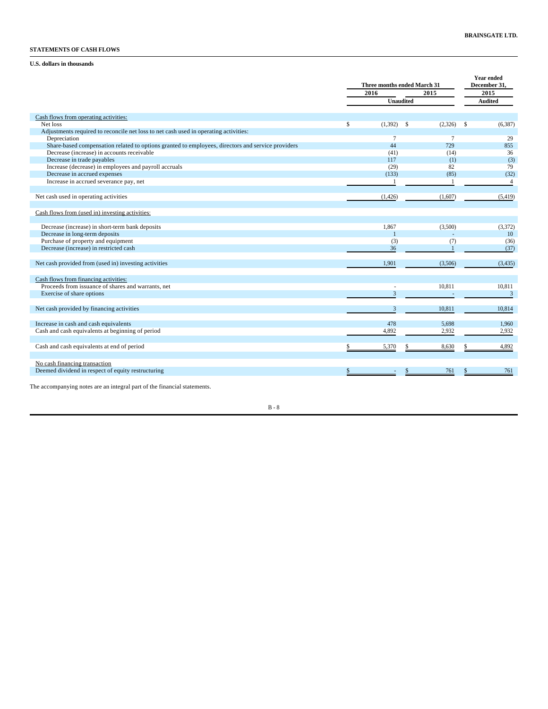## **STATEMENTS OF CASH FLOWS**

## **U.S. dollars in thousands**

|                                                                                                   | Three months ended March 31 |         | <b>Year ended</b><br>December 31. |
|---------------------------------------------------------------------------------------------------|-----------------------------|---------|-----------------------------------|
|                                                                                                   | 2016                        | 2015    | 2015                              |
|                                                                                                   | <b>Unaudited</b>            |         | <b>Audited</b>                    |
| Cash flows from operating activities:                                                             |                             |         |                                   |
| Net loss                                                                                          | \$<br>$(1,392)$ \$          | (2,326) | \$<br>(6,387)                     |
| Adjustments required to reconcile net loss to net cash used in operating activities:              |                             |         |                                   |
| Depreciation                                                                                      | 7                           | $\tau$  | 29                                |
| Share-based compensation related to options granted to employees, directors and service providers | 44                          | 729     | 855                               |
| Decrease (increase) in accounts receivable                                                        | (41)                        | (14)    | 36                                |
| Decrease in trade payables                                                                        | 117                         | (1)     | (3)                               |
| Increase (decrease) in employees and payroll accruals                                             | (29)                        | 82      | 79                                |
| Decrease in accrued expenses                                                                      | (133)                       | (85)    | (32)                              |
| Increase in accrued severance pay, net                                                            |                             |         | $\overline{4}$                    |
|                                                                                                   |                             |         |                                   |
| Net cash used in operating activities                                                             | (1, 426)                    | (1,607) | (5, 419)                          |
|                                                                                                   |                             |         |                                   |
| Cash flows from (used in) investing activities:                                                   |                             |         |                                   |
|                                                                                                   |                             |         |                                   |
| Decrease (increase) in short-term bank deposits                                                   | 1.867                       | (3,500) | (3,372)                           |
| Decrease in long-term deposits                                                                    |                             |         | 10                                |
| Purchase of property and equipment                                                                | (3)                         | (7)     | (36)                              |
| Decrease (increase) in restricted cash                                                            | 36                          |         | (37)                              |
|                                                                                                   |                             |         |                                   |
|                                                                                                   |                             |         |                                   |
| Net cash provided from (used in) investing activities                                             | 1.901                       | (3,506) | (3, 435)                          |
|                                                                                                   |                             |         |                                   |
| Cash flows from financing activities:                                                             |                             |         |                                   |
| Proceeds from issuance of shares and warrants, net                                                |                             | 10,811  | 10,811                            |
| Exercise of share options                                                                         | 3                           |         | $\overline{3}$                    |
|                                                                                                   |                             |         |                                   |
| Net cash provided by financing activities                                                         | 3                           | 10,811  | 10,814                            |
|                                                                                                   |                             |         |                                   |
| Increase in cash and cash equivalents                                                             | 478                         | 5,698   | 1,960                             |
| Cash and cash equivalents at beginning of period                                                  | 4,892                       | 2,932   | 2,932                             |
|                                                                                                   |                             |         |                                   |
| Cash and cash equivalents at end of period                                                        | 5,370                       | 8,630   | 4,892                             |
|                                                                                                   |                             |         |                                   |
|                                                                                                   |                             |         |                                   |
| No cash financing transaction                                                                     |                             |         |                                   |
| Deemed dividend in respect of equity restructuring                                                |                             | 761     | 761                               |
|                                                                                                   |                             |         |                                   |

The accompanying notes are an integral part of the financial statements.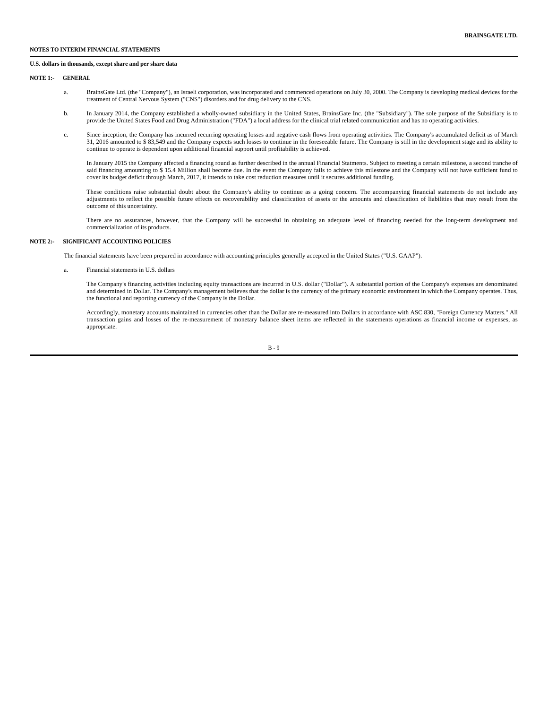### **NOTES TO INTERIM FINANCIAL STATEMENTS**

#### **U.S. dollars in thousands, except share and per share data**

**NOTE 1:- GENERAL**

- a. BrainsGate Ltd. (the "Company"), an Israeli corporation, was incorporated and commenced operations on July 30, 2000. The Company is developing medical devices for the treatment of Central Nervous System ("CNS") disorders and for drug delivery to the CNS.
- b. In January 2014, the Company established a wholly-owned subsidiary in the United States, BrainsGate Inc. (the "Subsidiary"). The sole purpose of the Subsidiary is to provide the United States Food and Drug Administration ("FDA") a local address for the clinical trial related communication and has no operating activities.
- c. Since inception, the Company has incurred recurring operating losses and negative cash flows from operating activities. The Company's accumulated deficit as of March 31, 2016 amounted to \$ 83,549 and the Company expects such losses to continue in the foreseeable future. The Company is still in the development stage and its ability to continue to operate is dependent upon additional financial support until profitability is achieved.

In January 2015 the Company affected a financing round as further described in the annual Financial Statments. Subject to meeting a certain milestone, a second tranche of said financing amounting to \$15.4 Million shall become due. In the event the Company fails to achieve this milestone and the Company will not have sufficient fund to cover its budget deficit through March, 2017, it intends to take cost reduction measures until it secures additional funding.

These conditions raise substantial doubt about the Company's ability to continue as a going concern. The accompanying financial statements do not include any adjustments to reflect the possible future effects on recoverability and classification of assets or the amounts and classification of liabilities that may result from the outcome of this uncertainty.

There are no assurances, however, that the Company will be successful in obtaining an adequate level of financing needed for the long-term development and commercialization of its products.

### **NOTE 2:- SIGNIFICANT ACCOUNTING POLICIES**

The financial statements have been prepared in accordance with accounting principles generally accepted in the United States ("U.S. GAAP").

a. Financial statements in U.S. dollars

The Company's financing activities including equity transactions are incurred in U.S. dollar ("Dollar"). A substantial portion of the Company's expenses are denominated and determined in Dollar. The Company's management believes that the dollar is the currency of the primary economic environment in which the Company operates. Thus, the functional and reporting currency of the Company is the Dollar.

Accordingly, monetary accounts maintained in currencies other than the Dollar are re-measured into Dollars in accordance with ASC 830, "Foreign Currency Matters." All transaction gains and losses of the re-measurement of monetary balance sheet items are reflected in the statements operations as financial income or expenses, as appropriate.

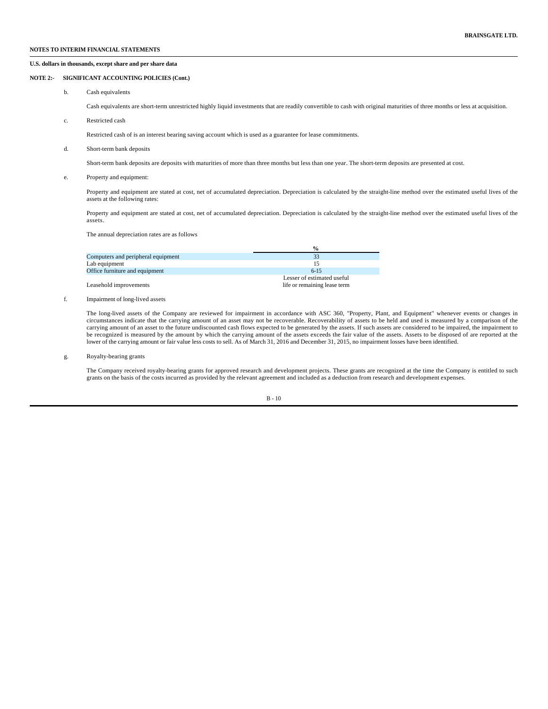### **U.S. dollars in thousands, except share and per share data**

### **NOTE 2:- SIGNIFICANT ACCOUNTING POLICIES (Cont.)**

b. Cash equivalents

Cash equivalents are short-term unrestricted highly liquid investments that are readily convertible to cash with original maturities of three months or less at acquisition.

c. Restricted cash

Restricted cash of is an interest bearing saving account which is used as a guarantee for lease commitments.

d. Short-term bank deposits

Short-term bank deposits are deposits with maturities of more than three months but less than one year. The short-term deposits are presented at cost.

e. Property and equipment:

Property and equipment are stated at cost, net of accumulated depreciation. Depreciation is calculated by the straight-line method over the estimated useful lives of the assets at the following rates:

Property and equipment are stated at cost, net of accumulated depreciation. Depreciation is calculated by the straight-line method over the estimated useful lives of the assets.

The annual depreciation rates are as follows

|                                    | $\frac{1}{2}$                |
|------------------------------------|------------------------------|
| Computers and peripheral equipment | 33                           |
| Lab equipment                      | 15                           |
| Office furniture and equipment     | $6 - 15$                     |
|                                    | Lesser of estimated useful   |
| Leasehold improvements             | life or remaining lease term |

f. Impairment of long-lived assets

The long-lived assets of the Company are reviewed for impairment in accordance with ASC 360, "Property, Plant, and Equipment" whenever events or changes in circumstances indicate that the carrying amount of an asset may not be recoverable. Recoverability of assets to be held and used is measured by a comparison of the carrying amount of an asset to the future undiscounted cash flows expected to be generated by the assets. If such assets are considered to be impaired, the impairment to be recognized is measured by the amount by which the carrying amount of the assets exceeds the fair value of the assets. Assets to be disposed of are reported at the lower of the carrying amount or fair value less costs to sell. As of March 31, 2016 and December 31, 2015, no impairment losses have been identified.

g. Royalty-bearing grants

The Company received royalty-bearing grants for approved research and development projects. These grants are recognized at the time the Company is entitled to such grants on the basis of the costs incurred as provided by the relevant agreement and included as a deduction from research and development expenses.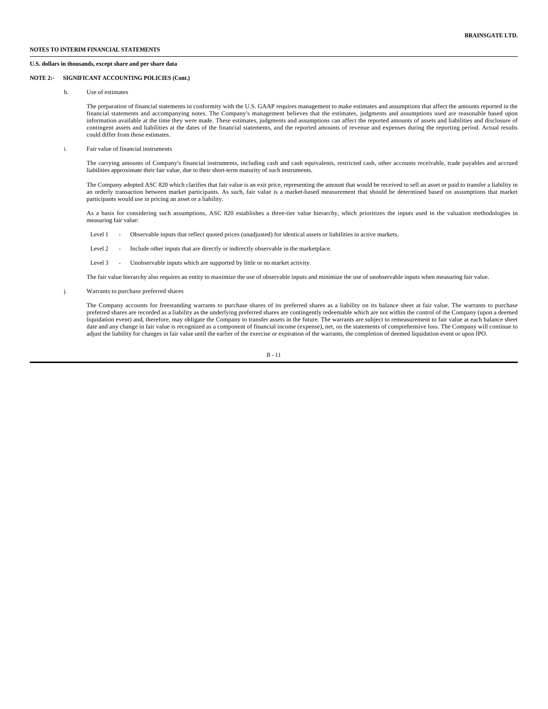### **U.S. dollars in thousands, except share and per share data**

### **NOTE 2:- SIGNIFICANT ACCOUNTING POLICIES (Cont.)**

h. Use of estimates

The preparation of financial statements in conformity with the U.S. GAAP requires management to make estimates and assumptions that affect the amounts reported in the financial statements and accompanying notes. The Company's management believes that the estimates, judgments and assumptions used are reasonable based upon information available at the time they were made. These estimates, judgments and assumptions can affect the reported amounts of assets and liabilities and disclosure of contingent assets and liabilities at the dates of the financial statements, and the reported amounts of revenue and expenses during the reporting period. Actual results could differ from those estimates.

i. Fair value of financial instruments

The carrying amounts of Company's financial instruments, including cash and cash equivalents, restricted cash, other accounts receivable, trade payables and accrued liabilities approximate their fair value, due to their short-term maturity of such instruments.

The Company adopted ASC 820 which clarifies that fair value is an exit price, representing the amount that would be received to sell an asset or paid to transfer a liability in an orderly transaction between market participants. As such, fair value is a market-based measurement that should be determined based on assumptions that market participants would use in pricing an asset or a liability.

As a basis for considering such assumptions, ASC 820 establishes a three-tier value hierarchy, which prioritizes the inputs used in the valuation methodologies in measuring fair value:

- Level 1 Observable inputs that reflect quoted prices (unadjusted) for identical assets or liabilities in active markets.
- Level 2 Include other inputs that are directly or indirectly observable in the marketplace.
- Level 3 Unobservable inputs which are supported by little or no market activity.

The fair value hierarchy also requires an entity to maximize the use of observable inputs and minimize the use of unobservable inputs when measuring fair value.

j. Warrants to purchase preferred shares

The Company accounts for freestanding warrants to purchase shares of its preferred shares as a liability on its balance sheet at fair value. The warrants to purchase preferred shares are recorded as a liability as the underlying preferred shares are contingently redeemable which are not within the control of the Company (upon a deemed<br>liquidation event) and, therefore, may obligate the date and any change in fair value is recognized as a component of financial income (expense), net, on the statements of comprehensive loss. The Company will continue to adjust the liability for changes in fair value until the earlier of the exercise or expiration of the warrants, the completion of deemed liquidation event or upon IPO.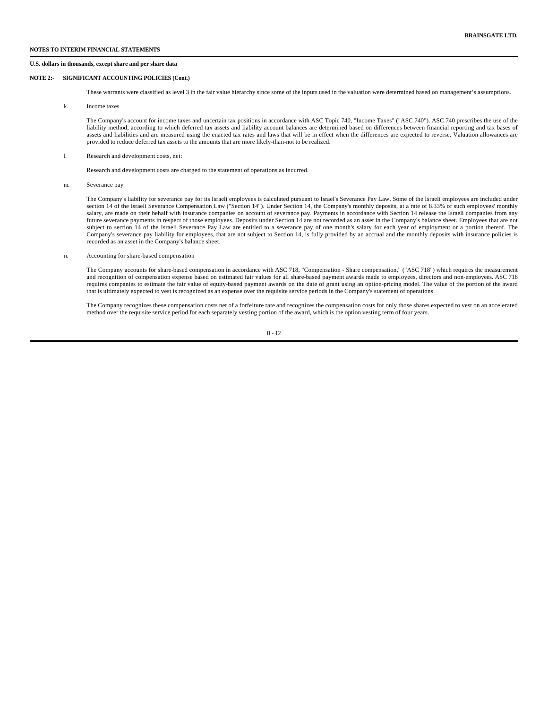### **NOTES TO INTERIM FINANCIAL STATEMENTS**

### **U.S. dollars in thousands, except share and per share data**

### **NOTE 2:- SIGNIFICANT ACCOUNTING POLICIES (Cont.)**

These warrants were classified as level 3 in the fair value hierarchy since some of the inputs used in the valuation were determined based on management's assumptions.

k. Income taxes

The Company's account for income taxes and uncertain tax positions in accordance with ASC Topic 740, "Income Taxes" ("ASC 740"). ASC 740 prescribes the use of the liability method, according to which deferred tax assets and liability account balances are determined based on differences between financial reporting and tax bases of assets and liabilities and are measured using the enacted tax rates and laws that will be in effect when the differences are expected to reverse. Valuation allowances are provided to reduce deferred tax assets to the amounts that are more likely-than-not to be realized.

l. Research and development costs, net:

Research and development costs are charged to the statement of operations as incurred.

m. Severance pay

The Company's liability for severance pay for its Israeli employees is calculated pursuant to Israel's Severance Pay Law. Some of the Israeli employees are included under section 14 of the Israeli Severance Compensation Law ("Section 14"). Under Section 14, the Company's monthly deposits, at a rate of 8.33% of such employees' monthly salary, are made on their behalf with insurance companies on account of severance pay. Payments in accordance with Section 14 release the Israeli companies from any future severance payments in respect of those employees. Deposits under Section 14 are not recorded as an asset in the Company's balance sheet. Employees that are not subject to section 14 of the Israeli Severance Pay Law are entitled to a severance pay of one month's salary for each year of employment or a portion thereof. The Company's severance pay liability for employees, that are not subject to Section 14, is fully provided by an accrual and the monthly deposits with insurance policies is recorded as an asset in the Company's balance sheet.

n. Accounting for share-based compensation

The Company accounts for share-based compensation in accordance with ASC 718, "Compensation - Share compensation," ("ASC 718") which requires the measurement and recognition of compensation expense based on estimated fair values for all share-based payment awards made to employees, directors and non-employees. ASC 718 requires companies to estimate the fair value of equity-based payment awards on the date of grant using an option-pricing model. The value of the portion of the award that is ultimately expected to vest is recognized as an expense over the requisite service periods in the Company's statement of operations.

The Company recognizes these compensation costs net of a forfeiture rate and recognizes the compensation costs for only those shares expected to vest on an accelerated method over the requisite service period for each separately vesting portion of the award, which is the option vesting term of four years.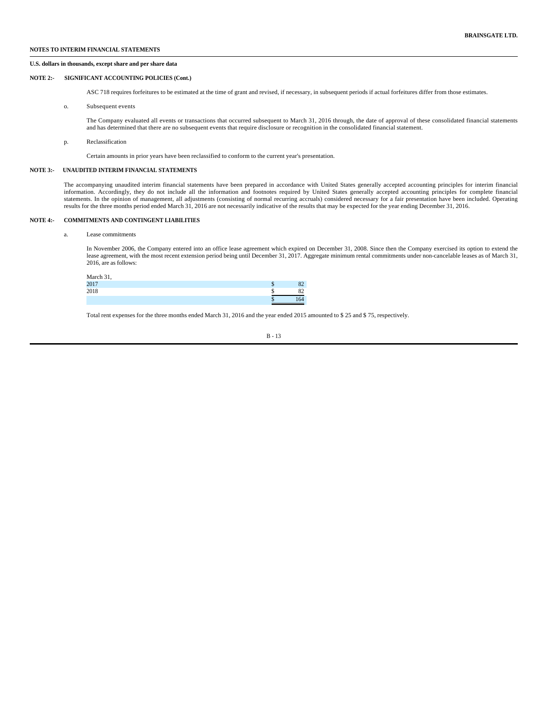### **NOTES TO INTERIM FINANCIAL STATEMENTS**

### **U.S. dollars in thousands, except share and per share data**

### **NOTE 2:- SIGNIFICANT ACCOUNTING POLICIES (Cont.)**

ASC 718 requires forfeitures to be estimated at the time of grant and revised, if necessary, in subsequent periods if actual forfeitures differ from those estimates.

o. Subsequent events

The Company evaluated all events or transactions that occurred subsequent to March 31, 2016 through, the date of approval of these consolidated financial statements and has determined that there are no subsequent events that require disclosure or recognition in the consolidated financial statement.

p. Reclassification

Certain amounts in prior years have been reclassified to conform to the current year's presentation.

### **NOTE 3:- UNAUDITED INTERIM FINANCIAL STATEMENTS**

The accompanying unaudited interim financial statements have been prepared in accordance with United States generally accepted accounting principles for interim financial information. Accordingly, they do not include all the information and footnotes required by United States generally accepted accounting principles for complete financial statements. In the opinion of management, all adjustments (consisting of normal recurring accruals) considered necessary for a fair presentation have been included. Operating results for the three months period ended March 31, 2016 are not necessarily indicative of the results that may be expected for the year ending December 31, 2016.

### **NOTE 4:- COMMITMENTS AND CONTINGENT LIABILITIES**

## a. Lease commitments

In November 2006, the Company entered into an office lease agreement which expired on December 31, 2008. Since then the Company exercised its option to extend the lease agreement, with the most recent extension period being until December 31, 2017. Aggregate minimum rental commitments under non-cancelable leases as of March 31, 2016, are as follows:

| March 31, |     |
|-----------|-----|
| 2017      |     |
| 2018      |     |
|           | .64 |

Total rent expenses for the three months ended March 31, 2016 and the year ended 2015 amounted to \$ 25 and \$ 75, respectively.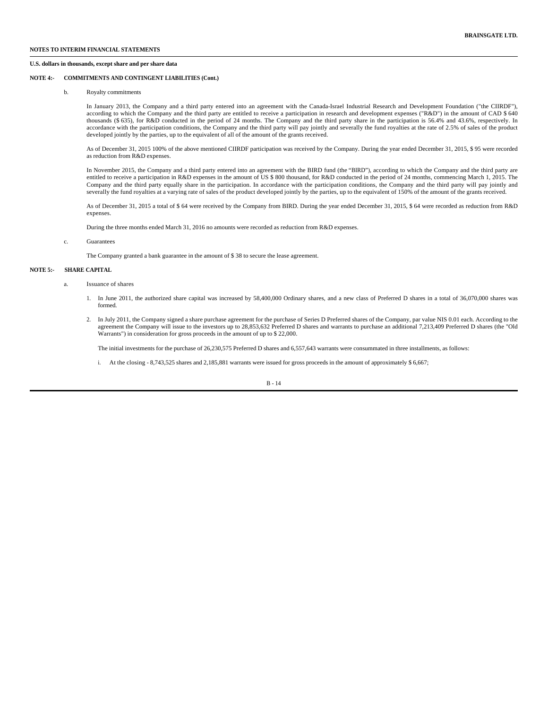### **U.S. dollars in thousands, except share and per share data**

### **NOTE 4:- COMMITMENTS AND CONTINGENT LIABILITIES (Cont.)**

## b. Royalty commitments

In January 2013, the Company and a third party entered into an agreement with the Canada-Israel Industrial Research and Development Foundation ("the CIIRDF"), according to which the Company and the third party are entitled to receive a participation in research and development expenses ("R&D") in the amount of CAD \$ 640 thousands (\$ 635), for R&D conducted in the period of 24 months. The Company and the third party share in the participation is 56.4% and 43.6%, respectively. In accordance with the participation conditions, the Company and the third party will pay jointly and severally the fund royalties at the rate of 2.5% of sales of the product developed jointly by the parties, up to the equivalent of all of the amount of the grants received.

As of December 31, 2015 100% of the above mentioned CIIRDF participation was received by the Company. During the year ended December 31, 2015, \$ 95 were recorded as reduction from R&D expenses.

In November 2015, the Company and a third party entered into an agreement with the BIRD fund (the "BIRD"), according to which the Company and the third party are entitled to receive a participation in R&D expenses in the amount of US \$ 800 thousand, for R&D conducted in the period of 24 months, commencing March 1, 2015. The Company and the third party equally share in the participation. In accordance with the participation conditions, the Company and the third party will pay jointly and severally the fund royalties at a varying rate of sales of the product developed jointly by the parties, up to the equivalent of 150% of the amount of the grants received.

As of December 31, 2015 a total of \$ 64 were received by the Company from BIRD. During the year ended December 31, 2015, \$ 64 were recorded as reduction from R&D expenses.

During the three months ended March 31, 2016 no amounts were recorded as reduction from R&D expenses.

#### c. Guarantees

The Company granted a bank guarantee in the amount of \$ 38 to secure the lease agreement.

### **NOTE 5:- SHARE CAPITAL**

- a. Issuance of shares
	- 1. In June 2011, the authorized share capital was increased by 58,400,000 Ordinary shares, and a new class of Preferred D shares in a total of 36,070,000 shares was formed.
	- 2. In July 2011, the Company signed a share purchase agreement for the purchase of Series D Preferred shares of the Company, par value NIS 0.01 each. According to the agreement the Company will issue to the investors up to 28,853,632 Preferred D shares and warrants to purchase an additional 7,213,409 Preferred D shares (the "Old<br>Warrants") in consideration for gross proceeds in the amou

The initial investments for the purchase of 26,230,575 Preferred D shares and 6,557,643 warrants were consummated in three installments, as follows:

i. At the closing - 8,743,525 shares and 2,185,881 warrants were issued for gross proceeds in the amount of approximately \$ 6,667;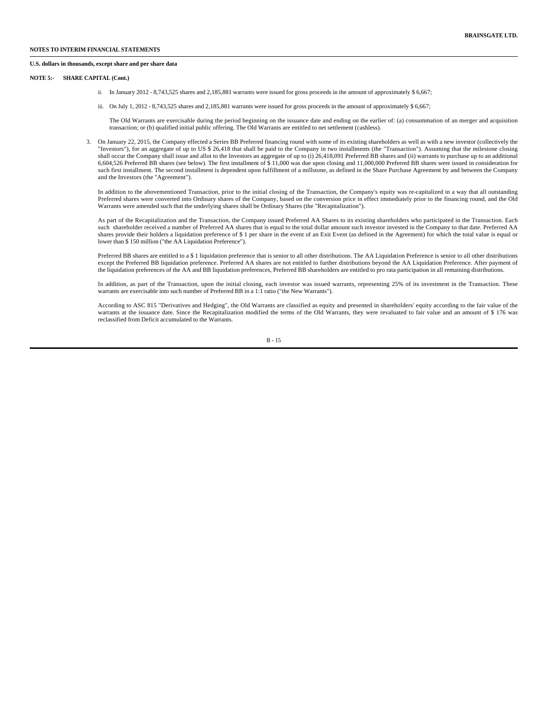#### **U.S. dollars in thousands, except share and per share data**

### **NOTE 5:- SHARE CAPITAL (Cont.)**

- ii. In January 2012 8,743,525 shares and 2,185,881 warrants were issued for gross proceeds in the amount of approximately \$ 6,667;
- iii. On July 1, 2012 8,743,525 shares and 2,185,881 warrants were issued for gross proceeds in the amount of approximately \$ 6,667;

The Old Warrants are exercisable during the period beginning on the issuance date and ending on the earlier of: (a) consummation of an merger and acquisition transaction; or (b) qualified initial public offering. The Old Warrants are entitled to net settlement (cashless).

3. On January 22, 2015, the Company effected a Series BB Preferred financing round with some of its existing shareholders as well as with a new investor (collectively the "Investors"), for an aggregate of up to US \$ 26,418 that shall be paid to the Company in two installments (the "Transaction"). Assuming that the milestone closing shall occur the Company shall issue and allot to the Investors an aggregate of up to (i) 26,418,091 Preferred BB shares and (ii) warrants to purchase up to an additional 6,604,526 Preferred BB shares (see below). The first installment of \$ 11,000 was due upon closing and 11,000,000 Preferred BB shares were issued in consideration for such first installment. The second installment is dependent upon fulfillment of a millstone, as defined in the Share Purchase Agreement by and between the Company and the Investors (the "Agreement").

In addition to the abovementioned Transaction, prior to the initial closing of the Transaction, the Company's equity was re-capitalized in a way that all outstanding Preferred shares were converted into Ordinary shares of the Company, based on the conversion price in effect immediately prior to the financing round, and the Old Warrants were amended such that the underlying shares shall be Ordinary Shares (the "Recapitalization").

As part of the Recapitalization and the Transaction, the Company issued Preferred AA Shares to its existing shareholders who participated in the Transaction. Each such shareholder received a number of Preferred AA shares that is equal to the total dollar amount such investor invested in the Company to that date. Preferred AA shares provide their holders a liquidation preference of \$ 1 per share in the event of an Exit Event (as defined in the Agreement) for which the total value is equal or lower than \$ 150 million ("the AA Liquidation Preference").

Preferred BB shares are entitled to a \$ 1 liquidation preference that is senior to all other distributions. The AA Liquidation Preference is senior to all other distributions except the Preferred BB liquidation preference. Preferred AA shares are not entitled to further distributions beyond the AA Liquidation Preference. After payment of the liquidation preferences of the AA and BB liquidation preferences, Preferred BB shareholders are entitled to pro rata participation in all remaining distributions.

In addition, as part of the Transaction, upon the initial closing, each investor was issued warrants, representing 25% of its investment in the Transaction. These warrants are exercisable into such number of Preferred BB in a 1:1 ratio ("the New Warrants").

According to ASC 815 "Derivatives and Hedging", the Old Warrants are classified as equity and presented in shareholders' equity according to the fair value of the warrants at the issuance date. Since the Recapitalization modified the terms of the Old Warrants, they were revaluated to fair value and an amount of \$ 176 was reclassified from Deficit accumulated to the Warrants.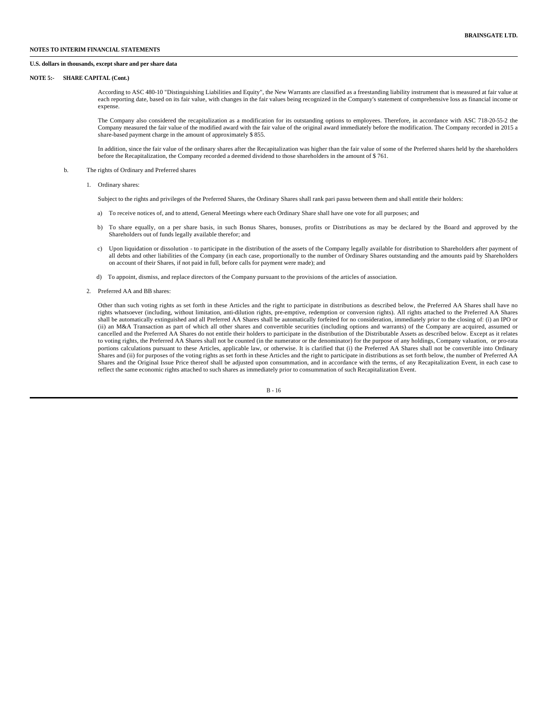### **NOTES TO INTERIM FINANCIAL STATEMENTS**

#### **U.S. dollars in thousands, except share and per share data**

### **NOTE 5:- SHARE CAPITAL (Cont.)**

According to ASC 480-10 "Distinguishing Liabilities and Equity", the New Warrants are classified as a freestanding liability instrument that is measured at fair value at each reporting date, based on its fair value, with changes in the fair values being recognized in the Company's statement of comprehensive loss as financial income or expense.

The Company also considered the recapitalization as a modification for its outstanding options to employees. Therefore, in accordance with ASC 718-20-55-2 the Company measured the fair value of the modified award with the fair value of the original award immediately before the modification. The Company recorded in 2015 a share-based payment charge in the amount of approximately \$ 855.

In addition, since the fair value of the ordinary shares after the Recapitalization was higher than the fair value of some of the Preferred shares held by the shareholders before the Recapitalization, the Company recorded a deemed dividend to those shareholders in the amount of \$ 761.

#### b. The rights of Ordinary and Preferred shares

1. Ordinary shares:

Subject to the rights and privileges of the Preferred Shares, the Ordinary Shares shall rank pari passu between them and shall entitle their holders:

- a) To receive notices of, and to attend, General Meetings where each Ordinary Share shall have one vote for all purposes; and
- b) To share equally, on a per share basis, in such Bonus Shares, bonuses, profits or Distributions as may be declared by the Board and approved by the Shareholders out of funds legally available therefor; and
- c) Upon liquidation or dissolution to participate in the distribution of the assets of the Company legally available for distribution to Shareholders after payment of all debts and other liabilities of the Company (in each case, proportionally to the number of Ordinary Shares outstanding and the amounts paid by Shareholders on account of their Shares, if not paid in full, before calls for payment were made); and
- d) To appoint, dismiss, and replace directors of the Company pursuant to the provisions of the articles of association.
- 2. Preferred AA and BB shares:

Other than such voting rights as set forth in these Articles and the right to participate in distributions as described below, the Preferred AA Shares shall have no rights whatsoever (including, without limitation, anti-dilution rights, pre-emptive, redemption or conversion rights). All rights attached to the Preferred AA Shares shall be automatically extinguished and all Preferred AA Shares shall be automatically forfeited for no consideration, immediately prior to the closing of: (i) an IPO or (ii) an M&A Transaction as part of which all other shares and convertible securities (including options and warrants) of the Company are acquired, assumed or cancelled and the Preferred AA Shares do not entitle their holders to participate in the distribution of the Distributable Assets as described below. Except as it relates to voting rights, the Preferred AA Shares shall not be counted (in the numerator or the denominator) for the purpose of any holdings, Company valuation, or pro-rata portions calculations pursuant to these Articles, applicable law, or otherwise. It is clarified that (i) the Preferred AA Shares shall not be convertible into Ordinary Shares and (ii) for purposes of the voting rights as set forth in these Articles and the right to participate in distributions as set forth below, the number of Preferred AA Shares and the Original Issue Price thereof shall be adjusted upon consummation, and in accordance with the terms, of any Recapitalization Event, in each case to reflect the same economic rights attached to such shares as immediately prior to consummation of such Recapitalization Event.

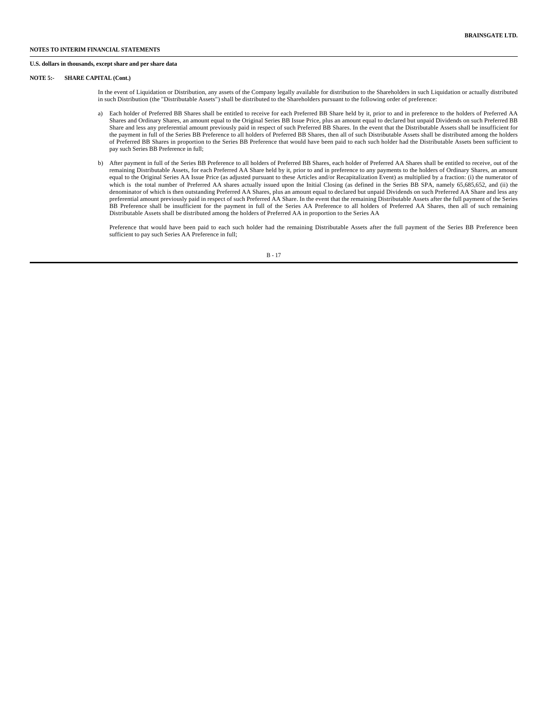### **U.S. dollars in thousands, except share and per share data**

### **NOTE 5:- SHARE CAPITAL (Cont.)**

In the event of Liquidation or Distribution, any assets of the Company legally available for distribution to the Shareholders in such Liquidation or actually distributed in such Distribution (the "Distributable Assets") shall be distributed to the Shareholders pursuant to the following order of preference:

- a) Each holder of Preferred BB Shares shall be entitled to receive for each Preferred BB Share held by it, prior to and in preference to the holders of Preferred AA Shares and Ordinary Shares, an amount equal to the Original Series BB Issue Price, plus an amount equal to declared but unpaid Dividends on such Preferred BB Share and less any preferential amount previously paid in respect of such Preferred BB Shares. In the event that the Distributable Assets shall be insufficient for the payment in full of the Series BB Preference to all holders of Preferred BB Shares, then all of such Distributable Assets shall be distributed among the holders of Preferred BB Shares in proportion to the Series BB Preference that would have been paid to each such holder had the Distributable Assets been sufficient to pay such Series BB Preference in full;
- b) After payment in full of the Series BB Preference to all holders of Preferred BB Shares, each holder of Preferred AA Shares shall be entitled to receive, out of the remaining Distributable Assets, for each Preferred AA Share held by it, prior to and in preference to any payments to the holders of Ordinary Shares, an amount equal to the Original Series AA Issue Price (as adjusted pursuant to these Articles and/or Recapitalization Event) as multiplied by a fraction: (i) the numerator of which is the total number of Preferred AA shares actually issued upon the Initial Closing (as defined in the Series BB SPA, namely 65,685,652, and (ii) the denominator of which is then outstanding Preferred AA Shares, plus an amount equal to declared but unpaid Dividends on such Preferred AA Share and less any preferential amount previously paid in respect of such Preferred AA Share. In the event that the remaining Distributable Assets after the full payment of the Series BB Preference shall be insufficient for the payment in full of the Series AA Preference to all holders of Preferred AA Shares, then all of such remaining Distributable Assets shall be distributed among the holders of Preferred AA in proportion to the Series AA

Preference that would have been paid to each such holder had the remaining Distributable Assets after the full payment of the Series BB Preference been sufficient to pay such Series AA Preference in full;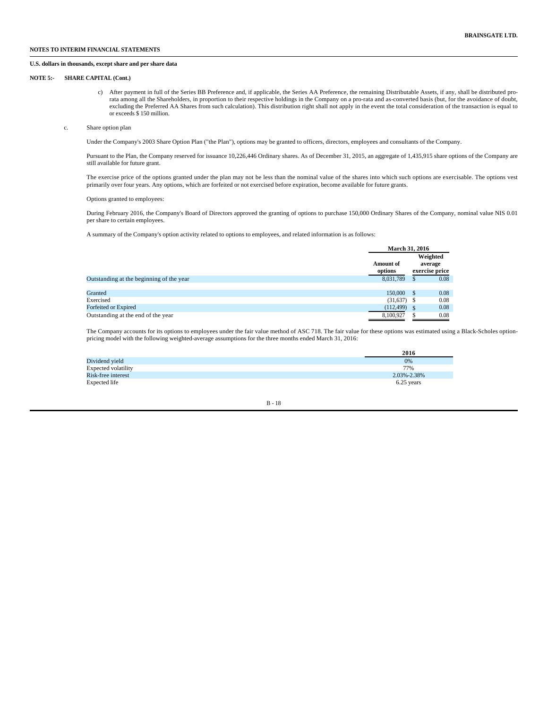#### **U.S. dollars in thousands, except share and per share data**

#### **NOTE 5:- SHARE CAPITAL (Cont.)**

- c) After payment in full of the Series BB Preference and, if applicable, the Series AA Preference, the remaining Distributable Assets, if any, shall be distributed prorata among all the Shareholders, in proportion to their respective holdings in the Company on a pro-rata and as-converted basis (but, for the avoidance of doubt, excluding the Preferred AA Shares from such calculation). This distribution right shall not apply in the event the total consideration of the transaction is equal to or exceeds \$ 150 million.
- c. Share option plan

Under the Company's 2003 Share Option Plan ("the Plan"), options may be granted to officers, directors, employees and consultants of the Company.

Pursuant to the Plan, the Company reserved for issuance 10,226,446 Ordinary shares. As of December 31, 2015, an aggregate of 1,435,915 share options of the Company are still available for future grant.

The exercise price of the options granted under the plan may not be less than the nominal value of the shares into which such options are exercisable. The options vest primarily over four years. Any options, which are forfeited or not exercised before expiration, become available for future grants.

Options granted to employees:

During February 2016, the Company's Board of Directors approved the granting of options to purchase 150,000 Ordinary Shares of the Company, nominal value NIS 0.01 per share to certain employees.

A summary of the Company's option activity related to options to employees, and related information is as follows:

|                                          | <b>March 31, 2016</b>       |   |                                       |  |
|------------------------------------------|-----------------------------|---|---------------------------------------|--|
|                                          | <b>Amount of</b><br>options |   | Weighted<br>average<br>exercise price |  |
| Outstanding at the beginning of the year | 8.031.789                   | S | 0.08                                  |  |
| Granted                                  | 150,000                     |   | 0.08                                  |  |
| Exercised                                | $(31,637)$ \$               |   | 0.08                                  |  |
| Forfeited or Expired                     | (112, 499)                  |   | 0.08                                  |  |
| Outstanding at the end of the year       | 8,100,927                   |   | 0.08                                  |  |

The Company accounts for its options to employees under the fair value method of ASC 718. The fair value for these options was estimated using a Black-Scholes optionpricing model with the following weighted-average assumptions for the three months ended March 31, 2016:

|                     | 2016        |
|---------------------|-------------|
| Dividend yield      | 0%          |
| Expected volatility | 77%         |
| Risk-free interest  | 2.03%-2.38% |
| Expected life       | 6.25 years  |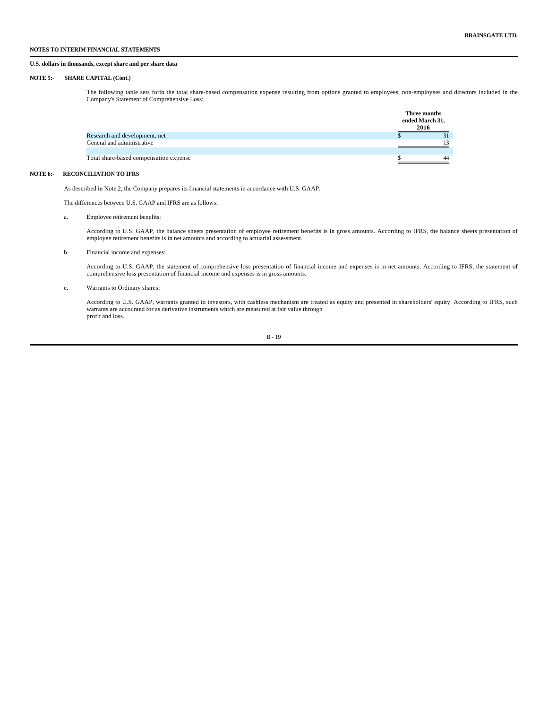#### **U.S. dollars in thousands, except share and per share data**

#### **NOTE 5:- SHARE CAPITAL (Cont.)**

The following table sets forth the total share-based compensation expense resulting from options granted to employees, non-employees and directors included in the Company's Statement of Comprehensive Loss:

|                                        | Three months<br>ended March 31,<br>2016 |
|----------------------------------------|-----------------------------------------|
| Research and development, net          |                                         |
| General and administrative             | 13                                      |
| Total share-based compensation expense | 44                                      |

#### **NOTE 6:- RECONCILIATION TO IFRS**

As described in Note 2, the Company prepares its financial statements in accordance with U.S. GAAP.

The differences between U.S. GAAP and IFRS are as follows:

#### a. Employee retirement benefits:

According to U.S. GAAP, the balance sheets presentation of employee retirement benefits is in gross amounts. According to IFRS, the balance sheets presentation of employee retirement benefits is in net amounts and according to actuarial assessment.

#### b. Financial income and expenses:

According to U.S. GAAP, the statement of comprehensive loss presentation of financial income and expenses is in net amounts. According to IFRS, the statement of comprehensive loss presentation of financial income and expenses is in gross amounts.

#### c. Warrants to Ordinary shares:

According to U.S. GAAP, warrants granted to investors, with cashless mechanism are treated as equity and presented in shareholders' equity. According to IFRS, such warrants are accounted for as derivative instruments which are measured at fair value through profit and loss.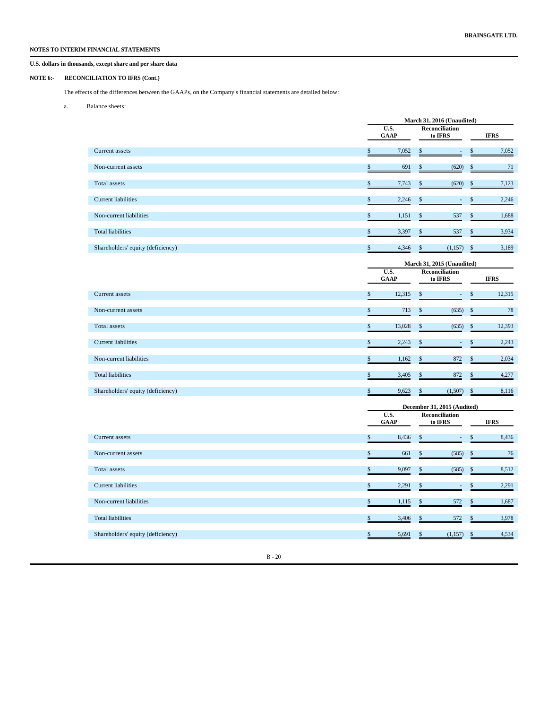**U.S. dollars in thousands, except share and per share data**

### **NOTE 6:- RECONCILIATION TO IFRS (Cont.)**

The effects of the differences between the GAAPs, on the Company's financial statements are detailed below:

a. Balance sheets:

|                                   |                            |    | March 31, 2016 (Unaudited)       |    |             |
|-----------------------------------|----------------------------|----|----------------------------------|----|-------------|
|                                   | U.S.<br><b>GAAP</b>        |    | <b>Reconciliation</b><br>to IFRS |    | <b>IFRS</b> |
|                                   |                            |    |                                  |    |             |
| Current assets                    | \$<br>7,052                | \$ | ÷,                               | \$ | 7,052       |
| Non-current assets                | \$<br>691                  | \$ | (620)                            | \$ | 71          |
| Total assets                      | \$<br>7,743                | \$ | (620)                            | \$ | 7,123       |
| <b>Current liabilities</b>        | \$<br>2,246                | \$ | $\overline{\phantom{a}}$         | \$ | 2,246       |
| Non-current liabilities           | \$<br>1,151                | \$ | 537                              | \$ | 1,688       |
| <b>Total liabilities</b>          | \$<br>3,397                | \$ | 537                              | \$ | 3,934       |
| Shareholders' equity (deficiency) | \$<br>4,346                | \$ | (1, 157)                         | \$ | 3,189       |
|                                   |                            |    | March 31, 2015 (Unaudited)       |    |             |
|                                   | U.S.<br><b>GAAP</b>        |    | Reconciliation<br>to IFRS        |    | <b>IFRS</b> |
| Current assets                    | \$<br>12,315               | \$ |                                  | \$ | 12,315      |
| Non-current assets                | \$<br>713                  | \$ | (635)                            | \$ | 78          |
| <b>Total</b> assets               | \$<br>13,028               | \$ | (635)                            | \$ | 12,393      |
| <b>Current liabilities</b>        | \$<br>2,243                | \$ | $\overline{\phantom{a}}$         | \$ | 2,243       |
| Non-current liabilities           | \$<br>1,162                | \$ | 872                              | \$ | 2,034       |
| <b>Total liabilities</b>          | \$<br>3,405                | \$ | 872                              | \$ | 4,277       |
| Shareholders' equity (deficiency) | \$<br>9,623                | \$ | (1,507)                          | \$ | 8,116       |
|                                   |                            |    | December 31, 2015 (Audited)      |    |             |
|                                   | <b>U.S.</b><br><b>GAAP</b> |    | <b>Reconciliation</b><br>to IFRS |    | <b>IFRS</b> |
| Current assets                    | \$<br>8,436                | \$ | $\overline{\phantom{a}}$         | \$ | 8,436       |
| Non-current assets                | \$<br>661                  | \$ | (585)                            | \$ | 76          |
| <b>Total</b> assets               | \$<br>9,097                | \$ | (585)                            | \$ | 8,512       |
| <b>Current liabilities</b>        | \$<br>2,291                | \$ | $\overline{\phantom{a}}$         | \$ | 2,291       |
| Non-current liabilities           | \$<br>1,115                | \$ | 572                              | \$ | 1,687       |
| <b>Total liabilities</b>          | \$<br>3,406                | \$ | 572                              | \$ | 3,978       |
| Shareholders' equity (deficiency) | \$<br>5,691                | \$ | (1,157)                          | \$ | 4,534       |
|                                   |                            |    |                                  |    |             |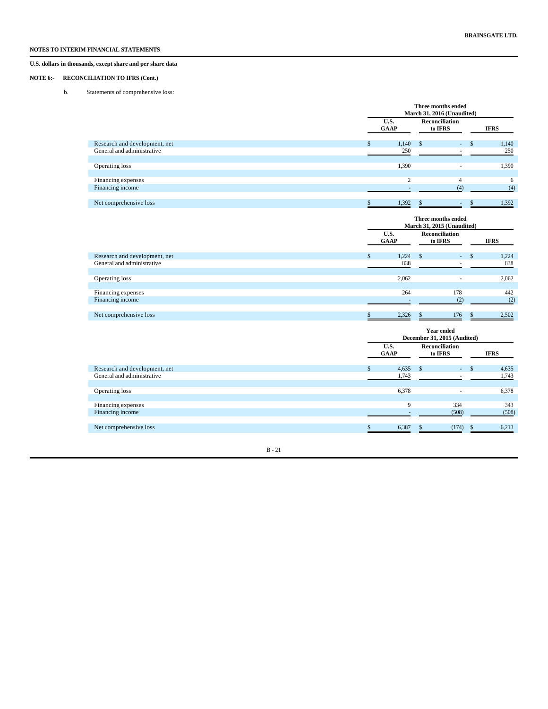# **U.S. dollars in thousands, except share and per share data**

### **NOTE 6:- RECONCILIATION TO IFRS (Cont.)**

b. Statements of comprehensive loss:

|                               | Three months ended<br>March 31, 2016 (Unaudited) |                     |                                  |    |  |             |  |  |  |
|-------------------------------|--------------------------------------------------|---------------------|----------------------------------|----|--|-------------|--|--|--|
|                               |                                                  | U.S.<br><b>GAAP</b> | <b>Reconciliation</b><br>to IFRS |    |  | <b>IFRS</b> |  |  |  |
| Research and development, net |                                                  | 1,140               |                                  | ۰. |  | 1,140       |  |  |  |
| General and administrative    |                                                  | 250                 |                                  |    |  | 250         |  |  |  |
|                               |                                                  |                     |                                  |    |  |             |  |  |  |
| Operating loss                |                                                  | 1,390               |                                  |    |  | 1,390       |  |  |  |
|                               |                                                  |                     |                                  |    |  |             |  |  |  |
| Financing expenses            |                                                  | $\sim$              |                                  |    |  | 6           |  |  |  |
| Financing income              |                                                  |                     |                                  |    |  | (4)         |  |  |  |
|                               |                                                  |                     |                                  |    |  |             |  |  |  |
| Net comprehensive loss        |                                                  | 1.392               |                                  |    |  | 1.392       |  |  |  |

|                               | Three months ended<br>March 31, 2015 (Unaudited) |       |               |                                  |               |       |  |  |  |
|-------------------------------|--------------------------------------------------|-------|---------------|----------------------------------|---------------|-------|--|--|--|
|                               | U.S.<br><b>GAAP</b>                              |       |               | <b>Reconciliation</b><br>to IFRS | <b>IFRS</b>   |       |  |  |  |
| Research and development, net |                                                  | 1,224 | <sup>\$</sup> | $\sim$                           | $\mathcal{L}$ | 1,224 |  |  |  |
| General and administrative    |                                                  | 838   |               |                                  |               | 838   |  |  |  |
|                               |                                                  |       |               |                                  |               |       |  |  |  |
| Operating loss                |                                                  | 2,062 |               |                                  |               | 2,062 |  |  |  |
|                               |                                                  |       |               |                                  |               |       |  |  |  |
| Financing expenses            |                                                  | 264   |               | 178                              |               | 442   |  |  |  |
| Financing income              |                                                  |       |               |                                  |               | (2)   |  |  |  |
|                               |                                                  |       |               |                                  |               |       |  |  |  |
| Net comprehensive loss        |                                                  | 2,326 |               | 176                              |               | 2,502 |  |  |  |

|                               |                                              |             | December 31, 2015 (Audited) |    |             |  |  |
|-------------------------------|----------------------------------------------|-------------|-----------------------------|----|-------------|--|--|
|                               | <b>Reconciliation</b><br>U.S.<br><b>GAAP</b> |             |                             |    | <b>IFRS</b> |  |  |
| Research and development, net |                                              | 4,635       | <sup>\$</sup><br>$\sim 100$ | -S | 4,635       |  |  |
| General and administrative    |                                              | 1,743       |                             |    | 1,743       |  |  |
| Operating loss                |                                              | 6,378       | ۰                           |    | 6,378       |  |  |
| Financing expenses            |                                              | $\mathbf Q$ | 334                         |    | 343         |  |  |
| Financing income              |                                              |             | (508)                       |    | (508)       |  |  |
| Net comprehensive loss        |                                              | 6,387       | (174)                       |    | 6,213       |  |  |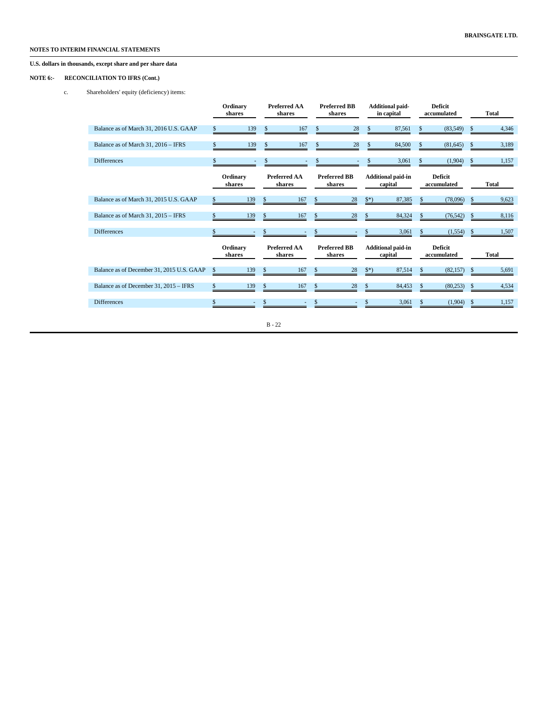# **U.S. dollars in thousands, except share and per share data**

### **NOTE 6:- RECONCILIATION TO IFRS (Cont.)**

c. Shareholders' equity (deficiency) items:

|                                           |               | Ordinary<br>shares                                  |          | <b>Preferred AA</b><br>shares |               | <b>Preferred BB</b><br>shares |               | <b>Additional paid-</b><br>in capital |                               | <b>Deficit</b><br>accumulated |                               | Total        |  |  |              |  |
|-------------------------------------------|---------------|-----------------------------------------------------|----------|-------------------------------|---------------|-------------------------------|---------------|---------------------------------------|-------------------------------|-------------------------------|-------------------------------|--------------|--|--|--------------|--|
| Balance as of March 31, 2016 U.S. GAAP    |               | 139                                                 | \$       | 167                           | \$            | 28                            | \$            | 87,561                                |                               | (83, 549)                     | \$                            | 4,346        |  |  |              |  |
| Balance as of March 31, 2016 - IFRS       | \$            | 139                                                 | S        | 167                           | \$            | 28                            | \$            | 84,500                                | \$                            | (81, 645)                     | \$.                           | 3,189        |  |  |              |  |
| <b>Differences</b>                        |               |                                                     |          |                               |               |                               |               | 3,061                                 |                               | (1,904)                       |                               | 1,157        |  |  |              |  |
|                                           |               | <b>Preferred AA</b><br>Ordinary<br>shares<br>shares |          |                               |               | <b>Preferred BB</b><br>shares |               | <b>Additional paid-in</b><br>capital  |                               |                               | <b>Deficit</b><br>accumulated |              |  |  | <b>Total</b> |  |
| Balance as of March 31, 2015 U.S. GAAP    | $\mathbb{S}$  | 139                                                 | \$       | 167                           | <sup>\$</sup> | 28                            | $\frac{1}{2}$ | 87,385                                | \$                            | (78,096)                      | \$                            | 9,623        |  |  |              |  |
| Balance as of March 31, 2015 - IFRS       |               | 139                                                 | \$       | 167                           | \$            | 28                            | <sup>S</sup>  | 84,324                                | <sup>\$</sup>                 | (76, 542)                     | \$                            | 8,116        |  |  |              |  |
| <b>Differences</b>                        | \$            |                                                     | \$       |                               | \$            |                               | \$            | 3,061                                 | \$                            | (1,554)                       | \$                            | 1,507        |  |  |              |  |
|                                           |               | Ordinary<br>shares                                  |          | <b>Preferred AA</b><br>shares |               | <b>Preferred BB</b><br>shares |               | <b>Additional paid-in</b><br>capital  | <b>Deficit</b><br>accumulated |                               |                               | <b>Total</b> |  |  |              |  |
| Balance as of December 31, 2015 U.S. GAAP | <sup>\$</sup> | 139                                                 | \$       | 167                           | <b>S</b>      | 28                            | $\frac{1}{2}$ | 87,514                                | S                             | (82, 157)                     | \$                            | 5,691        |  |  |              |  |
| Balance as of December 31, 2015 - IFRS    | \$            | 139                                                 | \$       | 167                           | \$            | 28                            | \$            | 84,453                                | \$                            | (80, 253)                     | \$                            | 4,534        |  |  |              |  |
| <b>Differences</b>                        | \$            | ٠                                                   | \$       |                               | \$            |                               | S             | 3,061                                 | S.                            | (1,904)                       | \$                            | 1,157        |  |  |              |  |
|                                           |               |                                                     | $B - 22$ |                               |               |                               |               |                                       |                               |                               |                               |              |  |  |              |  |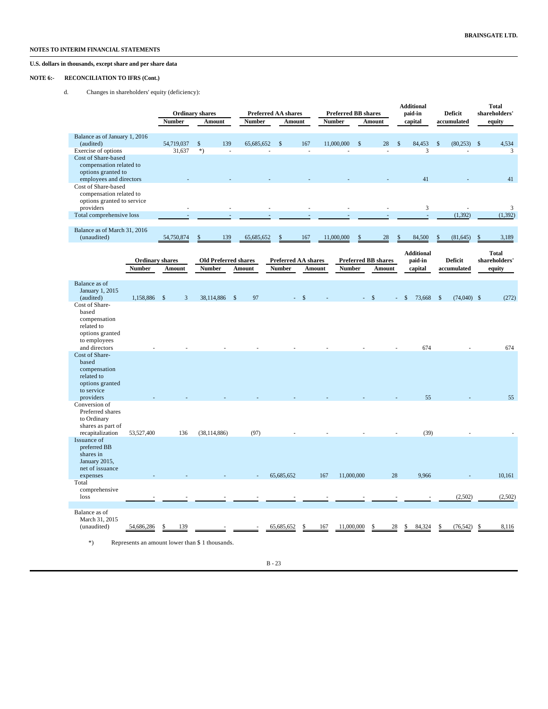# **U.S. dollars in thousands, except share and per share data**

### **NOTE 6:- RECONCILIATION TO IFRS (Cont.)**

d. Changes in shareholders' equity (deficiency):

|                                               |                        | Number          | <b>Ordinary shares</b><br>Amount | <b>Number</b> | <b>Preferred AA shares</b><br>Amount |        | <b>Preferred BB shares</b><br><b>Number</b> | Amount                     | <b>Additional</b><br>paid-in<br>capital |               | Deficit<br>accumulated         | <b>Total</b><br>shareholders'<br>equity |
|-----------------------------------------------|------------------------|-----------------|----------------------------------|---------------|--------------------------------------|--------|---------------------------------------------|----------------------------|-----------------------------------------|---------------|--------------------------------|-----------------------------------------|
|                                               |                        |                 |                                  |               |                                      |        |                                             |                            |                                         |               |                                |                                         |
| Balance as of January 1, 2016                 |                        |                 |                                  |               |                                      |        |                                             |                            |                                         |               |                                |                                         |
| (audited)                                     |                        | 54,719,037      | \$<br>139                        | 65,685,652    | \$                                   | 167    | 11,000,000                                  | \$<br>28                   | \$<br>84,453                            | \$            | (80, 253)                      | 4,534<br>$\mathbb{S}$                   |
| Exercise of options                           |                        | 31,637          | $*)$<br>÷,                       |               |                                      |        |                                             |                            |                                         | 3             |                                | 3                                       |
| Cost of Share-based                           |                        |                 |                                  |               |                                      |        |                                             |                            |                                         |               |                                |                                         |
| compensation related to<br>options granted to |                        |                 |                                  |               |                                      |        |                                             |                            |                                         |               |                                |                                         |
| employees and directors                       |                        |                 |                                  |               |                                      |        |                                             |                            | 41                                      |               |                                | 41                                      |
| Cost of Share-based                           |                        |                 |                                  |               |                                      |        |                                             |                            |                                         |               |                                |                                         |
| compensation related to                       |                        |                 |                                  |               |                                      |        |                                             |                            |                                         |               |                                |                                         |
|                                               |                        |                 |                                  |               |                                      |        |                                             |                            |                                         |               |                                |                                         |
| options granted to service                    |                        |                 |                                  |               |                                      |        |                                             |                            |                                         |               |                                | 3                                       |
| providers                                     |                        |                 |                                  |               |                                      |        |                                             |                            |                                         | $\mathfrak z$ |                                |                                         |
| Total comprehensive loss                      |                        |                 |                                  |               |                                      |        |                                             |                            |                                         | ÷,            | (1, 392)                       | (1, 392)                                |
|                                               |                        |                 |                                  |               |                                      |        |                                             |                            |                                         |               |                                |                                         |
| Balance as of March 31, 2016                  |                        |                 |                                  |               |                                      |        |                                             |                            |                                         |               |                                |                                         |
| (unaudited)                                   |                        | 54,750,874      | 139                              | 65,685,652    | \$                                   | 167    | 11,000,000                                  | 28                         | 84,500                                  |               | (81, 645)                      | 3,189                                   |
|                                               |                        |                 |                                  |               |                                      |        |                                             |                            |                                         |               |                                |                                         |
|                                               |                        |                 |                                  |               |                                      |        |                                             |                            | <b>Additional</b>                       |               |                                | <b>Total</b>                            |
|                                               | <b>Ordinary shares</b> |                 | <b>Old Preferred shares</b>      |               | <b>Preferred AA shares</b>           |        |                                             | <b>Preferred BB shares</b> | paid-in                                 |               | Deficit                        | shareholders'                           |
|                                               | <b>Number</b>          | Amount          | <b>Number</b>                    | Amount        | <b>Number</b>                        | Amount | <b>Number</b>                               | Amount                     | capital                                 |               | accumulated                    | equity                                  |
|                                               |                        |                 |                                  |               |                                      |        |                                             |                            |                                         |               |                                |                                         |
|                                               |                        |                 |                                  |               |                                      |        |                                             |                            |                                         |               |                                |                                         |
| Balance as of                                 |                        |                 |                                  |               |                                      |        |                                             |                            |                                         |               |                                |                                         |
| January 1, 2015                               |                        |                 |                                  |               |                                      |        |                                             |                            |                                         |               |                                |                                         |
| (audited)                                     | 1,158,886              | $^{\circ}$<br>3 | 38,114,886                       | 97<br>- \$    |                                      |        |                                             |                            | 73,668<br>\$                            |               | $(74,040)$ \$<br>$\mathcal{S}$ | (272)                                   |
| Cost of Share-                                |                        |                 |                                  |               |                                      |        |                                             |                            |                                         |               |                                |                                         |
| based                                         |                        |                 |                                  |               |                                      |        |                                             |                            |                                         |               |                                |                                         |
| compensation                                  |                        |                 |                                  |               |                                      |        |                                             |                            |                                         |               |                                |                                         |
| related to                                    |                        |                 |                                  |               |                                      |        |                                             |                            |                                         |               |                                |                                         |
| options granted                               |                        |                 |                                  |               |                                      |        |                                             |                            |                                         |               |                                |                                         |
| to employees                                  |                        |                 |                                  |               |                                      |        |                                             |                            |                                         |               |                                |                                         |
| and directors                                 |                        |                 |                                  |               |                                      |        |                                             |                            | 674                                     |               |                                | 674                                     |
| Cost of Share-                                |                        |                 |                                  |               |                                      |        |                                             |                            |                                         |               |                                |                                         |
| based                                         |                        |                 |                                  |               |                                      |        |                                             |                            |                                         |               |                                |                                         |
| compensation                                  |                        |                 |                                  |               |                                      |        |                                             |                            |                                         |               |                                |                                         |
|                                               |                        |                 |                                  |               |                                      |        |                                             |                            |                                         |               |                                |                                         |
| related to                                    |                        |                 |                                  |               |                                      |        |                                             |                            |                                         |               |                                |                                         |
| options granted                               |                        |                 |                                  |               |                                      |        |                                             |                            |                                         |               |                                |                                         |
| to service                                    |                        |                 |                                  |               |                                      |        |                                             |                            |                                         |               |                                |                                         |
| providers                                     |                        |                 |                                  |               |                                      |        |                                             |                            |                                         | 55            |                                | 55                                      |
| Conversion of                                 |                        |                 |                                  |               |                                      |        |                                             |                            |                                         |               |                                |                                         |
| Preferred shares                              |                        |                 |                                  |               |                                      |        |                                             |                            |                                         |               |                                |                                         |
| to Ordinary                                   |                        |                 |                                  |               |                                      |        |                                             |                            |                                         |               |                                |                                         |
| shares as part of                             |                        |                 |                                  |               |                                      |        |                                             |                            |                                         |               |                                |                                         |
| recapitalization                              | 53,527,400             | 136             | (38, 114, 886)                   | (97)          |                                      |        |                                             |                            |                                         | (39)          |                                |                                         |
| Issuance of                                   |                        |                 |                                  |               |                                      |        |                                             |                            |                                         |               |                                |                                         |
| preferred BB                                  |                        |                 |                                  |               |                                      |        |                                             |                            |                                         |               |                                |                                         |
| shares in                                     |                        |                 |                                  |               |                                      |        |                                             |                            |                                         |               |                                |                                         |
| January 2015,                                 |                        |                 |                                  |               |                                      |        |                                             |                            |                                         |               |                                |                                         |
| net of issuance                               |                        |                 |                                  |               |                                      |        |                                             |                            |                                         |               |                                |                                         |
| expenses                                      |                        |                 |                                  |               | 65,685,652                           |        | 11,000,000<br>167                           | 28                         | 9,966                                   |               |                                | 10,161                                  |
| Total                                         |                        |                 |                                  |               |                                      |        |                                             |                            |                                         |               |                                |                                         |
| comprehensive                                 |                        |                 |                                  |               |                                      |        |                                             |                            |                                         |               |                                |                                         |
| loss                                          |                        |                 |                                  |               |                                      |        |                                             |                            |                                         |               | (2,502)                        | (2,502)                                 |
|                                               |                        |                 |                                  |               |                                      |        |                                             |                            |                                         |               |                                |                                         |
|                                               |                        |                 |                                  |               |                                      |        |                                             |                            |                                         |               |                                |                                         |
| Balance as of                                 |                        |                 |                                  |               |                                      |        |                                             |                            |                                         |               |                                |                                         |
| March 31, 2015                                |                        |                 |                                  |               |                                      |        |                                             |                            |                                         |               |                                |                                         |
| (unaudited)                                   | 54,686,286             | 139<br>S        |                                  |               | 65,685,652                           | \$     | 11,000,000<br>167                           | 28                         | 84,324                                  |               | (76, 542)                      | 8,116<br>\$                             |
|                                               |                        |                 |                                  |               |                                      |        |                                             |                            |                                         |               |                                |                                         |

\*) Represents an amount lower than \$ 1 thousands.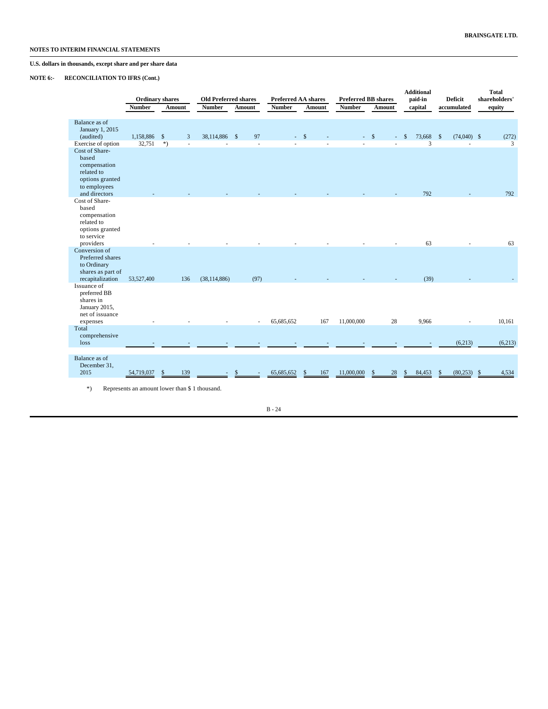# **U.S. dollars in thousands, except share and per share data**

### **NOTE 6:- RECONCILIATION TO IFRS (Cont.)**

|                                                                                                                | <b>Ordinary shares</b> |                      | <b>Old Preferred shares</b> |        |               | <b>Preferred BB shares</b><br><b>Preferred AA shares</b> |               |                    | <b>Additional</b><br>paid-in | <b>Deficit</b>                 | <b>Total</b><br>shareholders' |  |
|----------------------------------------------------------------------------------------------------------------|------------------------|----------------------|-----------------------------|--------|---------------|----------------------------------------------------------|---------------|--------------------|------------------------------|--------------------------------|-------------------------------|--|
|                                                                                                                | <b>Number</b>          | Amount               | <b>Number</b>               | Amount | <b>Number</b> | Amount                                                   | <b>Number</b> | Amount             | capital                      | accumulated                    | equity                        |  |
| Balance as of<br>January 1, 2015<br>(audited)                                                                  | 1,158,886              | $\mathbf{s}$         | 38,114,886 \$<br>3          | 97     |               | $-$ \$                                                   | a.            | $\mathcal{S}$      | 73,668 \$<br>-S              | $(74,040)$ \$                  | (272)                         |  |
| Exercise of option<br>Cost of Share-<br>based<br>compensation<br>related to<br>options granted<br>to employees | 32,751                 | $*)$                 |                             | L.     |               |                                                          |               |                    | 3                            |                                | 3                             |  |
| and directors<br>Cost of Share-<br>based<br>compensation<br>related to<br>options granted<br>to service        |                        |                      |                             |        |               |                                                          |               |                    | 792                          |                                | 792                           |  |
| providers<br>Conversion of<br>Preferred shares<br>to Ordinary<br>shares as part of<br>recapitalization         | 53,527,400             | 136                  | (38, 114, 886)              | (97)   |               |                                                          |               |                    | 63<br>(39)                   |                                | 63                            |  |
| Issuance of<br>preferred BB<br>shares in<br>January 2015,<br>net of issuance<br>expenses                       |                        |                      |                             |        | 65,685,652    | 167                                                      | 11,000,000    | 28                 | 9,966                        |                                | 10,161                        |  |
| Total<br>comprehensive<br>loss                                                                                 |                        |                      |                             |        |               |                                                          |               |                    |                              | (6,213)                        | (6,213)                       |  |
| Balance as of<br>December 31,<br>2015                                                                          | 54,719,037             | $\mathcal{S}$<br>139 |                             | S      | 65,685,652    | 167<br>$\mathbf{s}$                                      | 11,000,000    | $\mathbb{S}$<br>28 | 84,453<br>S                  | $(80,253)$ \$<br><sup>\$</sup> | 4,534                         |  |

\*) Represents an amount lower than \$ 1 thousand.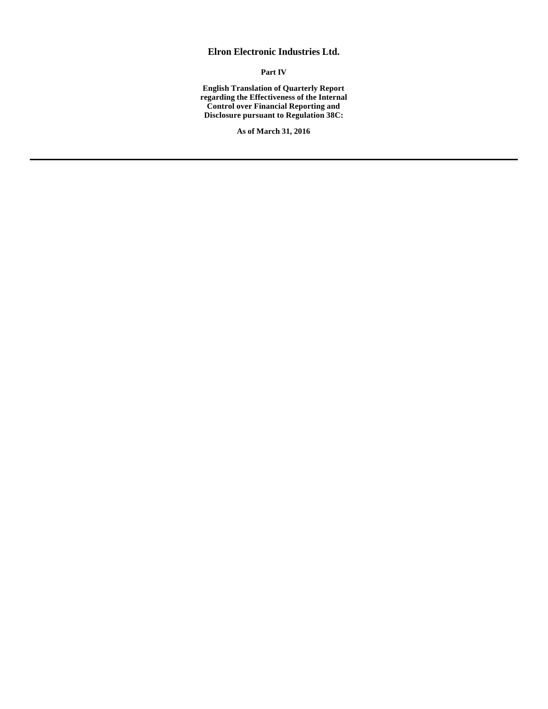# **Elron Electronic Industries Ltd.**

**Part IV**

**English Translation of Quarterly Report regarding the Effectiveness of the Internal Control over Financial Reporting and Disclosure pursuant to Regulation 38C:**

**As of March 31, 2016**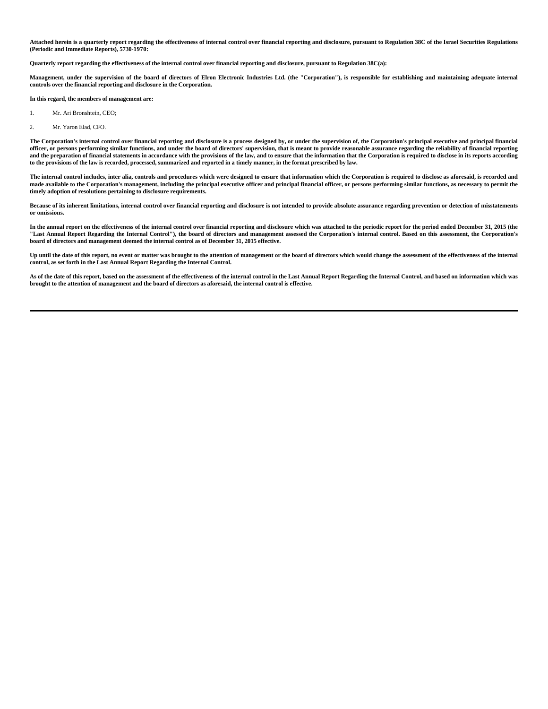**Attached herein is a quarterly report regarding the effectiveness of internal control over financial reporting and disclosure, pursuant to Regulation 38C of the Israel Securities Regulations (Periodic and Immediate Reports), 5730-1970:**

**Quarterly report regarding the effectiveness of the internal control over financial reporting and disclosure, pursuant to Regulation 38C(a):**

**Management, under the supervision of the board of directors of Elron Electronic Industries Ltd. (the "Corporation"), is responsible for establishing and maintaining adequate internal controls over the financial reporting and disclosure in the Corporation.**

**In this regard, the members of management are:**

- 1. Mr. Ari Bronshtein, CEO;
- 2. Mr. Yaron Elad, CFO.

The Corporation's internal control over financial reporting and disclosure is a process designed by, or under the supervision of, the Corporation's principal executive and principal financial **officer, or persons performing similar functions, and under the board of directors' supervision, that is meant to provide reasonable assurance regarding the reliability of financial reporting and the preparation of financial statements in accordance with the provisions of the law, and to ensure that the information that the Corporation is required to disclose in its reports according to the provisions of the law is recorded, processed, summarized and reported in a timely manner, in the format prescribed by law.**

The internal control includes, inter alia, controls and procedures which were designed to ensure that information which the Corporation is required to disclose as aforesaid, is recorded and **made available to the Corporation's management, including the principal executive officer and principal financial officer, or persons performing similar functions, as necessary to permit the timely adoption of resolutions pertaining to disclosure requirements.**

**Because of its inherent limitations, internal control over financial reporting and disclosure is not intended to provide absolute assurance regarding prevention or detection of misstatements or omissions.**

**In the annual report on the effectiveness of the internal control over financial reporting and disclosure which was attached to the periodic report for the period ended December 31, 2015 (the "Last Annual Report Regarding the Internal Control"), the board of directors and management assessed the Corporation's internal control. Based on this assessment, the Corporation's board of directors and management deemed the internal control as of December 31, 2015 effective.**

Up until the date of this report, no event or matter was brought to the attention of management or the board of directors which would change the assessment of the effectiveness of the internal **control, as set forth in the Last Annual Report Regarding the Internal Control.**

**As of the date of this report, based on the assessment of the effectiveness of the internal control in the Last Annual Report Regarding the Internal Control, and based on information which was brought to the attention of management and the board of directors as aforesaid, the internal control is effective.**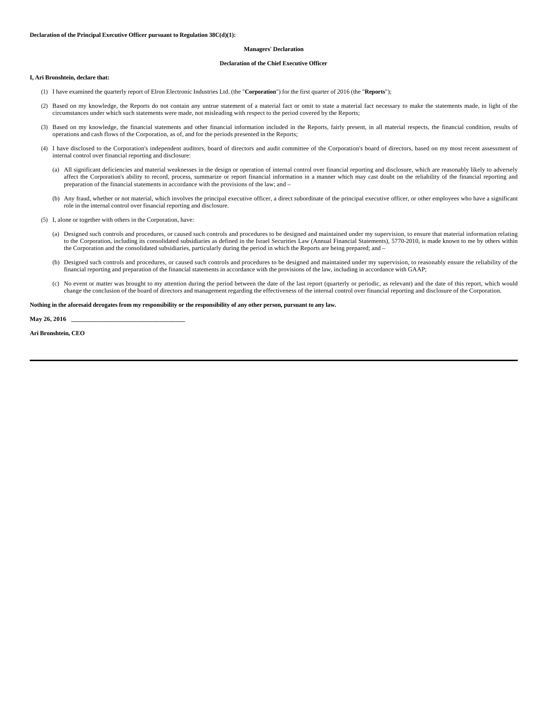#### **Managers' Declaration**

#### **Declaration of the Chief Executive Officer**

#### **I, Ari Bronshtein, declare that:**

- (1) I have examined the quarterly report of Elron Electronic Industries Ltd. (the "**Corporation**") for the first quarter of 2016 (the "**Reports**");
- (2) Based on my knowledge, the Reports do not contain any untrue statement of a material fact or omit to state a material fact necessary to make the statements made, in light of the circumstances under which such statements were made, not misleading with respect to the period covered by the Reports;
- (3) Based on my knowledge, the financial statements and other financial information included in the Reports, fairly present, in all material respects, the financial condition, results of operations and cash flows of the Corporation, as of, and for the periods presented in the Reports;
- (4) I have disclosed to the Corporation's independent auditors, board of directors and audit committee of the Corporation's board of directors, based on my most recent assessment of internal control over financial reporting and disclosure:
	- (a) All significant deficiencies and material weaknesses in the design or operation of internal control over financial reporting and disclosure, which are reasonably likely to adversely affect the Corporation's ability to record, process, summarize or report financial information in a manner which may cast doubt on the reliability of the financial reporting and preparation of the financial statements in accordance with the provisions of the law; and –
	- (b) Any fraud, whether or not material, which involves the principal executive officer, a direct subordinate of the principal executive officer, or other employees who have a significant role in the internal control over financial reporting and disclosure.
- (5) I, alone or together with others in the Corporation, have:
	- (a) Designed such controls and procedures, or caused such controls and procedures to be designed and maintained under my supervision, to ensure that material information relating to the Corporation, including its consolidated subsidiaries as defined in the Israel Securities Law (Annual Financial Statements), 5770-2010, is made known to me by others within the Corporation and the consolidated subsidiaries, particularly during the period in which the Reports are being prepared; and –
	- (b) Designed such controls and procedures, or caused such controls and procedures to be designed and maintained under my supervision, to reasonably ensure the reliability of the financial reporting and preparation of the financial statements in accordance with the provisions of the law, including in accordance with GAAP;
	- (c) No event or matter was brought to my attention during the period between the date of the last report (quarterly or periodic, as relevant) and the date of this report, which would change the conclusion of the board of directors and management regarding the effectiveness of the internal control over financial reporting and disclosure of the Corporation.

#### **Nothing in the aforesaid derogates from my responsibility or the responsibility of any other person, pursuant to any law.**

**May 26, 2016 \_\_\_\_\_\_\_\_\_\_\_\_\_\_\_\_\_\_\_\_\_\_\_\_\_\_\_\_\_\_\_\_\_\_\_**

**Ari Bronshtein, CEO**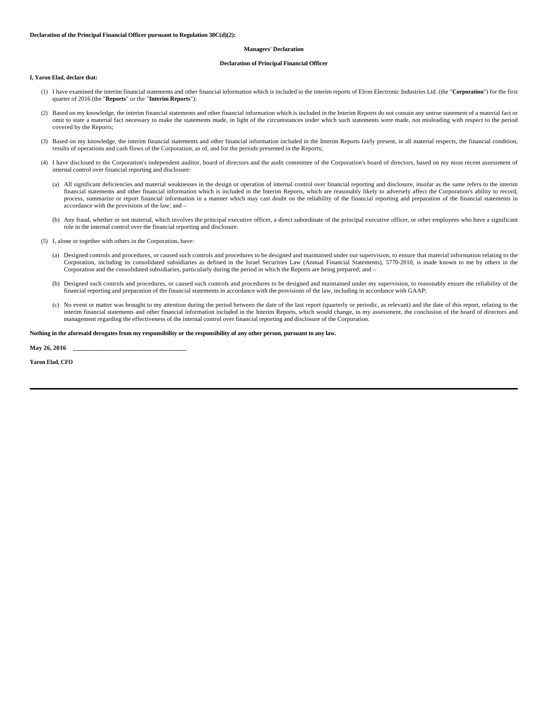#### **Managers' Declaration**

#### **Declaration of Principal Financial Officer**

**I, Yaron Elad, declare that:**

- (1) I have examined the interim financial statements and other financial information which is included in the interim reports of Elron Electronic Industries Ltd. (the "**Corporation**") for the first quarter of 2016 (the "**Reports**" or the "**Interim Reports**");
- (2) Based on my knowledge, the interim financial statements and other financial information which is included in the Interim Reports do not contain any untrue statement of a material fact or omit to state a material fact necessary to make the statements made, in light of the circumstances under which such statements were made, not misleading with respect to the period covered by the Reports;
- (3) Based on my knowledge, the interim financial statements and other financial information included in the Interim Reports fairly present, in all material respects, the financial condition, results of operations and cash flows of the Corporation, as of, and for the periods presented in the Reports;
- (4) I have disclosed to the Corporation's independent auditor, board of directors and the audit committee of the Corporation's board of directors, based on my most recent assessment of internal control over financial reporting and disclosure:
	- (a) All significant deficiencies and material weaknesses in the design or operation of internal control over financial reporting and disclosure, insofar as the same refers to the interim financial statements and other financial information which is included in the Interim Reports, which are reasonably likely to adversely affect the Corporation's ability to record, process, summarize or report financial information in a manner which may cast doubt on the reliability of the financial reporting and preparation of the financial statements in accordance with the provisions of the law; and –
	- (b) Any fraud, whether or not material, which involves the principal executive officer, a direct subordinate of the principal executive officer, or other employees who have a significant role in the internal control over the financial reporting and disclosure.
- (5) I, alone or together with others in the Corporation, have:
	- (a) Designed controls and procedures, or caused such controls and procedures to be designed and maintained under our supervision, to ensure that material information relating to the Corporation, including its consolidated subsidiaries as defined in the Israel Securities Law (Annual Financial Statements), 5770-2010, is made known to me by others in the Corporation and the consolidated subsidiaries, particularly during the period in which the Reports are being prepared; and –
	- (b) Designed such controls and procedures, or caused such controls and procedures to be designed and maintained under my supervision, to reasonably ensure the reliability of the financial reporting and preparation of the financial statements in accordance with the provisions of the law, including in accordance with GAAP;
	- (c) No event or matter was brought to my attention during the period between the date of the last report (quarterly or periodic, as relevant) and the date of this report, relating to the interim financial statements and other financial information included in the Interim Reports, which would change, in my assessment, the conclusion of the board of directors and management regarding the effectiveness of the internal control over financial reporting and disclosure of the Corporation.

#### **Nothing in the aforesaid derogates from my responsibility or the responsibility of any other person, pursuant to any law.**

**May 26, 2016 \_\_\_\_\_\_\_\_\_\_\_\_\_\_\_\_\_\_\_\_\_\_\_\_\_\_\_\_\_\_\_\_\_\_\_**

**Yaron Elad, CFO**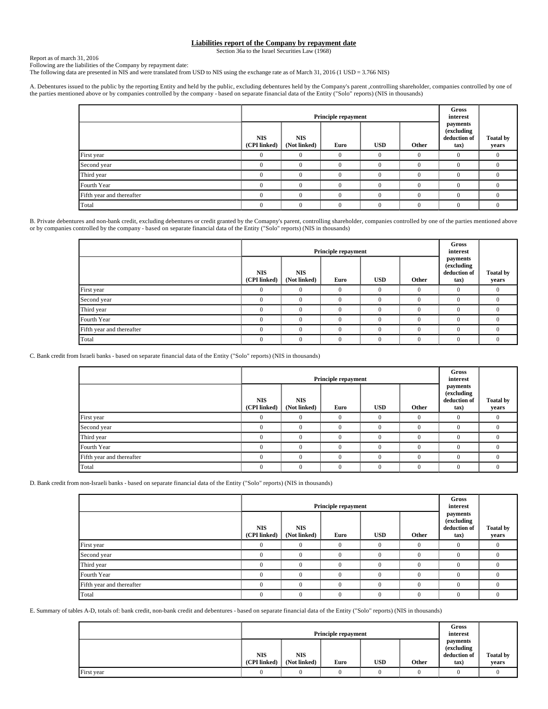# **Liabilities report of the Company by repayment date**

Section 36a to the Israel Securities Law (1968)

Report as of march 31, 2016

Following are the liabilities of the Company by repayment date:

The following data are presented in NIS and were translated from USD to NIS using the exchange rate as of March 31, 2016 (1 USD = 3.766 NIS)

A. Debentures issued to the public by the reporting Entity and held by the public, excluding debentures held by the Company's parent ,controlling shareholder, companies controlled by one of the parties mentioned above or by companies controlled by the company - based on separate financial data of the Entity ("Solo" reports) (NIS in thousands)

|                           |                            | <b>Principle repayment</b> |          | <b>Gross</b><br>interest |          |                                                  |                           |
|---------------------------|----------------------------|----------------------------|----------|--------------------------|----------|--------------------------------------------------|---------------------------|
|                           | <b>NIS</b><br>(CPI linked) | <b>NIS</b><br>(Not linked) | Euro     | <b>USD</b>               | Other    | payments<br>(excluding<br>deduction of<br>$\tan$ | <b>Toatal by</b><br>years |
| First year                |                            | $\Omega$                   | $\Omega$ | $\Omega$                 | $\Omega$ |                                                  | $\Omega$                  |
| Second year               |                            | $\Omega$                   |          |                          |          |                                                  |                           |
| Third year                |                            | $\Omega$                   |          | $\Omega$                 | $\Omega$ |                                                  | 0                         |
| Fourth Year               |                            | $\Omega$                   |          | $\Omega$                 | $\Omega$ |                                                  | $^{(1)}$                  |
| Fifth year and thereafter |                            | $\Omega$                   |          | $\Omega$                 | $\Omega$ |                                                  |                           |
| Total                     |                            | $\Omega$                   | 0        | $\Omega$                 | $\Omega$ |                                                  | 0                         |

B. Private debentures and non-bank credit, excluding debentures or credit granted by the Comapny's parent, controlling shareholder, companies controlled by one of the parties mentioned above or by companies controlled by the company - based on separate financial data of the Entity ("Solo" reports) (NIS in thousands)

|                           |                            | Principle repayment        |            | Gross<br>interest |          |                                                  |                           |
|---------------------------|----------------------------|----------------------------|------------|-------------------|----------|--------------------------------------------------|---------------------------|
|                           | <b>NIS</b><br>(CPI linked) | <b>NIS</b><br>(Not linked) | Euro       | <b>USD</b>        | Other    | payments<br>(excluding<br>deduction of<br>$\tan$ | <b>Toatal by</b><br>years |
| First year                | 0                          |                            | $\Omega$   | $\Omega$          | $\Omega$ | $\theta$                                         | $\Omega$                  |
| Second year               |                            |                            | $\sqrt{ }$ | $\Omega$          | $\theta$ |                                                  | 0                         |
| Third year                |                            |                            | $\Omega$   | $\Omega$          | $\Omega$ | $\Omega$                                         | 0                         |
| Fourth Year               |                            |                            | $\Omega$   | 0                 | $\theta$ | $\Omega$                                         | $^{(1)}$                  |
| Fifth year and thereafter | O                          |                            | $\Omega$   |                   | $\theta$ |                                                  | 0                         |
| Total                     | 0                          |                            | $\Omega$   | $\Omega$          | $\Omega$ | $\theta$                                         | 0                         |

C. Bank credit from Israeli banks - based on separate financial data of the Entity ("Solo" reports) (NIS in thousands)

|                           |                            | <b>Principle repayment</b> |      | Gross<br>interest |          |                                                  |                           |
|---------------------------|----------------------------|----------------------------|------|-------------------|----------|--------------------------------------------------|---------------------------|
|                           | <b>NIS</b><br>(CPI linked) | <b>NIS</b><br>(Not linked) | Euro | <b>USD</b>        | Other    | payments<br>(excluding<br>deduction of<br>$\tan$ | <b>Toatal by</b><br>years |
| First year                | $\Omega$                   | $\Omega$                   |      | $\theta$          | $\Omega$ | $\Omega$                                         | $\overline{0}$            |
| Second year               | $\Omega$                   | $\Omega$                   |      | 0                 |          | $\sqrt{ }$                                       | $\Omega$                  |
| Third year                | $\Omega$                   | $\Omega$                   |      | $\theta$          |          | $\Omega$                                         | $\Omega$                  |
| Fourth Year               | $\Omega$                   | $\Omega$                   |      |                   |          | $\Omega$                                         | 0                         |
| Fifth year and thereafter | $\Omega$                   | $\Omega$                   |      | $\theta$          |          | $\Omega$                                         | $\Omega$                  |
| Total                     | $\Omega$                   | $\Omega$                   |      | $\Omega$          |          | $\Omega$                                         | $\Omega$                  |

D. Bank credit from non-Israeli banks - based on separate financial data of the Entity ("Solo" reports) (NIS in thousands)

|                           |                            |                            | <b>Principle repayment</b> |            |              | Gross<br>interest                              |                           |
|---------------------------|----------------------------|----------------------------|----------------------------|------------|--------------|------------------------------------------------|---------------------------|
|                           | <b>NIS</b><br>(CPI linked) | <b>NIS</b><br>(Not linked) | Euro                       | <b>USD</b> | Other        | payments<br>(excluding<br>deduction of<br>tax) | <b>Toatal by</b><br>years |
| First year                | $\Omega$                   | $\Omega$                   | $\Omega$                   | $\theta$   | $\Omega$     | $\Omega$                                       | $\Omega$                  |
| Second year               | $\Omega$                   | $\Omega$                   |                            | $\Omega$   | $\Omega$     | $\Omega$                                       |                           |
| Third year                | O                          | $\theta$                   |                            | $\Omega$   | $\Omega$     | $\Omega$                                       | 0                         |
| Fourth Year               | $\Omega$                   | $\theta$                   |                            | $\Omega$   | $\Omega$     | $\Omega$                                       |                           |
| Fifth year and thereafter | $\Omega$                   | $\theta$                   |                            | $\Omega$   | $\Omega$     | $\Omega$                                       |                           |
| Total                     | $\theta$                   | $\Omega$                   | $\Omega$                   | $\theta$   | $\mathbf{0}$ | $\Omega$                                       |                           |

E. Summary of tables A-D, totals of: bank credit, non-bank credit and debentures - based on separate financial data of the Entity ("Solo" reports) (NIS in thousands)

|            |                            |                            | <b>Principle repayment</b> |            |       | Gross<br>interest                              |                           |
|------------|----------------------------|----------------------------|----------------------------|------------|-------|------------------------------------------------|---------------------------|
|            | <b>NIS</b><br>(CPI linked) | <b>NIS</b><br>(Not linked) | Euro                       | <b>USD</b> | Other | payments<br>(excluding<br>deduction of<br>tax) | <b>Toatal by</b><br>years |
| First year |                            |                            |                            |            |       |                                                |                           |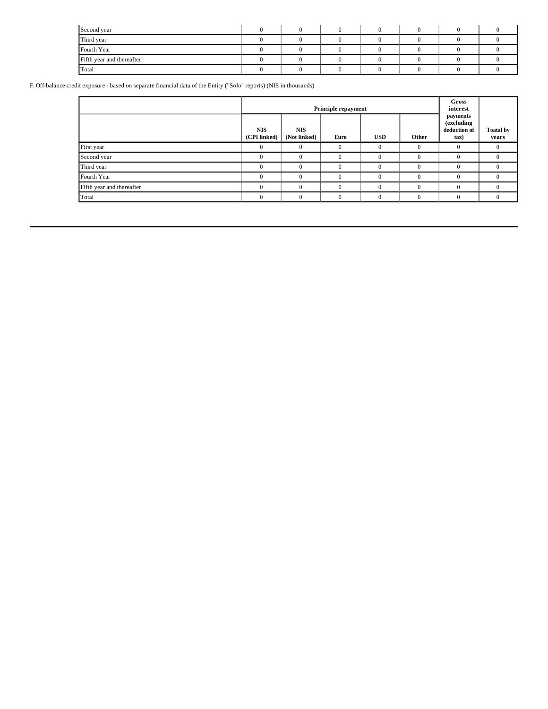| Second year               |  |  |  |  |
|---------------------------|--|--|--|--|
| Third year                |  |  |  |  |
| Fourth Year               |  |  |  |  |
| Fifth year and thereafter |  |  |  |  |
| Total                     |  |  |  |  |

F. Off-balance credit exposure - based on separate financial data of the Entity ("Solo" reports) (NIS in thousands)

|                           |                            |                            | <b>Principle repayment</b> |            |          | <b>Gross</b><br>interest                         |                           |
|---------------------------|----------------------------|----------------------------|----------------------------|------------|----------|--------------------------------------------------|---------------------------|
|                           | <b>NIS</b><br>(CPI linked) | <b>NIS</b><br>(Not linked) | Euro                       | <b>USD</b> | Other    | payments<br>(excluding<br>deduction of<br>$\tan$ | <b>Toatal by</b><br>years |
| First year                |                            |                            | $\Omega$                   | $\theta$   |          |                                                  |                           |
| Second year               |                            | 0                          | $\Omega$                   | $\Omega$   | $\theta$ | $\Omega$                                         | 0                         |
| Third year                |                            |                            | $\sqrt{ }$                 | $\theta$   |          |                                                  |                           |
| Fourth Year               |                            | 0                          | $\Omega$                   | $\Omega$   | $\theta$ | $\Omega$                                         | $\Omega$                  |
| Fifth year and thereafter |                            |                            | $\Omega$                   | $\Omega$   | $\Omega$ |                                                  |                           |
| Total                     |                            | $\Omega$                   | $\Omega$                   | $\Omega$   | $\Omega$ |                                                  | 0                         |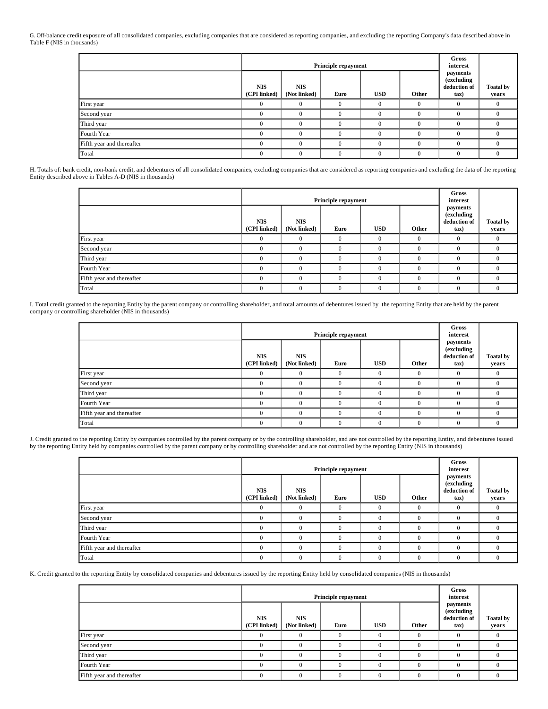G. Off-balance credit exposure of all consolidated companies, excluding companies that are considered as reporting companies, and excluding the reporting Company's data described above in Table F (NIS in thousands)

|                           |                            | Principle repayment        |          | Gross<br>interest |              |                                                  |                           |
|---------------------------|----------------------------|----------------------------|----------|-------------------|--------------|--------------------------------------------------|---------------------------|
|                           | <b>NIS</b><br>(CPI linked) | <b>NIS</b><br>(Not linked) | Euro     | <b>USD</b>        | Other        | payments<br>(excluding<br>deduction of<br>$\tan$ | <b>Toatal by</b><br>years |
| First year                |                            | 0                          | $\Omega$ | $\Omega$          | $\Omega$     | $\Omega$                                         |                           |
| Second year               |                            | 0                          | $\Omega$ | $\theta$          | $\mathbf{0}$ | $\Omega$                                         | $\Omega$                  |
| Third year                |                            | $\Omega$                   | $\Omega$ | $\Omega$          | $\theta$     | $\Omega$                                         |                           |
| Fourth Year               |                            | 0                          | $\Omega$ |                   | $\Omega$     | $\sqrt{ }$                                       |                           |
| Fifth year and thereafter |                            | $\Omega$                   | $\Omega$ | $\Omega$          | $\Omega$     | $\Omega$                                         |                           |
| Total                     |                            | $\Omega$                   | $\Omega$ | $\theta$          | $\mathbf{0}$ | $\Omega$                                         | 0                         |

H. Totals of: bank credit, non-bank credit, and debentures of all consolidated companies, excluding companies that are considered as reporting companies and excluding the data of the reporting Entity described above in Tables A-D (NIS in thousands)

|                           |                            |                            | Principle repayment |            |              | Gross<br>interest                                |                           |
|---------------------------|----------------------------|----------------------------|---------------------|------------|--------------|--------------------------------------------------|---------------------------|
|                           | <b>NIS</b><br>(CPI linked) | <b>NIS</b><br>(Not linked) | Euro                | <b>USD</b> | Other        | payments<br>(excluding<br>deduction of<br>$\tan$ | <b>Toatal by</b><br>years |
| First year                |                            | 0                          | $\Omega$            |            | $\Omega$     | $\Omega$                                         |                           |
| Second year               |                            | 0                          | $\Omega$            | $\Omega$   | $\Omega$     | $\Omega$                                         | 0                         |
| Third year                |                            | 0                          | $\Omega$            |            | $\theta$     | n                                                |                           |
| Fourth Year               |                            | 0                          | $\Omega$            | $\Omega$   | $\Omega$     | $\sqrt{ }$                                       |                           |
| Fifth year and thereafter |                            | 0                          | $\Omega$            | $\Omega$   | $\theta$     | n                                                |                           |
| Total                     |                            | $\Omega$                   | $\Omega$            | $\Omega$   | $\mathbf{0}$ | $\Omega$                                         |                           |

I. Total credit granted to the reporting Entity by the parent company or controlling shareholder, and total amounts of debentures issued by the reporting Entity that are held by the parent company or controlling shareholder (NIS in thousands)

|                           |                            | <b>Principle repayment</b> |          | Gross<br>interest |          |                                                |                           |
|---------------------------|----------------------------|----------------------------|----------|-------------------|----------|------------------------------------------------|---------------------------|
|                           | <b>NIS</b><br>(CPI linked) | <b>NIS</b><br>(Not linked) | Euro     | <b>USD</b>        | Other    | payments<br>(excluding<br>deduction of<br>tax) | <b>Toatal by</b><br>years |
| First year                | $\Omega$                   | $\Omega$                   | $\Omega$ | $\Omega$          | $\Omega$ | $\Omega$                                       | $\Omega$                  |
| Second year               | $\Omega$                   | $\Omega$                   | $\theta$ | $\Omega$          | $\Omega$ | $\Omega$                                       |                           |
| Third year                | $\Omega$                   | $\Omega$                   | $\theta$ | $\Omega$          | $\Omega$ | $\theta$                                       | $\Omega$                  |
| Fourth Year               | $\Omega$                   | $\Omega$                   | $\theta$ | $\Omega$          | $\Omega$ | $\Omega$                                       |                           |
| Fifth year and thereafter | $\Omega$                   | $\Omega$                   | $\theta$ | $\Omega$          | $\Omega$ | $\theta$                                       | $\Omega$                  |
| Total                     | $\Omega$                   | $\Omega$                   | $\theta$ | $\Omega$          | $\Omega$ | $\Omega$                                       |                           |

J. Credit granted to the reporting Entity by companies controlled by the parent company or by the controlling shareholder, and are not controlled by the reporting Entity, and debentures issued by the reporting Entity held by companies controlled by the parent company or by controlling shareholder and are not controlled by the reporting Entity (NIS in thousands)

|                           |                            |                            | Principle repayment |            |          | Gross<br>interest                              |                           |
|---------------------------|----------------------------|----------------------------|---------------------|------------|----------|------------------------------------------------|---------------------------|
|                           | <b>NIS</b><br>(CPI linked) | <b>NIS</b><br>(Not linked) | Euro                | <b>USD</b> | Other    | payments<br>(excluding<br>deduction of<br>tax) | <b>Toatal by</b><br>years |
| First year                |                            | 0                          | $\Omega$            |            | 0        | $\Omega$                                       | $\Omega$                  |
| Second year               |                            | 0                          | $\Omega$            | $\Omega$   | $\Omega$ | $\Omega$                                       | $\mathbf{0}$              |
| Third year                |                            | 0                          | $\Omega$            |            | $\theta$ | $\Omega$                                       | $\Omega$                  |
| Fourth Year               |                            | 0                          | $\theta$            |            | $\theta$ | $\theta$                                       | $\Omega$                  |
| Fifth year and thereafter |                            | $\Omega$                   | $\Omega$            | $\Omega$   | $\Omega$ | $\Omega$                                       | $\Omega$                  |
| Total                     | 0                          | $\Omega$                   | $\Omega$            | $\theta$   | $\Omega$ | $\Omega$                                       | $\Omega$                  |

K. Credit granted to the reporting Entity by consolidated companies and debentures issued by the reporting Entity held by consolidated companies (NIS in thousands)

|                           |                            |                            | Principle repayment |            | Gross<br>interest |                                                  |                           |
|---------------------------|----------------------------|----------------------------|---------------------|------------|-------------------|--------------------------------------------------|---------------------------|
|                           | <b>NIS</b><br>(CPI linked) | <b>NIS</b><br>(Not linked) | Euro                | <b>USD</b> | Other             | payments<br>(excluding<br>deduction of<br>$\tan$ | <b>Toatal by</b><br>years |
| First year                | 0                          |                            |                     |            | $\Omega$          | $\Omega$                                         |                           |
| Second year               |                            |                            |                     |            |                   |                                                  |                           |
| Third year                | $\Omega$                   | $\Omega$                   |                     |            | $\Omega$          | $\Omega$                                         |                           |
| Fourth Year               | 0                          |                            |                     |            | $\Omega$          | $\Omega$                                         |                           |
| Fifth year and thereafter |                            |                            |                     |            | $\Omega$          |                                                  |                           |